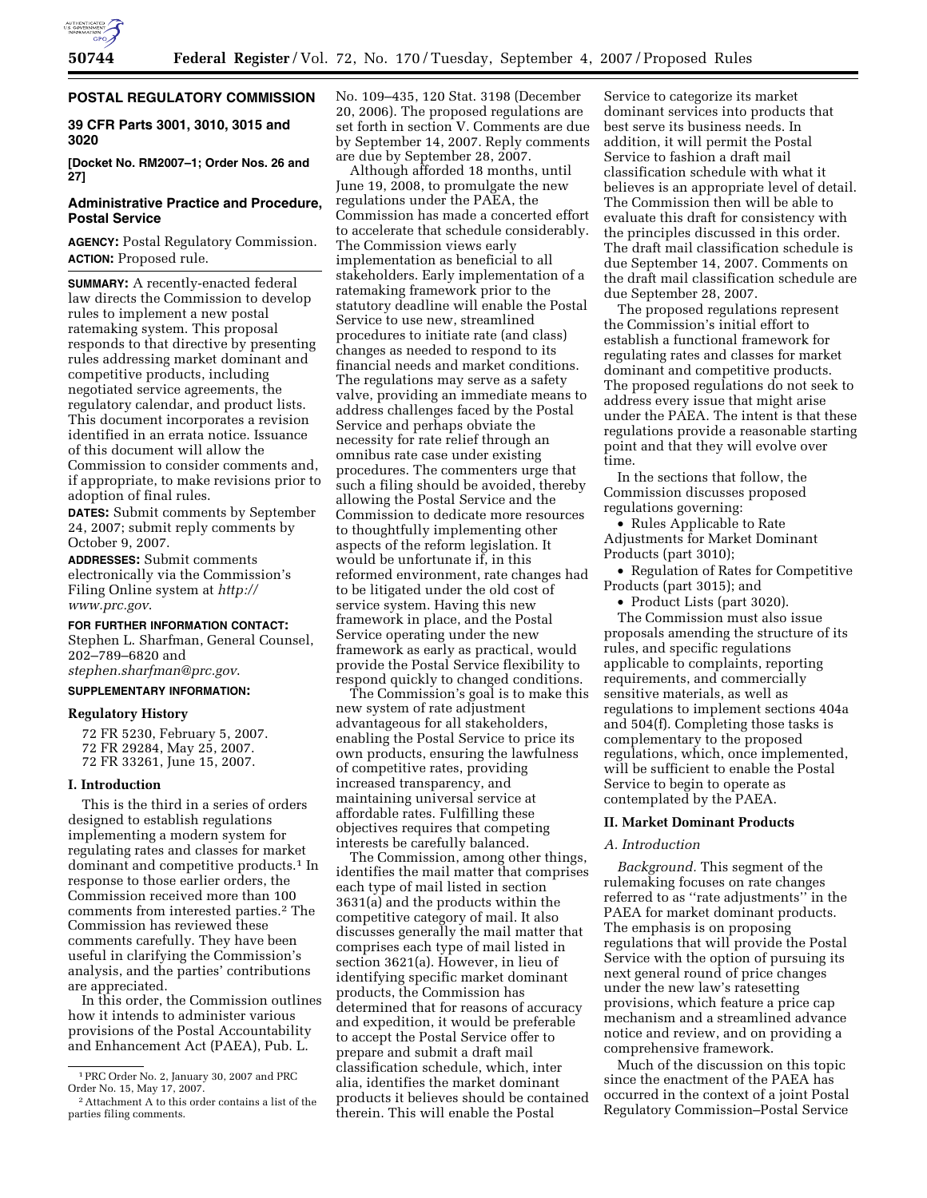

# **POSTAL REGULATORY COMMISSION**

**39 CFR Parts 3001, 3010, 3015 and 3020** 

**[Docket No. RM2007–1; Order Nos. 26 and 27]** 

# **Administrative Practice and Procedure, Postal Service**

**AGENCY:** Postal Regulatory Commission. **ACTION:** Proposed rule.

**SUMMARY:** A recently-enacted federal law directs the Commission to develop rules to implement a new postal ratemaking system. This proposal responds to that directive by presenting rules addressing market dominant and competitive products, including negotiated service agreements, the regulatory calendar, and product lists. This document incorporates a revision identified in an errata notice. Issuance of this document will allow the Commission to consider comments and, if appropriate, to make revisions prior to adoption of final rules.

**DATES:** Submit comments by September 24, 2007; submit reply comments by October 9, 2007.

**ADDRESSES:** Submit comments electronically via the Commission's Filing Online system at *http:// www.prc.gov*.

#### **FOR FURTHER INFORMATION CONTACT:**

Stephen L. Sharfman, General Counsel, 202–789–6820 and *stephen.sharfman@prc.gov*.

# **SUPPLEMENTARY INFORMATION:**

## **Regulatory History**

72 FR 5230, February 5, 2007. 72 FR 29284, May 25, 2007. 72 FR 33261, June 15, 2007.

#### **I. Introduction**

This is the third in a series of orders designed to establish regulations implementing a modern system for regulating rates and classes for market dominant and competitive products.<sup>1</sup> In response to those earlier orders, the Commission received more than 100 comments from interested parties.2 The Commission has reviewed these comments carefully. They have been useful in clarifying the Commission's analysis, and the parties' contributions are appreciated.

In this order, the Commission outlines how it intends to administer various provisions of the Postal Accountability and Enhancement Act (PAEA), Pub. L.

No. 109–435, 120 Stat. 3198 (December 20, 2006). The proposed regulations are set forth in section V. Comments are due by September 14, 2007. Reply comments are due by September 28, 2007.

Although afforded 18 months, until June 19, 2008, to promulgate the new regulations under the PAEA, the Commission has made a concerted effort to accelerate that schedule considerably. The Commission views early implementation as beneficial to all stakeholders. Early implementation of a ratemaking framework prior to the statutory deadline will enable the Postal Service to use new, streamlined procedures to initiate rate (and class) changes as needed to respond to its financial needs and market conditions. The regulations may serve as a safety valve, providing an immediate means to address challenges faced by the Postal Service and perhaps obviate the necessity for rate relief through an omnibus rate case under existing procedures. The commenters urge that such a filing should be avoided, thereby allowing the Postal Service and the Commission to dedicate more resources to thoughtfully implementing other aspects of the reform legislation. It would be unfortunate if, in this reformed environment, rate changes had to be litigated under the old cost of service system. Having this new framework in place, and the Postal Service operating under the new framework as early as practical, would provide the Postal Service flexibility to respond quickly to changed conditions.

The Commission's goal is to make this new system of rate adjustment advantageous for all stakeholders, enabling the Postal Service to price its own products, ensuring the lawfulness of competitive rates, providing increased transparency, and maintaining universal service at affordable rates. Fulfilling these objectives requires that competing interests be carefully balanced.

The Commission, among other things, identifies the mail matter that comprises each type of mail listed in section 3631(a) and the products within the competitive category of mail. It also discusses generally the mail matter that comprises each type of mail listed in section 3621(a). However, in lieu of identifying specific market dominant products, the Commission has determined that for reasons of accuracy and expedition, it would be preferable to accept the Postal Service offer to prepare and submit a draft mail classification schedule, which, inter alia, identifies the market dominant products it believes should be contained therein. This will enable the Postal

Service to categorize its market dominant services into products that best serve its business needs. In addition, it will permit the Postal Service to fashion a draft mail classification schedule with what it believes is an appropriate level of detail. The Commission then will be able to evaluate this draft for consistency with the principles discussed in this order. The draft mail classification schedule is due September 14, 2007. Comments on the draft mail classification schedule are due September 28, 2007.

The proposed regulations represent the Commission's initial effort to establish a functional framework for regulating rates and classes for market dominant and competitive products. The proposed regulations do not seek to address every issue that might arise under the PAEA. The intent is that these regulations provide a reasonable starting point and that they will evolve over time.

In the sections that follow, the Commission discusses proposed regulations governing:

• Rules Applicable to Rate Adjustments for Market Dominant Products (part 3010);

• Regulation of Rates for Competitive Products (part 3015); and

• Product Lists (part 3020).

The Commission must also issue proposals amending the structure of its rules, and specific regulations applicable to complaints, reporting requirements, and commercially sensitive materials, as well as regulations to implement sections 404a and 504(f). Completing those tasks is complementary to the proposed regulations, which, once implemented, will be sufficient to enable the Postal Service to begin to operate as contemplated by the PAEA.

# **II. Market Dominant Products**

## *A. Introduction*

*Background.* This segment of the rulemaking focuses on rate changes referred to as ''rate adjustments'' in the PAEA for market dominant products. The emphasis is on proposing regulations that will provide the Postal Service with the option of pursuing its next general round of price changes under the new law's ratesetting provisions, which feature a price cap mechanism and a streamlined advance notice and review, and on providing a comprehensive framework.

Much of the discussion on this topic since the enactment of the PAEA has occurred in the context of a joint Postal Regulatory Commission–Postal Service

<sup>1</sup>PRC Order No. 2, January 30, 2007 and PRC Order No. 15, May 17, 2007.

<sup>2</sup>Attachment A to this order contains a list of the parties filing comments.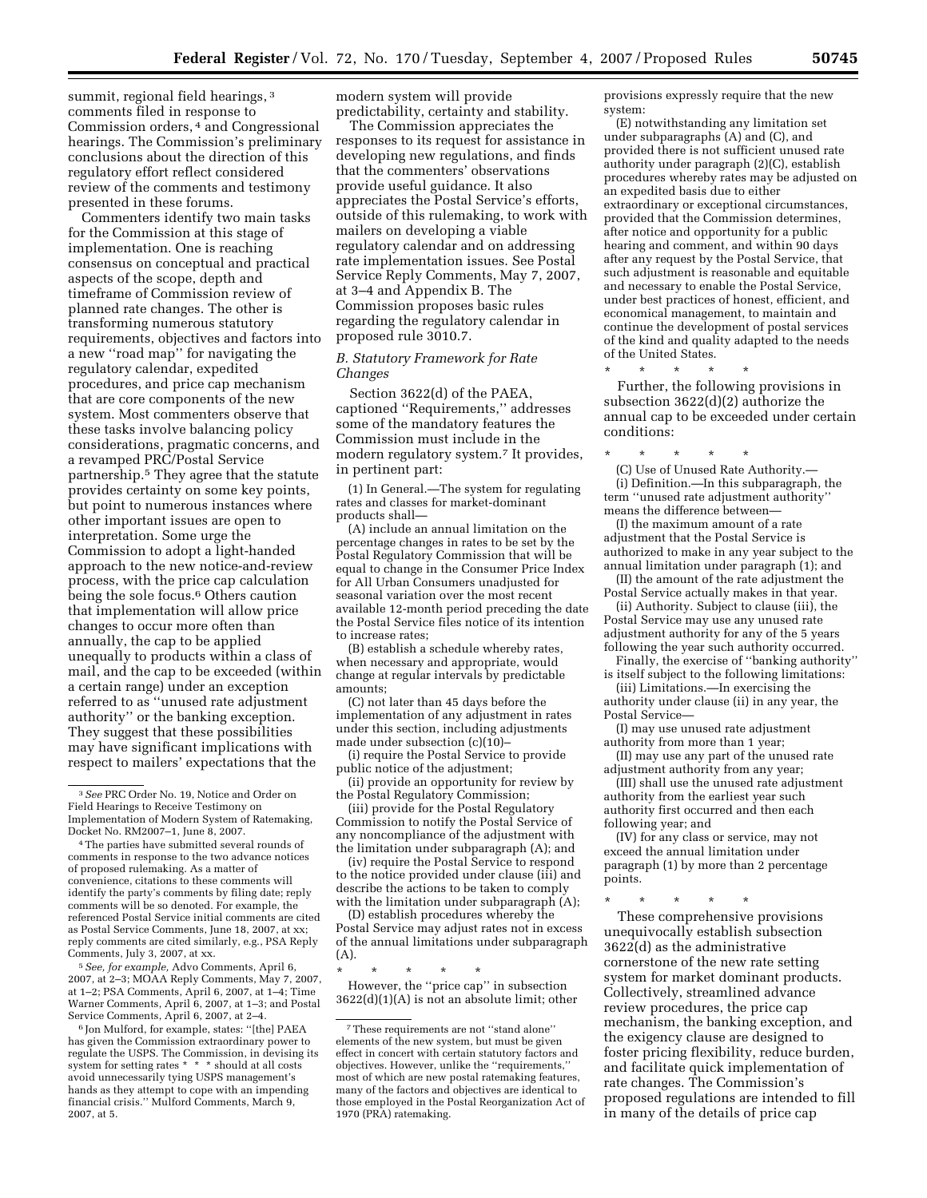summit, regional field hearings, 3 comments filed in response to Commission orders, 4 and Congressional hearings. The Commission's preliminary conclusions about the direction of this

presented in these forums. Commenters identify two main tasks for the Commission at this stage of implementation. One is reaching consensus on conceptual and practical aspects of the scope, depth and timeframe of Commission review of planned rate changes. The other is transforming numerous statutory requirements, objectives and factors into a new ''road map'' for navigating the regulatory calendar, expedited procedures, and price cap mechanism that are core components of the new system. Most commenters observe that these tasks involve balancing policy considerations, pragmatic concerns, and a revamped PRC/Postal Service partnership.5 They agree that the statute provides certainty on some key points, but point to numerous instances where other important issues are open to interpretation. Some urge the Commission to adopt a light-handed approach to the new notice-and-review process, with the price cap calculation being the sole focus.<sup>6</sup> Others caution that implementation will allow price changes to occur more often than annually, the cap to be applied unequally to products within a class of mail, and the cap to be exceeded (within a certain range) under an exception referred to as ''unused rate adjustment authority'' or the banking exception. They suggest that these possibilities may have significant implications with respect to mailers' expectations that the

regulatory effort reflect considered review of the comments and testimony

5*See, for example,* Advo Comments, April 6, 2007, at 2–3; MOAA Reply Comments, May 7, 2007, at 1–2; PSA Comments, April 6, 2007, at 1–4; Time Warner Comments, April 6, 2007, at 1–3; and Postal Service Comments, April 6, 2007, at 2–4.

6 Jon Mulford, for example, states: ''[the] PAEA has given the Commission extraordinary power to regulate the USPS. The Commission, in devising its system for setting rates \* \* \* should at all costs avoid unnecessarily tying USPS management's hands as they attempt to cope with an impending financial crisis.'' Mulford Comments, March 9, 2007, at 5.

modern system will provide predictability, certainty and stability.

The Commission appreciates the responses to its request for assistance in developing new regulations, and finds that the commenters' observations provide useful guidance. It also appreciates the Postal Service's efforts, outside of this rulemaking, to work with mailers on developing a viable regulatory calendar and on addressing rate implementation issues. See Postal Service Reply Comments, May 7, 2007, at 3–4 and Appendix B. The Commission proposes basic rules regarding the regulatory calendar in proposed rule 3010.7.

# *B. Statutory Framework for Rate Changes*

Section 3622(d) of the PAEA, captioned ''Requirements,'' addresses some of the mandatory features the Commission must include in the modern regulatory system.7 It provides, in pertinent part:

(1) In General.—The system for regulating rates and classes for market-dominant products shall—

(A) include an annual limitation on the percentage changes in rates to be set by the Postal Regulatory Commission that will be equal to change in the Consumer Price Index for All Urban Consumers unadjusted for seasonal variation over the most recent available 12-month period preceding the date the Postal Service files notice of its intention to increase rates;

(B) establish a schedule whereby rates, when necessary and appropriate, would change at regular intervals by predictable amounts;

(C) not later than 45 days before the implementation of any adjustment in rates under this section, including adjustments made under subsection (c)(10)–

(i) require the Postal Service to provide public notice of the adjustment;

(ii) provide an opportunity for review by the Postal Regulatory Commission;

(iii) provide for the Postal Regulatory Commission to notify the Postal Service of any noncompliance of the adjustment with the limitation under subparagraph (A); and

(iv) require the Postal Service to respond to the notice provided under clause (iii) and describe the actions to be taken to comply with the limitation under subparagraph  $(A)$ ;

(D) establish procedures whereby the Postal Service may adjust rates not in excess of the annual limitations under subparagraph (A).

\* \* \* \* \* However, the ''price cap'' in subsection 3622(d)(1)(A) is not an absolute limit; other provisions expressly require that the new system:

(E) notwithstanding any limitation set under subparagraphs (A) and (C), and provided there is not sufficient unused rate authority under paragraph (2)(C), establish procedures whereby rates may be adjusted on an expedited basis due to either extraordinary or exceptional circumstances, provided that the Commission determines, after notice and opportunity for a public hearing and comment, and within 90 days after any request by the Postal Service, that such adjustment is reasonable and equitable and necessary to enable the Postal Service, under best practices of honest, efficient, and economical management, to maintain and continue the development of postal services of the kind and quality adapted to the needs of the United States.

\* \* \* \* \*

Further, the following provisions in subsection 3622(d)(2) authorize the annual cap to be exceeded under certain conditions:

\* \* \* \* \*

(C) Use of Unused Rate Authority.— (i) Definition.—In this subparagraph, the term ''unused rate adjustment authority'' means the difference between—

(I) the maximum amount of a rate adjustment that the Postal Service is authorized to make in any year subject to the annual limitation under paragraph (1); and (II) the amount of the rate adjustment the

Postal Service actually makes in that year.

(ii) Authority. Subject to clause (iii), the Postal Service may use any unused rate adjustment authority for any of the 5 years following the year such authority occurred.

Finally, the exercise of ''banking authority'' is itself subject to the following limitations:

(iii) Limitations.—In exercising the authority under clause (ii) in any year, the Postal Service—

(I) may use unused rate adjustment authority from more than 1 year;

(II) may use any part of the unused rate adjustment authority from any year;

(III) shall use the unused rate adjustment authority from the earliest year such authority first occurred and then each following year; and

(IV) for any class or service, may not exceed the annual limitation under paragraph (1) by more than 2 percentage points.

\* \* \* \* \*

These comprehensive provisions unequivocally establish subsection 3622(d) as the administrative cornerstone of the new rate setting system for market dominant products. Collectively, streamlined advance review procedures, the price cap mechanism, the banking exception, and the exigency clause are designed to foster pricing flexibility, reduce burden, and facilitate quick implementation of rate changes. The Commission's proposed regulations are intended to fill in many of the details of price cap

<sup>3</sup>*See* PRC Order No. 19, Notice and Order on Field Hearings to Receive Testimony on Implementation of Modern System of Ratemaking, Docket No. RM2007–1, June 8, 2007.

<sup>4</sup>The parties have submitted several rounds of comments in response to the two advance notices of proposed rulemaking. As a matter of convenience, citations to these comments will identify the party's comments by filing date; reply comments will be so denoted. For example, the referenced Postal Service initial comments are cited as Postal Service Comments, June 18, 2007, at xx; reply comments are cited similarly, e.g., PSA Reply Comments, July 3, 2007, at xx.

<sup>7</sup>These requirements are not ''stand alone'' elements of the new system, but must be given effect in concert with certain statutory factors and objectives. However, unlike the ''requirements,'' most of which are new postal ratemaking features, many of the factors and objectives are identical to those employed in the Postal Reorganization Act of 1970 (PRA) ratemaking.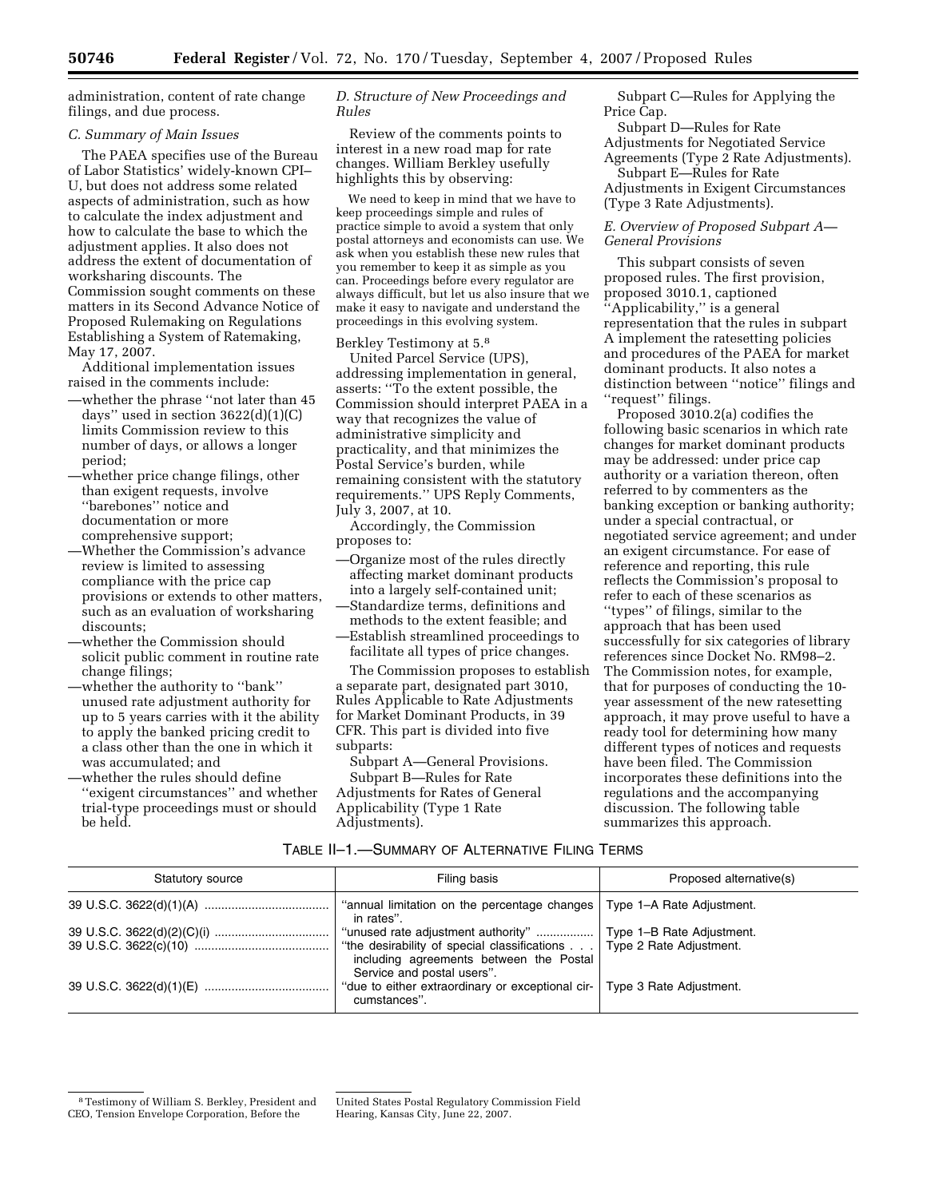administration, content of rate change filings, and due process.

## *C. Summary of Main Issues*

The PAEA specifies use of the Bureau of Labor Statistics' widely-known CPI– U, but does not address some related aspects of administration, such as how to calculate the index adjustment and how to calculate the base to which the adjustment applies. It also does not address the extent of documentation of worksharing discounts. The Commission sought comments on these matters in its Second Advance Notice of Proposed Rulemaking on Regulations Establishing a System of Ratemaking, May 17, 2007.

Additional implementation issues raised in the comments include:

- —whether the phrase ''not later than 45 days" used in section  $3622(d)(1)(C)$ limits Commission review to this number of days, or allows a longer period;
- —whether price change filings, other than exigent requests, involve ''barebones'' notice and documentation or more comprehensive support;
- —Whether the Commission's advance review is limited to assessing compliance with the price cap provisions or extends to other matters, such as an evaluation of worksharing discounts;
- —whether the Commission should solicit public comment in routine rate change filings;
- —whether the authority to ''bank'' unused rate adjustment authority for up to 5 years carries with it the ability to apply the banked pricing credit to a class other than the one in which it was accumulated; and
- —whether the rules should define ''exigent circumstances'' and whether trial-type proceedings must or should be held.

# *D. Structure of New Proceedings and Rules*

Review of the comments points to interest in a new road map for rate changes. William Berkley usefully highlights this by observing:

We need to keep in mind that we have to keep proceedings simple and rules of practice simple to avoid a system that only postal attorneys and economists can use. We ask when you establish these new rules that you remember to keep it as simple as you can. Proceedings before every regulator are always difficult, but let us also insure that we make it easy to navigate and understand the proceedings in this evolving system.

#### Berkley Testimony at 5.8

United Parcel Service (UPS), addressing implementation in general, asserts: ''To the extent possible, the Commission should interpret PAEA in a way that recognizes the value of administrative simplicity and practicality, and that minimizes the Postal Service's burden, while remaining consistent with the statutory requirements.'' UPS Reply Comments, July 3, 2007, at 10.

Accordingly, the Commission proposes to:

- —Organize most of the rules directly affecting market dominant products into a largely self-contained unit;
- —Standardize terms, definitions and methods to the extent feasible; and
- —Establish streamlined proceedings to facilitate all types of price changes.

The Commission proposes to establish a separate part, designated part 3010, Rules Applicable to Rate Adjustments for Market Dominant Products, in 39 CFR. This part is divided into five subparts:

Subpart A—General Provisions. Subpart B—Rules for Rate

Adjustments for Rates of General Applicability (Type 1 Rate Adjustments).

Subpart C—Rules for Applying the Price Cap.

Subpart D—Rules for Rate Adjustments for Negotiated Service Agreements (Type 2 Rate Adjustments). Subpart E—Rules for Rate

Adjustments in Exigent Circumstances (Type 3 Rate Adjustments).

# *E. Overview of Proposed Subpart A— General Provisions*

This subpart consists of seven proposed rules. The first provision, proposed 3010.1, captioned ''Applicability,'' is a general representation that the rules in subpart A implement the ratesetting policies and procedures of the PAEA for market dominant products. It also notes a distinction between ''notice'' filings and ''request'' filings.

Proposed 3010.2(a) codifies the following basic scenarios in which rate changes for market dominant products may be addressed: under price cap authority or a variation thereon, often referred to by commenters as the banking exception or banking authority; under a special contractual, or negotiated service agreement; and under an exigent circumstance. For ease of reference and reporting, this rule reflects the Commission's proposal to refer to each of these scenarios as ''types'' of filings, similar to the approach that has been used successfully for six categories of library references since Docket No. RM98–2. The Commission notes, for example, that for purposes of conducting the 10 year assessment of the new ratesetting approach, it may prove useful to have a ready tool for determining how many different types of notices and requests have been filed. The Commission incorporates these definitions into the regulations and the accompanying discussion. The following table summarizes this approach.

| Statutory source | Filing basis                                                                                                                                            | Proposed alternative(s)   |
|------------------|---------------------------------------------------------------------------------------------------------------------------------------------------------|---------------------------|
|                  | "annual limitation on the percentage changes   Type 1–A Rate Adjustment.<br>in rates".                                                                  |                           |
|                  | "unused rate adjustment authority"<br>"the desirability of special classifications   Type 2 Rate Adjustment.<br>including agreements between the Postal | Type 1-B Rate Adjustment. |
|                  | Service and postal users".<br>"due to either extraordinary or exceptional cir- Type 3 Rate Adjustment.<br>cumstances".                                  |                           |

<sup>8</sup>Testimony of William S. Berkley, President and CEO, Tension Envelope Corporation, Before the

United States Postal Regulatory Commission Field Hearing, Kansas City, June 22, 2007.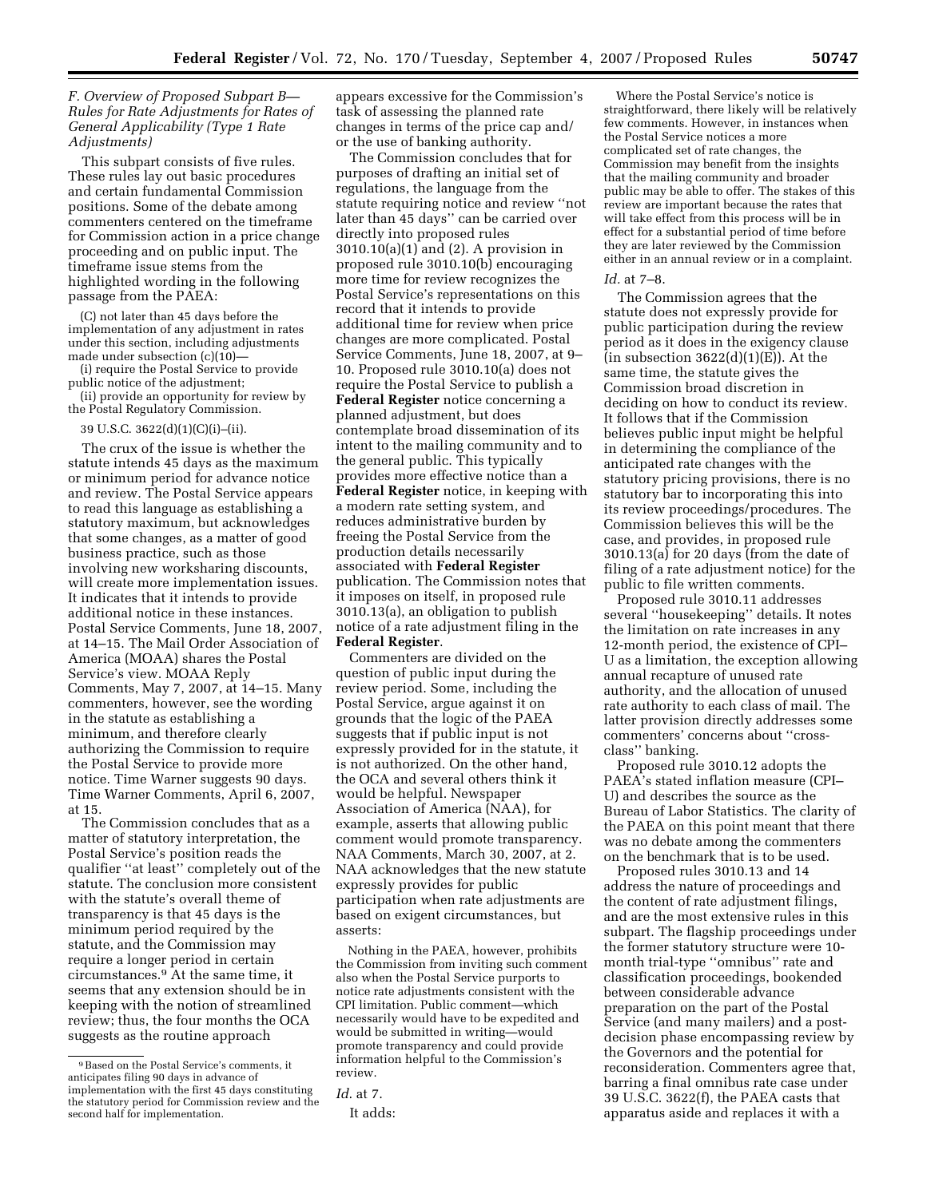# *F. Overview of Proposed Subpart B— Rules for Rate Adjustments for Rates of General Applicability (Type 1 Rate Adjustments)*

This subpart consists of five rules. These rules lay out basic procedures and certain fundamental Commission positions. Some of the debate among commenters centered on the timeframe for Commission action in a price change proceeding and on public input. The timeframe issue stems from the highlighted wording in the following passage from the PAEA:

(C) not later than 45 days before the implementation of any adjustment in rates under this section, including adjustments made under subsection (c)(10)—

(i) require the Postal Service to provide public notice of the adjustment;

(ii) provide an opportunity for review by the Postal Regulatory Commission.

#### 39 U.S.C. 3622(d)(1)(C)(i)–(ii).

The crux of the issue is whether the statute intends 45 days as the maximum or minimum period for advance notice and review. The Postal Service appears to read this language as establishing a statutory maximum, but acknowledges that some changes, as a matter of good business practice, such as those involving new worksharing discounts, will create more implementation issues. It indicates that it intends to provide additional notice in these instances. Postal Service Comments, June 18, 2007, at 14–15. The Mail Order Association of America (MOAA) shares the Postal Service's view. MOAA Reply Comments, May 7, 2007, at 14–15. Many commenters, however, see the wording in the statute as establishing a minimum, and therefore clearly authorizing the Commission to require the Postal Service to provide more notice. Time Warner suggests 90 days. Time Warner Comments, April 6, 2007, at 15.

The Commission concludes that as a matter of statutory interpretation, the Postal Service's position reads the qualifier ''at least'' completely out of the statute. The conclusion more consistent with the statute's overall theme of transparency is that 45 days is the minimum period required by the statute, and the Commission may require a longer period in certain circumstances.9 At the same time, it seems that any extension should be in keeping with the notion of streamlined review; thus, the four months the OCA suggests as the routine approach

appears excessive for the Commission's task of assessing the planned rate changes in terms of the price cap and/ or the use of banking authority.

The Commission concludes that for purposes of drafting an initial set of regulations, the language from the statute requiring notice and review ''not later than 45 days'' can be carried over directly into proposed rules 3010.10(a)(1) and (2). A provision in proposed rule 3010.10(b) encouraging more time for review recognizes the Postal Service's representations on this record that it intends to provide additional time for review when price changes are more complicated. Postal Service Comments, June 18, 2007, at 9– 10. Proposed rule 3010.10(a) does not require the Postal Service to publish a **Federal Register** notice concerning a planned adjustment, but does contemplate broad dissemination of its intent to the mailing community and to the general public. This typically provides more effective notice than a **Federal Register** notice, in keeping with a modern rate setting system, and reduces administrative burden by freeing the Postal Service from the production details necessarily associated with **Federal Register**  publication. The Commission notes that it imposes on itself, in proposed rule 3010.13(a), an obligation to publish notice of a rate adjustment filing in the **Federal Register**.

Commenters are divided on the question of public input during the review period. Some, including the Postal Service, argue against it on grounds that the logic of the PAEA suggests that if public input is not expressly provided for in the statute, it is not authorized. On the other hand, the OCA and several others think it would be helpful. Newspaper Association of America (NAA), for example, asserts that allowing public comment would promote transparency. NAA Comments, March 30, 2007, at 2. NAA acknowledges that the new statute expressly provides for public participation when rate adjustments are based on exigent circumstances, but asserts:

Nothing in the PAEA, however, prohibits the Commission from inviting such comment also when the Postal Service purports to notice rate adjustments consistent with the CPI limitation. Public comment—which necessarily would have to be expedited and would be submitted in writing—would promote transparency and could provide information helpful to the Commission's review.

*Id*. at 7.

Where the Postal Service's notice is straightforward, there likely will be relatively few comments. However, in instances when the Postal Service notices a more complicated set of rate changes, the Commission may benefit from the insights that the mailing community and broader public may be able to offer. The stakes of this review are important because the rates that will take effect from this process will be in effect for a substantial period of time before they are later reviewed by the Commission either in an annual review or in a complaint.

#### *Id.* at 7–8.

The Commission agrees that the statute does not expressly provide for public participation during the review period as it does in the exigency clause (in subsection  $3622(d)(1)(E)$ ). At the same time, the statute gives the Commission broad discretion in deciding on how to conduct its review. It follows that if the Commission believes public input might be helpful in determining the compliance of the anticipated rate changes with the statutory pricing provisions, there is no statutory bar to incorporating this into its review proceedings/procedures. The Commission believes this will be the case, and provides, in proposed rule 3010.13(a) for 20 days (from the date of filing of a rate adjustment notice) for the public to file written comments.

Proposed rule 3010.11 addresses several ''housekeeping'' details. It notes the limitation on rate increases in any 12-month period, the existence of CPI– U as a limitation, the exception allowing annual recapture of unused rate authority, and the allocation of unused rate authority to each class of mail. The latter provision directly addresses some commenters' concerns about ''crossclass'' banking.

Proposed rule 3010.12 adopts the PAEA's stated inflation measure (CPI– U) and describes the source as the Bureau of Labor Statistics. The clarity of the PAEA on this point meant that there was no debate among the commenters on the benchmark that is to be used.

Proposed rules 3010.13 and 14 address the nature of proceedings and the content of rate adjustment filings, and are the most extensive rules in this subpart. The flagship proceedings under the former statutory structure were 10 month trial-type ''omnibus'' rate and classification proceedings, bookended between considerable advance preparation on the part of the Postal Service (and many mailers) and a postdecision phase encompassing review by the Governors and the potential for reconsideration. Commenters agree that, barring a final omnibus rate case under 39 U.S.C. 3622(f), the PAEA casts that apparatus aside and replaces it with a

<sup>9</sup>Based on the Postal Service's comments, it anticipates filing 90 days in advance of implementation with the first 45 days constituting the statutory period for Commission review and the second half for implementation.

It adds: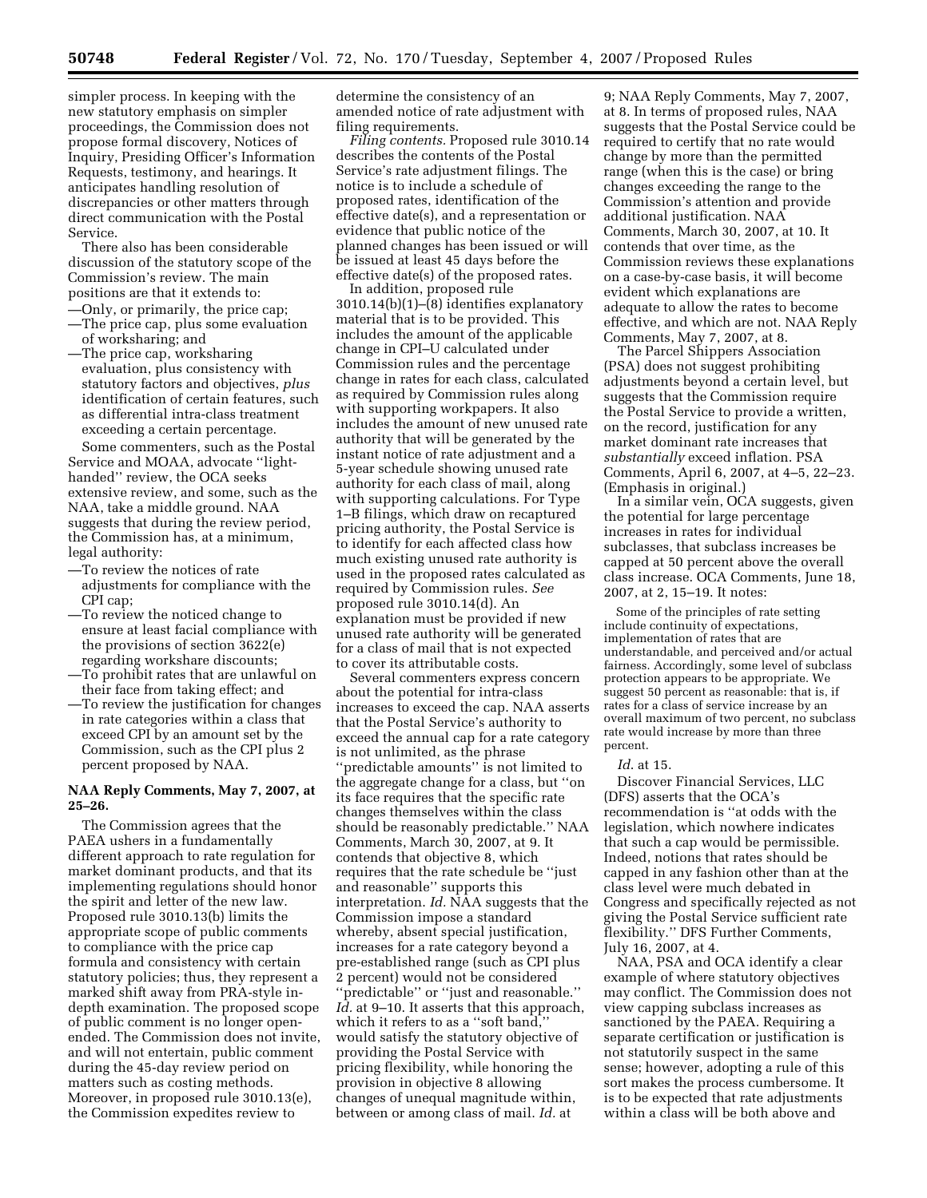simpler process. In keeping with the new statutory emphasis on simpler proceedings, the Commission does not propose formal discovery, Notices of Inquiry, Presiding Officer's Information Requests, testimony, and hearings. It anticipates handling resolution of discrepancies or other matters through direct communication with the Postal Service.

There also has been considerable discussion of the statutory scope of the Commission's review. The main positions are that it extends to:

- —Only, or primarily, the price cap;
- —The price cap, plus some evaluation of worksharing; and
- —The price cap, worksharing evaluation, plus consistency with statutory factors and objectives, *plus*  identification of certain features, such as differential intra-class treatment exceeding a certain percentage.

Some commenters, such as the Postal Service and MOAA, advocate ''lighthanded'' review, the OCA seeks extensive review, and some, such as the NAA, take a middle ground. NAA suggests that during the review period, the Commission has, at a minimum, legal authority:

- —To review the notices of rate adjustments for compliance with the CPI cap;
- —To review the noticed change to ensure at least facial compliance with the provisions of section 3622(e) regarding workshare discounts;
- —To prohibit rates that are unlawful on their face from taking effect; and
- —To review the justification for changes in rate categories within a class that exceed CPI by an amount set by the Commission, such as the CPI plus 2 percent proposed by NAA.

## **NAA Reply Comments, May 7, 2007, at 25–26.**

The Commission agrees that the PAEA ushers in a fundamentally different approach to rate regulation for market dominant products, and that its implementing regulations should honor the spirit and letter of the new law. Proposed rule 3010.13(b) limits the appropriate scope of public comments to compliance with the price cap formula and consistency with certain statutory policies; thus, they represent a marked shift away from PRA-style indepth examination. The proposed scope of public comment is no longer openended. The Commission does not invite, and will not entertain, public comment during the 45-day review period on matters such as costing methods. Moreover, in proposed rule 3010.13(e), the Commission expedites review to

determine the consistency of an amended notice of rate adjustment with filing requirements.

*Filing contents.* Proposed rule 3010.14 describes the contents of the Postal Service's rate adjustment filings. The notice is to include a schedule of proposed rates, identification of the effective date(s), and a representation or evidence that public notice of the planned changes has been issued or will be issued at least 45 days before the effective date(s) of the proposed rates.

In addition, proposed rule 3010.14(b)(1)–(8) identifies explanatory material that is to be provided. This includes the amount of the applicable change in CPI–U calculated under Commission rules and the percentage change in rates for each class, calculated as required by Commission rules along with supporting workpapers. It also includes the amount of new unused rate authority that will be generated by the instant notice of rate adjustment and a 5-year schedule showing unused rate authority for each class of mail, along with supporting calculations. For Type 1–B filings, which draw on recaptured pricing authority, the Postal Service is to identify for each affected class how much existing unused rate authority is used in the proposed rates calculated as required by Commission rules. *See*  proposed rule 3010.14(d). An explanation must be provided if new unused rate authority will be generated for a class of mail that is not expected to cover its attributable costs.

Several commenters express concern about the potential for intra-class increases to exceed the cap. NAA asserts that the Postal Service's authority to exceed the annual cap for a rate category is not unlimited, as the phrase ''predictable amounts'' is not limited to the aggregate change for a class, but ''on its face requires that the specific rate changes themselves within the class should be reasonably predictable.'' NAA Comments, March 30, 2007, at 9. It contends that objective 8, which requires that the rate schedule be ''just and reasonable'' supports this interpretation. *Id.* NAA suggests that the Commission impose a standard whereby, absent special justification, increases for a rate category beyond a pre-established range (such as CPI plus 2 percent) would not be considered ''predictable'' or ''just and reasonable.'' Id. at 9–10. It asserts that this approach, which it refers to as a ''soft band,'' would satisfy the statutory objective of providing the Postal Service with pricing flexibility, while honoring the provision in objective 8 allowing changes of unequal magnitude within, between or among class of mail. *Id.* at

9; NAA Reply Comments, May 7, 2007, at 8. In terms of proposed rules, NAA suggests that the Postal Service could be required to certify that no rate would change by more than the permitted range (when this is the case) or bring changes exceeding the range to the Commission's attention and provide additional justification. NAA Comments, March 30, 2007, at 10. It contends that over time, as the Commission reviews these explanations on a case-by-case basis, it will become evident which explanations are adequate to allow the rates to become effective, and which are not. NAA Reply Comments, May 7, 2007, at 8.

The Parcel Shippers Association (PSA) does not suggest prohibiting adjustments beyond a certain level, but suggests that the Commission require the Postal Service to provide a written, on the record, justification for any market dominant rate increases that *substantially* exceed inflation. PSA Comments, April 6, 2007, at 4–5, 22–23. (Emphasis in original.)

In a similar vein, OCA suggests, given the potential for large percentage increases in rates for individual subclasses, that subclass increases be capped at 50 percent above the overall class increase. OCA Comments, June 18, 2007, at 2, 15–19. It notes:

Some of the principles of rate setting include continuity of expectations, implementation of rates that are understandable, and perceived and/or actual fairness. Accordingly, some level of subclass protection appears to be appropriate. We suggest 50 percent as reasonable: that is, if rates for a class of service increase by an overall maximum of two percent, no subclass rate would increase by more than three percent.

*Id*. at 15.

Discover Financial Services, LLC (DFS) asserts that the OCA's recommendation is ''at odds with the legislation, which nowhere indicates that such a cap would be permissible. Indeed, notions that rates should be capped in any fashion other than at the class level were much debated in Congress and specifically rejected as not giving the Postal Service sufficient rate flexibility.'' DFS Further Comments, July 16, 2007, at 4.

NAA, PSA and OCA identify a clear example of where statutory objectives may conflict. The Commission does not view capping subclass increases as sanctioned by the PAEA. Requiring a separate certification or justification is not statutorily suspect in the same sense; however, adopting a rule of this sort makes the process cumbersome. It is to be expected that rate adjustments within a class will be both above and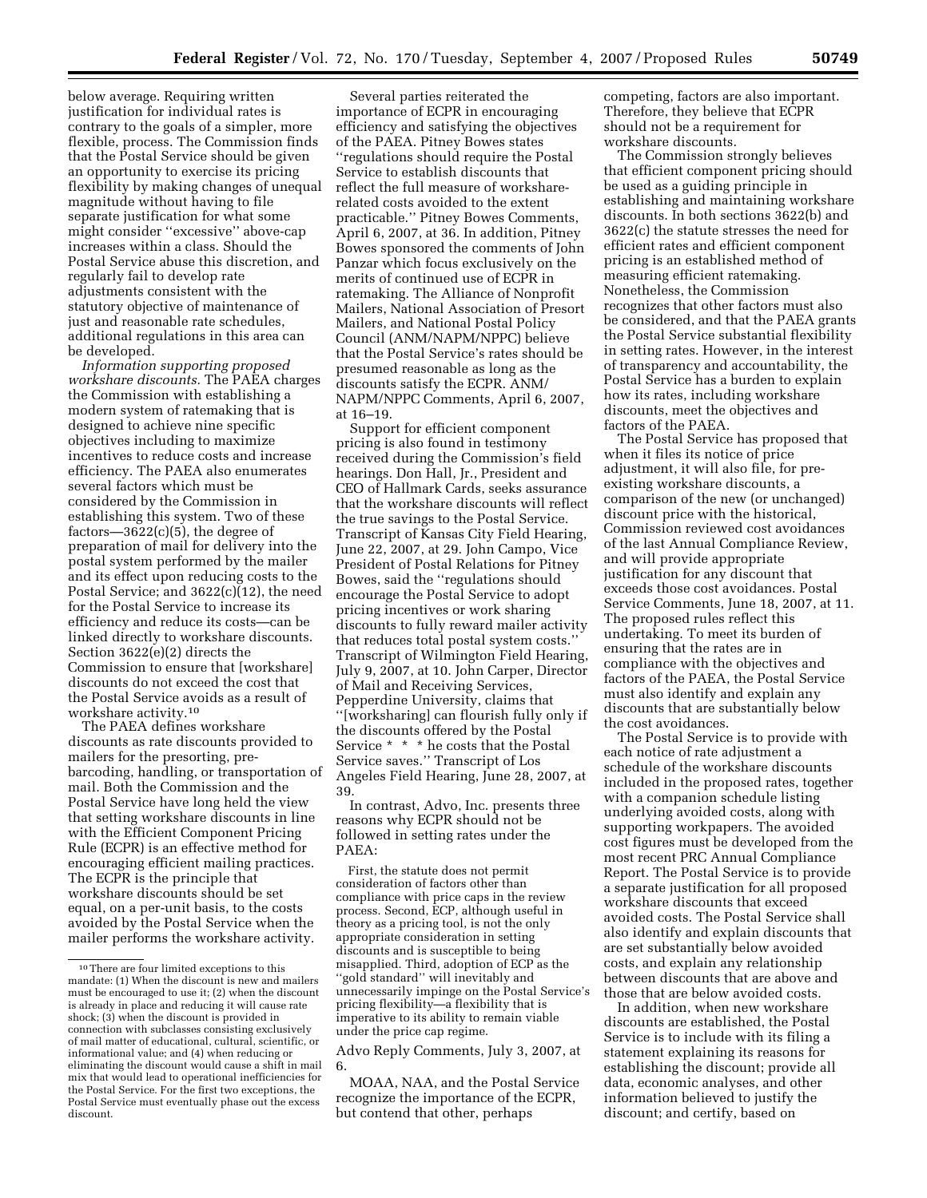below average. Requiring written justification for individual rates is contrary to the goals of a simpler, more flexible, process. The Commission finds that the Postal Service should be given an opportunity to exercise its pricing flexibility by making changes of unequal magnitude without having to file separate justification for what some might consider ''excessive'' above-cap increases within a class. Should the Postal Service abuse this discretion, and regularly fail to develop rate adjustments consistent with the statutory objective of maintenance of just and reasonable rate schedules, additional regulations in this area can be developed.

*Information supporting proposed workshare discounts.* The PAEA charges the Commission with establishing a modern system of ratemaking that is designed to achieve nine specific objectives including to maximize incentives to reduce costs and increase efficiency. The PAEA also enumerates several factors which must be considered by the Commission in establishing this system. Two of these factors— $3622(c)(5)$ , the degree of preparation of mail for delivery into the postal system performed by the mailer and its effect upon reducing costs to the Postal Service; and 3622(c)(12), the need for the Postal Service to increase its efficiency and reduce its costs—can be linked directly to workshare discounts. Section 3622(e)(2) directs the Commission to ensure that [workshare] discounts do not exceed the cost that the Postal Service avoids as a result of workshare activity.10

The PAEA defines workshare discounts as rate discounts provided to mailers for the presorting, prebarcoding, handling, or transportation of mail. Both the Commission and the Postal Service have long held the view that setting workshare discounts in line with the Efficient Component Pricing Rule (ECPR) is an effective method for encouraging efficient mailing practices. The ECPR is the principle that workshare discounts should be set equal, on a per-unit basis, to the costs avoided by the Postal Service when the mailer performs the workshare activity.

Several parties reiterated the importance of ECPR in encouraging efficiency and satisfying the objectives of the PAEA. Pitney Bowes states ''regulations should require the Postal Service to establish discounts that reflect the full measure of worksharerelated costs avoided to the extent practicable.'' Pitney Bowes Comments, April 6, 2007, at 36. In addition, Pitney Bowes sponsored the comments of John Panzar which focus exclusively on the merits of continued use of ECPR in ratemaking. The Alliance of Nonprofit Mailers, National Association of Presort Mailers, and National Postal Policy Council (ANM/NAPM/NPPC) believe that the Postal Service's rates should be presumed reasonable as long as the discounts satisfy the ECPR. ANM/ NAPM/NPPC Comments, April 6, 2007, at 16–19.

Support for efficient component pricing is also found in testimony received during the Commission's field hearings. Don Hall, Jr., President and CEO of Hallmark Cards, seeks assurance that the workshare discounts will reflect the true savings to the Postal Service. Transcript of Kansas City Field Hearing, June 22, 2007, at 29. John Campo, Vice President of Postal Relations for Pitney Bowes, said the ''regulations should encourage the Postal Service to adopt pricing incentives or work sharing discounts to fully reward mailer activity that reduces total postal system costs.'' Transcript of Wilmington Field Hearing, July 9, 2007, at 10. John Carper, Director of Mail and Receiving Services, Pepperdine University, claims that ''[worksharing] can flourish fully only if the discounts offered by the Postal Service \* \* \* he costs that the Postal Service saves.'' Transcript of Los Angeles Field Hearing, June 28, 2007, at 39.

In contrast, Advo, Inc. presents three reasons why ECPR should not be followed in setting rates under the PAEA:

First, the statute does not permit consideration of factors other than compliance with price caps in the review process. Second, ECP, although useful in theory as a pricing tool, is not the only appropriate consideration in setting discounts and is susceptible to being misapplied. Third, adoption of ECP as the ''gold standard'' will inevitably and unnecessarily impinge on the Postal Service's pricing flexibility—a flexibility that is imperative to its ability to remain viable under the price cap regime.

Advo Reply Comments, July 3, 2007, at 6.

MOAA, NAA, and the Postal Service recognize the importance of the ECPR, but contend that other, perhaps

competing, factors are also important. Therefore, they believe that ECPR should not be a requirement for workshare discounts.

The Commission strongly believes that efficient component pricing should be used as a guiding principle in establishing and maintaining workshare discounts. In both sections 3622(b) and 3622(c) the statute stresses the need for efficient rates and efficient component pricing is an established method of measuring efficient ratemaking. Nonetheless, the Commission recognizes that other factors must also be considered, and that the PAEA grants the Postal Service substantial flexibility in setting rates. However, in the interest of transparency and accountability, the Postal Service has a burden to explain how its rates, including workshare discounts, meet the objectives and factors of the PAEA.

The Postal Service has proposed that when it files its notice of price adjustment, it will also file, for preexisting workshare discounts, a comparison of the new (or unchanged) discount price with the historical, Commission reviewed cost avoidances of the last Annual Compliance Review, and will provide appropriate justification for any discount that exceeds those cost avoidances. Postal Service Comments, June 18, 2007, at 11. The proposed rules reflect this undertaking. To meet its burden of ensuring that the rates are in compliance with the objectives and factors of the PAEA, the Postal Service must also identify and explain any discounts that are substantially below the cost avoidances.

The Postal Service is to provide with each notice of rate adjustment a schedule of the workshare discounts included in the proposed rates, together with a companion schedule listing underlying avoided costs, along with supporting workpapers. The avoided cost figures must be developed from the most recent PRC Annual Compliance Report. The Postal Service is to provide a separate justification for all proposed workshare discounts that exceed avoided costs. The Postal Service shall also identify and explain discounts that are set substantially below avoided costs, and explain any relationship between discounts that are above and those that are below avoided costs.

In addition, when new workshare discounts are established, the Postal Service is to include with its filing a statement explaining its reasons for establishing the discount; provide all data, economic analyses, and other information believed to justify the discount; and certify, based on

<sup>10</sup>There are four limited exceptions to this mandate: (1) When the discount is new and mailers must be encouraged to use it; (2) when the discount is already in place and reducing it will cause rate shock; (3) when the discount is provided in connection with subclasses consisting exclusively of mail matter of educational, cultural, scientific, or informational value; and (4) when reducing or eliminating the discount would cause a shift in mail mix that would lead to operational inefficiencies for the Postal Service. For the first two exceptions, the Postal Service must eventually phase out the excess discount.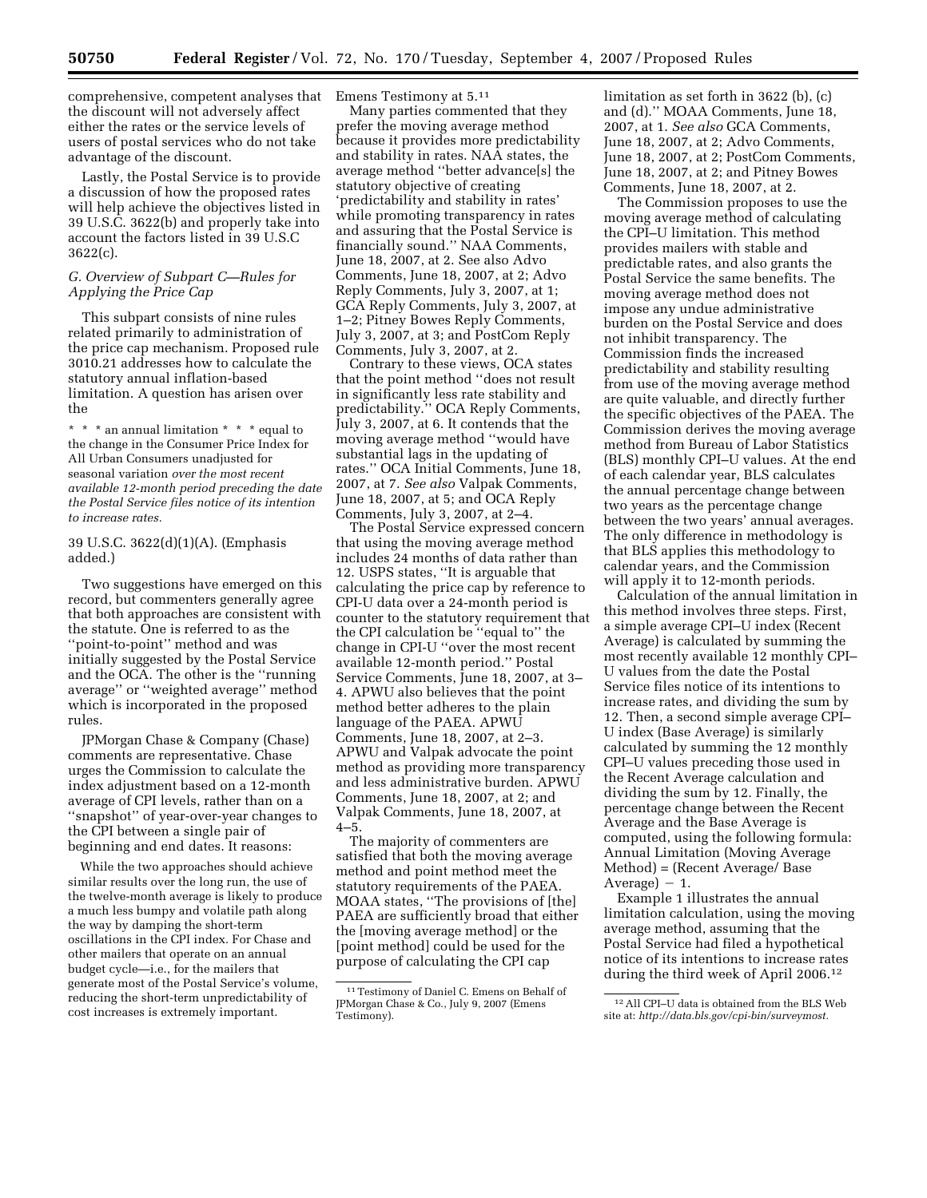comprehensive, competent analyses that Emens Testimony at 5.11 the discount will not adversely affect either the rates or the service levels of users of postal services who do not take advantage of the discount.

Lastly, the Postal Service is to provide a discussion of how the proposed rates will help achieve the objectives listed in 39 U.S.C. 3622(b) and properly take into account the factors listed in 39 U.S.C 3622(c).

## *G. Overview of Subpart C—Rules for Applying the Price Cap*

This subpart consists of nine rules related primarily to administration of the price cap mechanism. Proposed rule 3010.21 addresses how to calculate the statutory annual inflation-based limitation. A question has arisen over the

\* \* \* an annual limitation \* \* \* equal to the change in the Consumer Price Index for All Urban Consumers unadjusted for seasonal variation *over the most recent available 12-month period preceding the date the Postal Service files notice of its intention to increase rates.* 

## 39 U.S.C. 3622(d)(1)(A). (Emphasis added.)

Two suggestions have emerged on this record, but commenters generally agree that both approaches are consistent with the statute. One is referred to as the ''point-to-point'' method and was initially suggested by the Postal Service and the OCA. The other is the ''running average'' or ''weighted average'' method which is incorporated in the proposed rules.

JPMorgan Chase & Company (Chase) comments are representative. Chase urges the Commission to calculate the index adjustment based on a 12-month average of CPI levels, rather than on a ''snapshot'' of year-over-year changes to the CPI between a single pair of beginning and end dates. It reasons:

While the two approaches should achieve similar results over the long run, the use of the twelve-month average is likely to produce a much less bumpy and volatile path along the way by damping the short-term oscillations in the CPI index. For Chase and other mailers that operate on an annual budget cycle—i.e., for the mailers that generate most of the Postal Service's volume, reducing the short-term unpredictability of cost increases is extremely important.

Many parties commented that they prefer the moving average method because it provides more predictability and stability in rates. NAA states, the average method ''better advance[s] the statutory objective of creating 'predictability and stability in rates' while promoting transparency in rates and assuring that the Postal Service is financially sound.'' NAA Comments, June 18, 2007, at 2. See also Advo Comments, June 18, 2007, at 2; Advo Reply Comments, July 3, 2007, at 1; GCA Reply Comments, July 3, 2007, at 1–2; Pitney Bowes Reply Comments, July 3, 2007, at 3; and PostCom Reply Comments, July 3, 2007, at 2.

Contrary to these views, OCA states that the point method ''does not result in significantly less rate stability and predictability.'' OCA Reply Comments, July 3, 2007, at 6. It contends that the moving average method ''would have substantial lags in the updating of rates.'' OCA Initial Comments, June 18, 2007, at 7. *See also* Valpak Comments, June 18, 2007, at 5; and OCA Reply Comments, July 3, 2007, at 2–4.

The Postal Service expressed concern that using the moving average method includes 24 months of data rather than 12. USPS states, ''It is arguable that calculating the price cap by reference to CPI-U data over a 24-month period is counter to the statutory requirement that the CPI calculation be ''equal to'' the change in CPI-U ''over the most recent available 12-month period.'' Postal Service Comments, June 18, 2007, at 3– 4. APWU also believes that the point method better adheres to the plain language of the PAEA. APWU Comments, June 18, 2007, at 2–3. APWU and Valpak advocate the point method as providing more transparency and less administrative burden. APWU Comments, June 18, 2007, at 2; and Valpak Comments, June 18, 2007, at  $4 - 5$ .

The majority of commenters are satisfied that both the moving average method and point method meet the statutory requirements of the PAEA. MOAA states, ''The provisions of [the] PAEA are sufficiently broad that either the [moving average method] or the [point method] could be used for the purpose of calculating the CPI cap

limitation as set forth in 3622 (b), (c) and (d).'' MOAA Comments, June 18, 2007, at 1. *See also* GCA Comments, June 18, 2007, at 2; Advo Comments, June 18, 2007, at 2; PostCom Comments, June 18, 2007, at 2; and Pitney Bowes Comments, June 18, 2007, at 2.

The Commission proposes to use the moving average method of calculating the CPI–U limitation. This method provides mailers with stable and predictable rates, and also grants the Postal Service the same benefits. The moving average method does not impose any undue administrative burden on the Postal Service and does not inhibit transparency. The Commission finds the increased predictability and stability resulting from use of the moving average method are quite valuable, and directly further the specific objectives of the PAEA. The Commission derives the moving average method from Bureau of Labor Statistics (BLS) monthly CPI–U values. At the end of each calendar year, BLS calculates the annual percentage change between two years as the percentage change between the two years' annual averages. The only difference in methodology is that BLS applies this methodology to calendar years, and the Commission will apply it to 12-month periods.

Calculation of the annual limitation in this method involves three steps. First, a simple average CPI–U index (Recent Average) is calculated by summing the most recently available 12 monthly CPI– U values from the date the Postal Service files notice of its intentions to increase rates, and dividing the sum by 12. Then, a second simple average CPI– U index (Base Average) is similarly calculated by summing the 12 monthly CPI–U values preceding those used in the Recent Average calculation and dividing the sum by 12. Finally, the percentage change between the Recent Average and the Base Average is computed, using the following formula: Annual Limitation (Moving Average Method) = (Recent Average/ Base  $Average) - 1.$ 

Example 1 illustrates the annual limitation calculation, using the moving average method, assuming that the Postal Service had filed a hypothetical notice of its intentions to increase rates during the third week of April 2006.12

<sup>11</sup>Testimony of Daniel C. Emens on Behalf of JPMorgan Chase & Co., July 9, 2007 (Emens Testimony).

<sup>12</sup>All CPI–U data is obtained from the BLS Web site at: *http://data.bls.gov/cpi-bin/surveymost.*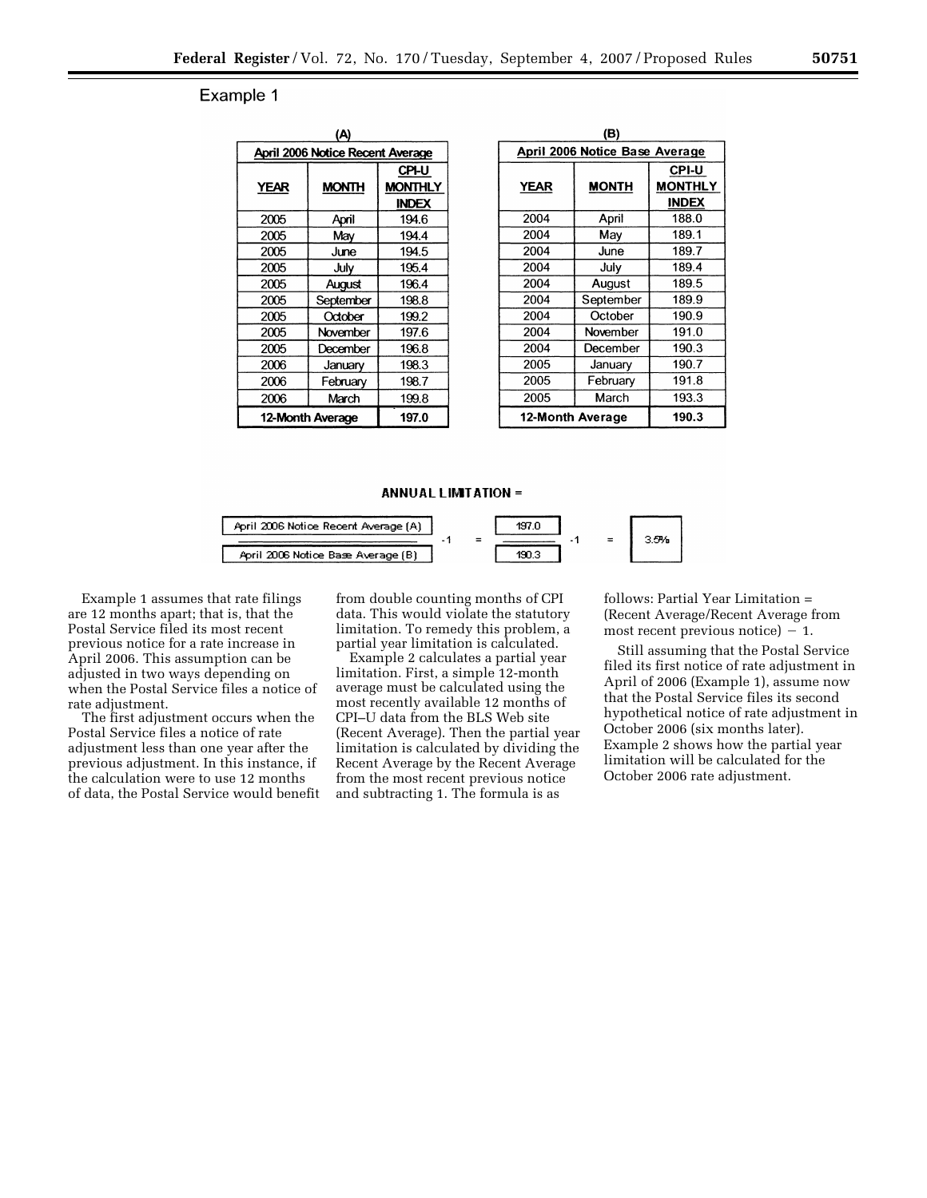# Example 1

| (A)                              |              |                |
|----------------------------------|--------------|----------------|
| April 2006 Notice Recent Average |              |                |
|                                  |              | CPI-U          |
| <b>YEAR</b>                      | <b>MONTH</b> | <b>MONTHLY</b> |
|                                  |              | <b>INDEX</b>   |
| 2005                             | April        | 194.6          |
| 2005                             | Mav          | 194.4          |
| 2005                             | June         | 194.5          |
| 2005                             | July         | 195.4          |
| 2005                             | August       | 196.4          |
| 2005                             | September    | 198.8          |
| 2005                             | October      | 199.2          |
| 2005                             | November     | 197.6          |
| 2005                             | December     | 196.8          |
| 2006                             | Januarv      | 198.3          |
| 2006                             | Februarv     | 198.7          |
| 2006                             | March        | 199.8          |
| 12-Month Average                 |              | 197.0          |

| (B)                            |              |                |  |
|--------------------------------|--------------|----------------|--|
| April 2006 Notice Base Average |              |                |  |
|                                | CPI-U        |                |  |
| YEAR                           | <b>MONTH</b> | <b>MONTHLY</b> |  |
|                                |              | <b>INDEX</b>   |  |
| 2004                           | April        | 188.0          |  |
| 2004                           | May          | 189.1          |  |
| 2004                           | June         | 189.7          |  |
| 2004                           | July         | 189.4          |  |
| 2004                           | August       | 189.5          |  |
| 2004                           | September    | 189.9          |  |
| 2004                           | October      | 190.9          |  |
| 2004                           | November     | 191.0          |  |
| 2004                           | December     | 190.3          |  |
| 2005                           | January      | 190.7          |  |
| 2005                           | February     | 191.8          |  |
| 2005                           | March        | 193.3          |  |
| 12-Month Average               |              | 190.3          |  |

#### **ANNUAL LIMITATION =**

Example 1 assumes that rate filings are 12 months apart; that is, that the Postal Service filed its most recent previous notice for a rate increase in April 2006. This assumption can be adjusted in two ways depending on when the Postal Service files a notice of rate adjustment.

The first adjustment occurs when the Postal Service files a notice of rate adjustment less than one year after the previous adjustment. In this instance, if the calculation were to use 12 months of data, the Postal Service would benefit

from double counting months of CPI data. This would violate the statutory limitation. To remedy this problem, a partial year limitation is calculated.

Example 2 calculates a partial year limitation. First, a simple 12-month average must be calculated using the most recently available 12 months of CPI–U data from the BLS Web site (Recent Average). Then the partial year limitation is calculated by dividing the Recent Average by the Recent Average from the most recent previous notice and subtracting 1. The formula is as

follows: Partial Year Limitation = (Recent Average/Recent Average from most recent previous notice)  $-1$ .

Still assuming that the Postal Service filed its first notice of rate adjustment in April of 2006 (Example 1), assume now that the Postal Service files its second hypothetical notice of rate adjustment in October 2006 (six months later). Example 2 shows how the partial year limitation will be calculated for the October 2006 rate adjustment.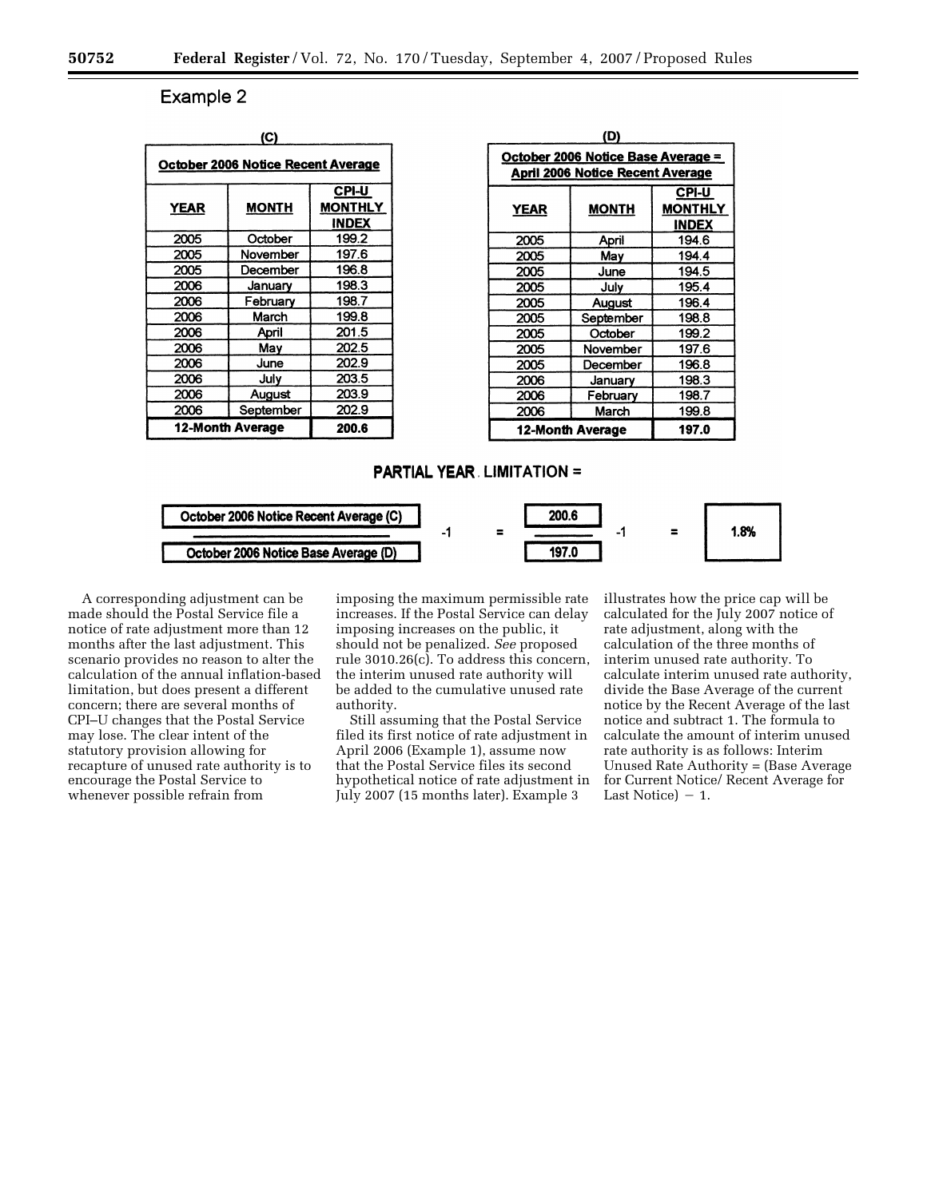# Example 2

| (C)                                |              |                                  |
|------------------------------------|--------------|----------------------------------|
| October 2006 Notice Recent Average |              |                                  |
| YEAR                               | <b>MONTH</b> | CPI-U<br><b>MONTHLY</b><br>INDEX |
| 2005                               | October      | 199.2                            |
| 2005                               | November     | 197.6                            |
| 2005                               | December     | 196.8                            |
| 2006                               | January      | 198.3                            |
| 2006                               | Februarv     | 198.7                            |
| 2006                               | March        | 199.8                            |
| 2006                               | April        | 201.5                            |
| 2006                               | May          | 202.5                            |
| 2006                               | June         | 202.9                            |
| 2006                               | July         | 203.5                            |
| 2006                               | August       | 203.9                            |
| 2006                               | September    | 202.9                            |
| 12-Month Average<br>200.6          |              |                                  |

| (D)                                                                    |              |                                  |
|------------------------------------------------------------------------|--------------|----------------------------------|
| October 2006 Notice Base Average =<br>April 2006 Notice Recent Average |              |                                  |
| YEAR                                                                   | <b>MONTH</b> | CPI-U<br><b>MONTHLY</b><br>INDEX |
| 2005                                                                   | April        | 194.6                            |
| 2005                                                                   | May          | 194.4                            |
| 2005                                                                   | June         | 194.5                            |
| 2005                                                                   | July         | 195.4                            |
| 2005                                                                   | August       | 196.4                            |
| 2005                                                                   | September    | 198.8                            |
| 2005                                                                   | October      | 199.2                            |
| 2005                                                                   | November     | 197.6                            |
| 2005                                                                   | December     | 196.8                            |
| 2006                                                                   | January      | 198.3                            |
| 2006                                                                   | February     | 198.7                            |
| 2006                                                                   | March        | 199.8                            |
| 12-Month Average                                                       |              | 197.0                            |

# **PARTIAL YEAR LIMITATION =**



A corresponding adjustment can be made should the Postal Service file a notice of rate adjustment more than 12 months after the last adjustment. This scenario provides no reason to alter the calculation of the annual inflation-based limitation, but does present a different concern; there are several months of CPI–U changes that the Postal Service may lose. The clear intent of the statutory provision allowing for recapture of unused rate authority is to encourage the Postal Service to whenever possible refrain from

imposing the maximum permissible rate increases. If the Postal Service can delay imposing increases on the public, it should not be penalized. *See* proposed rule 3010.26(c). To address this concern, the interim unused rate authority will be added to the cumulative unused rate authority.

Still assuming that the Postal Service filed its first notice of rate adjustment in April 2006 (Example 1), assume now that the Postal Service files its second hypothetical notice of rate adjustment in July 2007 (15 months later). Example 3

illustrates how the price cap will be calculated for the July 2007 notice of rate adjustment, along with the calculation of the three months of interim unused rate authority. To calculate interim unused rate authority, divide the Base Average of the current notice by the Recent Average of the last notice and subtract 1. The formula to calculate the amount of interim unused rate authority is as follows: Interim Unused Rate Authority = (Base Average for Current Notice/ Recent Average for Last Notice $) - 1$ .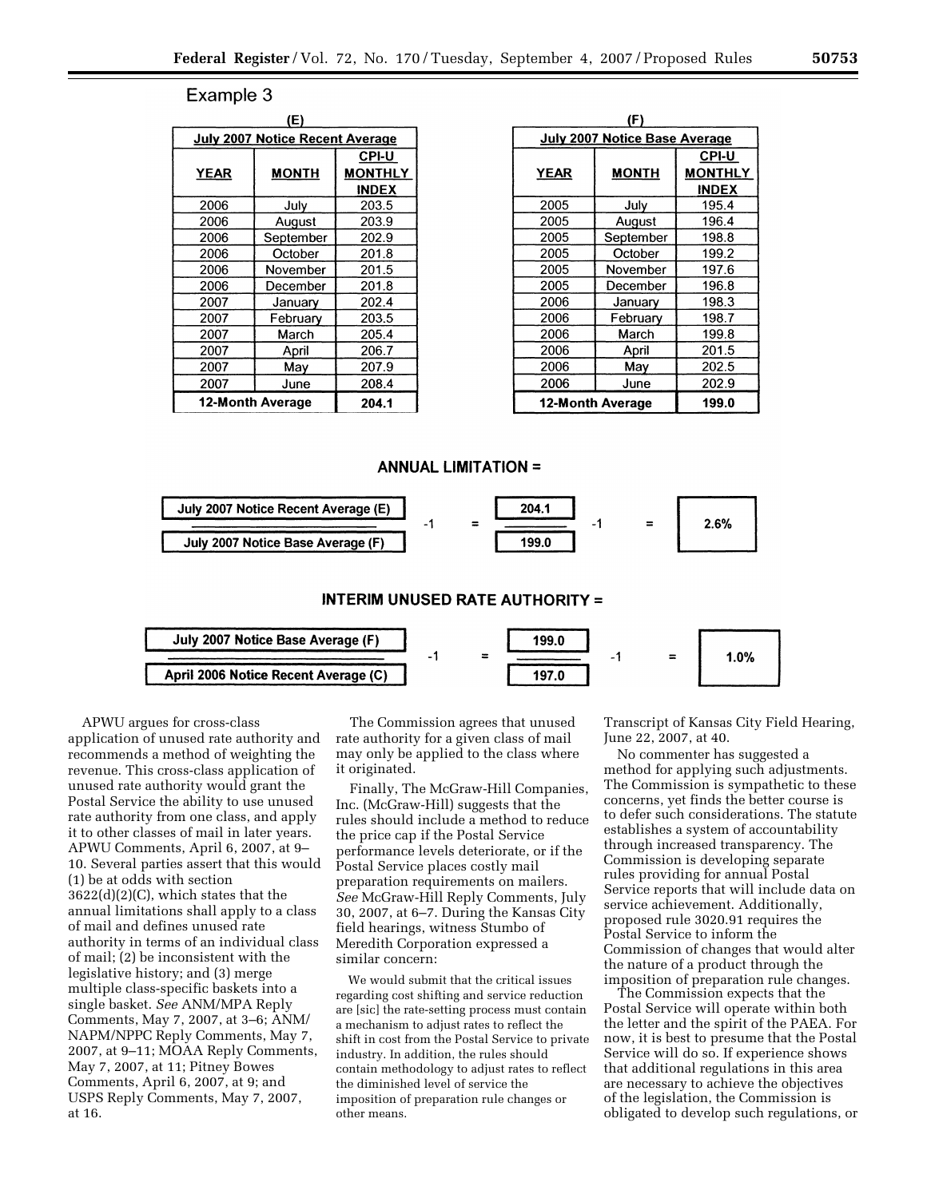# Example 3

| (E)                                    |              |                |
|----------------------------------------|--------------|----------------|
| <b>July 2007 Notice Recent Average</b> |              |                |
|                                        | <b>CPI-U</b> |                |
| <b>YEAR</b>                            | <b>MONTH</b> | <b>MONTHLY</b> |
|                                        |              | <b>INDEX</b>   |
| 2006                                   | July         | 203.5          |
| 2006                                   | August       | 203.9          |
| 2006                                   | September    | 202.9          |
| 2006                                   | October      | 201.8          |
| 2006                                   | November     | 201.5          |
| 2006                                   | December     | 201.8          |
| 2007                                   | January      | 202.4          |
| 2007                                   | February     | 203.5          |
| 2007                                   | March        | 205.4          |
| 2007                                   | April        | 206.7          |
| 2007                                   | May          | 207.9          |
| 2007                                   | June         | 208.4          |
| 12-Month Average                       |              | 204.1          |

| <b>July 2007 Notice Base Average</b> |              |                |
|--------------------------------------|--------------|----------------|
|                                      | CPI-U        |                |
| YEAR                                 | <b>MONTH</b> | <b>MONTHLY</b> |
|                                      |              | <b>INDEX</b>   |
| 2005                                 | July         | 195.4          |
| 2005                                 | August       | 196.4          |
| 2005                                 | September    | 198.8          |
| 2005                                 | October      | 199.2          |
| 2005                                 | November     | 197.6          |
| 2005                                 | December     | 196.8          |
| 2006                                 | January      | 198.3          |
| 2006                                 | February     | 198.7          |
| 2006                                 | March        | 199.8          |
| 2006                                 | April        | 201.5          |
| 2006                                 | May          | 202.5          |
| 2006                                 | June         | 202.9          |
| 12-Month Average                     |              | 199.0          |

# **ANNUAL LIMITATION =**



# **INTERIM UNUSED RATE AUTHORITY =**



APWU argues for cross-class application of unused rate authority and recommends a method of weighting the revenue. This cross-class application of unused rate authority would grant the Postal Service the ability to use unused rate authority from one class, and apply it to other classes of mail in later years. APWU Comments, April 6, 2007, at 9– 10. Several parties assert that this would (1) be at odds with section 3622(d)(2)(C), which states that the annual limitations shall apply to a class of mail and defines unused rate authority in terms of an individual class of mail; (2) be inconsistent with the legislative history; and (3) merge multiple class-specific baskets into a single basket. *See* ANM/MPA Reply Comments, May 7, 2007, at 3–6; ANM/ NAPM/NPPC Reply Comments, May 7, 2007, at 9–11; MOAA Reply Comments, May 7, 2007, at 11; Pitney Bowes Comments, April 6, 2007, at 9; and USPS Reply Comments, May 7, 2007, at 16.

The Commission agrees that unused rate authority for a given class of mail may only be applied to the class where it originated.

Finally, The McGraw-Hill Companies, Inc. (McGraw-Hill) suggests that the rules should include a method to reduce the price cap if the Postal Service performance levels deteriorate, or if the Postal Service places costly mail preparation requirements on mailers. *See* McGraw-Hill Reply Comments, July 30, 2007, at 6–7. During the Kansas City field hearings, witness Stumbo of Meredith Corporation expressed a similar concern:

We would submit that the critical issues regarding cost shifting and service reduction are [sic] the rate-setting process must contain a mechanism to adjust rates to reflect the shift in cost from the Postal Service to private industry. In addition, the rules should contain methodology to adjust rates to reflect the diminished level of service the imposition of preparation rule changes or other means.

Transcript of Kansas City Field Hearing, June 22, 2007, at 40.

No commenter has suggested a method for applying such adjustments. The Commission is sympathetic to these concerns, yet finds the better course is to defer such considerations. The statute establishes a system of accountability through increased transparency. The Commission is developing separate rules providing for annual Postal Service reports that will include data on service achievement. Additionally, proposed rule 3020.91 requires the Postal Service to inform the Commission of changes that would alter the nature of a product through the imposition of preparation rule changes.

The Commission expects that the Postal Service will operate within both the letter and the spirit of the PAEA. For now, it is best to presume that the Postal Service will do so. If experience shows that additional regulations in this area are necessary to achieve the objectives of the legislation, the Commission is obligated to develop such regulations, or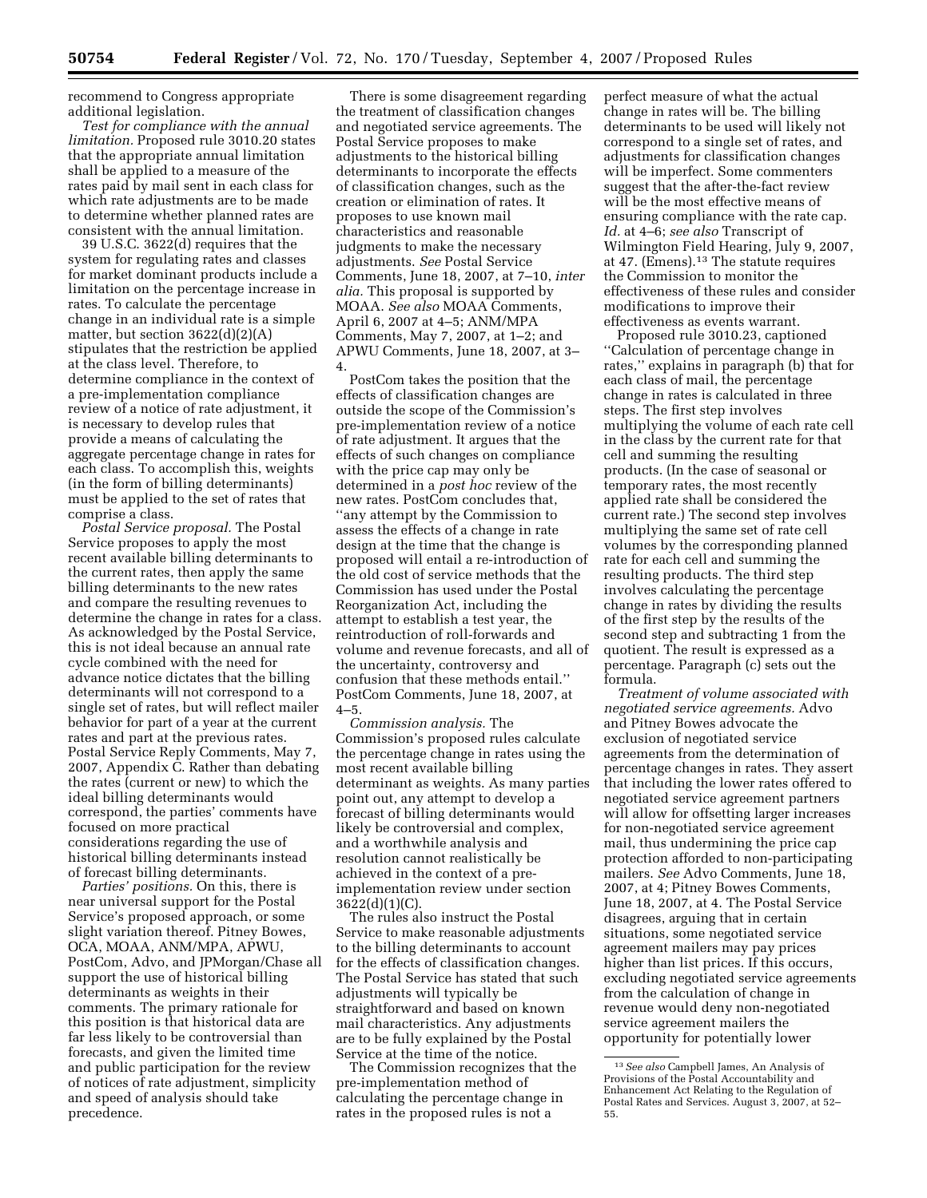recommend to Congress appropriate additional legislation.

*Test for compliance with the annual limitation.* Proposed rule 3010.20 states that the appropriate annual limitation shall be applied to a measure of the rates paid by mail sent in each class for which rate adjustments are to be made to determine whether planned rates are consistent with the annual limitation.

39 U.S.C. 3622(d) requires that the system for regulating rates and classes for market dominant products include a limitation on the percentage increase in rates. To calculate the percentage change in an individual rate is a simple matter, but section 3622(d)(2)(A) stipulates that the restriction be applied at the class level. Therefore, to determine compliance in the context of a pre-implementation compliance review of a notice of rate adjustment, it is necessary to develop rules that provide a means of calculating the aggregate percentage change in rates for each class. To accomplish this, weights (in the form of billing determinants) must be applied to the set of rates that comprise a class.

*Postal Service proposal.* The Postal Service proposes to apply the most recent available billing determinants to the current rates, then apply the same billing determinants to the new rates and compare the resulting revenues to determine the change in rates for a class. As acknowledged by the Postal Service, this is not ideal because an annual rate cycle combined with the need for advance notice dictates that the billing determinants will not correspond to a single set of rates, but will reflect mailer behavior for part of a year at the current rates and part at the previous rates. Postal Service Reply Comments, May 7, 2007, Appendix C. Rather than debating the rates (current or new) to which the ideal billing determinants would correspond, the parties' comments have focused on more practical considerations regarding the use of historical billing determinants instead of forecast billing determinants.

*Parties' positions.* On this, there is near universal support for the Postal Service's proposed approach, or some slight variation thereof. Pitney Bowes, OCA, MOAA, ANM/MPA, APWU, PostCom, Advo, and JPMorgan/Chase all support the use of historical billing determinants as weights in their comments. The primary rationale for this position is that historical data are far less likely to be controversial than forecasts, and given the limited time and public participation for the review of notices of rate adjustment, simplicity and speed of analysis should take precedence.

There is some disagreement regarding the treatment of classification changes and negotiated service agreements. The Postal Service proposes to make adjustments to the historical billing determinants to incorporate the effects of classification changes, such as the creation or elimination of rates. It proposes to use known mail characteristics and reasonable judgments to make the necessary adjustments. *See* Postal Service Comments, June 18, 2007, at 7–10, *inter alia.* This proposal is supported by MOAA. *See also* MOAA Comments, April 6, 2007 at 4–5; ANM/MPA Comments, May 7, 2007, at 1–2; and APWU Comments, June 18, 2007, at 3– 4.

PostCom takes the position that the effects of classification changes are outside the scope of the Commission's pre-implementation review of a notice of rate adjustment. It argues that the effects of such changes on compliance with the price cap may only be determined in a *post hoc* review of the new rates. PostCom concludes that, ''any attempt by the Commission to assess the effects of a change in rate design at the time that the change is proposed will entail a re-introduction of the old cost of service methods that the Commission has used under the Postal Reorganization Act, including the attempt to establish a test year, the reintroduction of roll-forwards and volume and revenue forecasts, and all of the uncertainty, controversy and confusion that these methods entail.'' PostCom Comments, June 18, 2007, at  $4 - 5$ .

*Commission analysis.* The Commission's proposed rules calculate the percentage change in rates using the most recent available billing determinant as weights. As many parties point out, any attempt to develop a forecast of billing determinants would likely be controversial and complex, and a worthwhile analysis and resolution cannot realistically be achieved in the context of a preimplementation review under section 3622(d)(1)(C).

The rules also instruct the Postal Service to make reasonable adjustments to the billing determinants to account for the effects of classification changes. The Postal Service has stated that such adjustments will typically be straightforward and based on known mail characteristics. Any adjustments are to be fully explained by the Postal Service at the time of the notice.

The Commission recognizes that the pre-implementation method of calculating the percentage change in rates in the proposed rules is not a

perfect measure of what the actual change in rates will be. The billing determinants to be used will likely not correspond to a single set of rates, and adjustments for classification changes will be imperfect. Some commenters suggest that the after-the-fact review will be the most effective means of ensuring compliance with the rate cap. *Id.* at 4–6; *see also* Transcript of Wilmington Field Hearing, July 9, 2007, at 47. (Emens).13 The statute requires the Commission to monitor the effectiveness of these rules and consider modifications to improve their effectiveness as events warrant.

Proposed rule 3010.23, captioned ''Calculation of percentage change in rates,'' explains in paragraph (b) that for each class of mail, the percentage change in rates is calculated in three steps. The first step involves multiplying the volume of each rate cell in the class by the current rate for that cell and summing the resulting products. (In the case of seasonal or temporary rates, the most recently applied rate shall be considered the current rate.) The second step involves multiplying the same set of rate cell volumes by the corresponding planned rate for each cell and summing the resulting products. The third step involves calculating the percentage change in rates by dividing the results of the first step by the results of the second step and subtracting 1 from the quotient. The result is expressed as a percentage. Paragraph (c) sets out the formula.

*Treatment of volume associated with negotiated service agreements.* Advo and Pitney Bowes advocate the exclusion of negotiated service agreements from the determination of percentage changes in rates. They assert that including the lower rates offered to negotiated service agreement partners will allow for offsetting larger increases for non-negotiated service agreement mail, thus undermining the price cap protection afforded to non-participating mailers. *See* Advo Comments, June 18, 2007, at 4; Pitney Bowes Comments, June 18, 2007, at 4. The Postal Service disagrees, arguing that in certain situations, some negotiated service agreement mailers may pay prices higher than list prices. If this occurs, excluding negotiated service agreements from the calculation of change in revenue would deny non-negotiated service agreement mailers the opportunity for potentially lower

<sup>13</sup>*See also* Campbell James, An Analysis of Provisions of the Postal Accountability and Enhancement Act Relating to the Regulation of Postal Rates and Services. August 3, 2007, at 52– 55.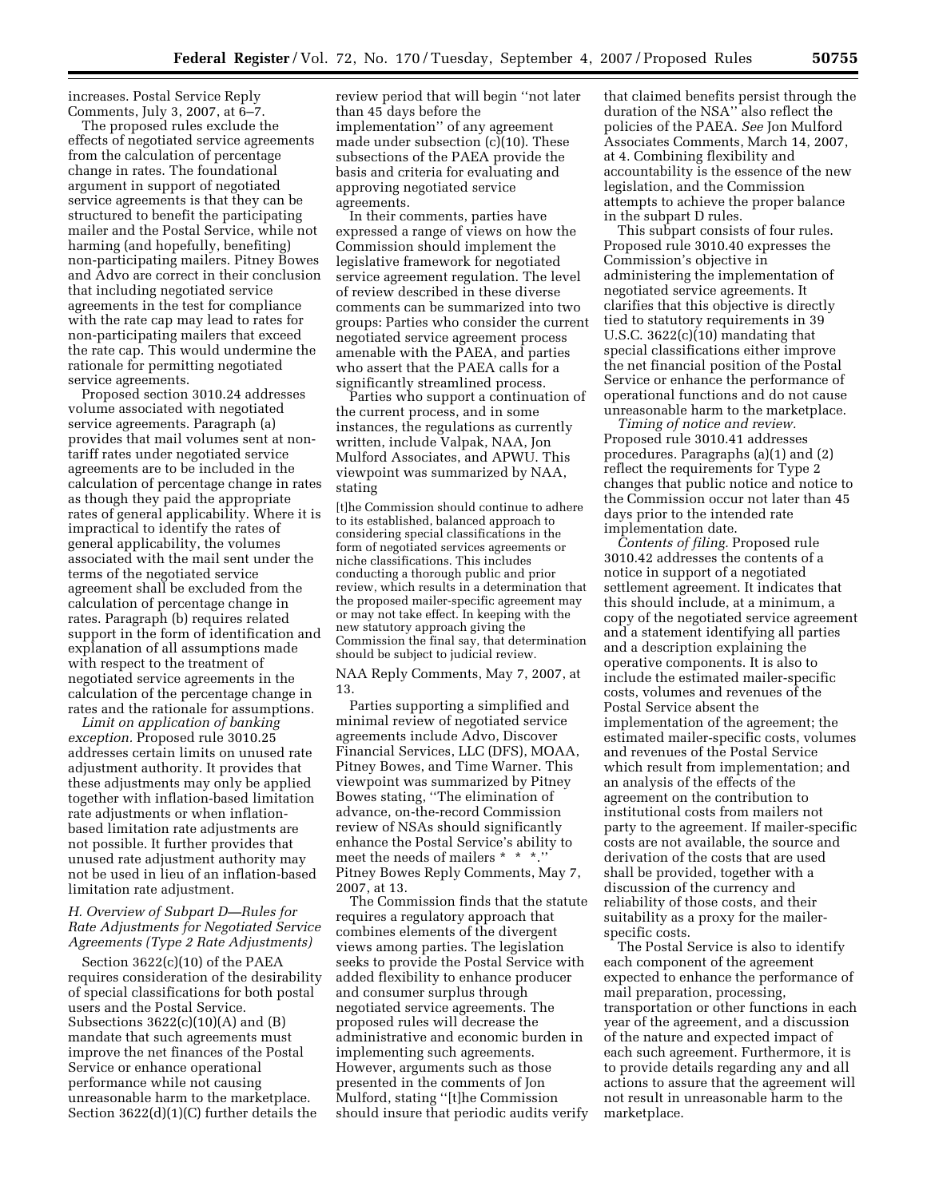increases. Postal Service Reply Comments, July 3, 2007, at 6–7.

The proposed rules exclude the effects of negotiated service agreements from the calculation of percentage change in rates. The foundational argument in support of negotiated service agreements is that they can be structured to benefit the participating mailer and the Postal Service, while not harming (and hopefully, benefiting) non-participating mailers. Pitney Bowes and Advo are correct in their conclusion that including negotiated service agreements in the test for compliance with the rate cap may lead to rates for non-participating mailers that exceed the rate cap. This would undermine the rationale for permitting negotiated service agreements.

Proposed section 3010.24 addresses volume associated with negotiated service agreements. Paragraph (a) provides that mail volumes sent at nontariff rates under negotiated service agreements are to be included in the calculation of percentage change in rates as though they paid the appropriate rates of general applicability. Where it is impractical to identify the rates of general applicability, the volumes associated with the mail sent under the terms of the negotiated service agreement shall be excluded from the calculation of percentage change in rates. Paragraph (b) requires related support in the form of identification and explanation of all assumptions made with respect to the treatment of negotiated service agreements in the calculation of the percentage change in rates and the rationale for assumptions.

*Limit on application of banking exception.* Proposed rule 3010.25 addresses certain limits on unused rate adjustment authority. It provides that these adjustments may only be applied together with inflation-based limitation rate adjustments or when inflationbased limitation rate adjustments are not possible. It further provides that unused rate adjustment authority may not be used in lieu of an inflation-based limitation rate adjustment.

## *H. Overview of Subpart D—Rules for Rate Adjustments for Negotiated Service Agreements (Type 2 Rate Adjustments)*

Section 3622(c)(10) of the PAEA requires consideration of the desirability of special classifications for both postal users and the Postal Service. Subsections  $3622(c)(10)(A)$  and  $(B)$ mandate that such agreements must improve the net finances of the Postal Service or enhance operational performance while not causing unreasonable harm to the marketplace. Section 3622(d)(1)(C) further details the

review period that will begin ''not later than 45 days before the implementation'' of any agreement made under subsection (c)(10). These subsections of the PAEA provide the basis and criteria for evaluating and approving negotiated service agreements.

In their comments, parties have expressed a range of views on how the Commission should implement the legislative framework for negotiated service agreement regulation. The level of review described in these diverse comments can be summarized into two groups: Parties who consider the current negotiated service agreement process amenable with the PAEA, and parties who assert that the PAEA calls for a significantly streamlined process.

Parties who support a continuation of the current process, and in some instances, the regulations as currently written, include Valpak, NAA, Jon Mulford Associates, and APWU. This viewpoint was summarized by NAA, stating

[t]he Commission should continue to adhere to its established, balanced approach to considering special classifications in the form of negotiated services agreements or niche classifications. This includes conducting a thorough public and prior review, which results in a determination that the proposed mailer-specific agreement may or may not take effect. In keeping with the new statutory approach giving the Commission the final say, that determination should be subject to judicial review.

NAA Reply Comments, May 7, 2007, at 13.

Parties supporting a simplified and minimal review of negotiated service agreements include Advo, Discover Financial Services, LLC (DFS), MOAA, Pitney Bowes, and Time Warner. This viewpoint was summarized by Pitney Bowes stating, ''The elimination of advance, on-the-record Commission review of NSAs should significantly enhance the Postal Service's ability to meet the needs of mailers \* \* \*.'' Pitney Bowes Reply Comments, May 7, 2007, at 13.

The Commission finds that the statute requires a regulatory approach that combines elements of the divergent views among parties. The legislation seeks to provide the Postal Service with added flexibility to enhance producer and consumer surplus through negotiated service agreements. The proposed rules will decrease the administrative and economic burden in implementing such agreements. However, arguments such as those presented in the comments of Jon Mulford, stating ''[t]he Commission should insure that periodic audits verify

that claimed benefits persist through the duration of the NSA'' also reflect the policies of the PAEA. *See* Jon Mulford Associates Comments, March 14, 2007, at 4. Combining flexibility and accountability is the essence of the new legislation, and the Commission attempts to achieve the proper balance in the subpart D rules.

This subpart consists of four rules. Proposed rule 3010.40 expresses the Commission's objective in administering the implementation of negotiated service agreements. It clarifies that this objective is directly tied to statutory requirements in 39 U.S.C. 3622(c)(10) mandating that special classifications either improve the net financial position of the Postal Service or enhance the performance of operational functions and do not cause unreasonable harm to the marketplace.

*Timing of notice and review.*  Proposed rule 3010.41 addresses procedures. Paragraphs (a)(1) and (2) reflect the requirements for Type 2 changes that public notice and notice to the Commission occur not later than 45 days prior to the intended rate implementation date.

*Contents of filing.* Proposed rule 3010.42 addresses the contents of a notice in support of a negotiated settlement agreement. It indicates that this should include, at a minimum, a copy of the negotiated service agreement and a statement identifying all parties and a description explaining the operative components. It is also to include the estimated mailer-specific costs, volumes and revenues of the Postal Service absent the implementation of the agreement; the estimated mailer-specific costs, volumes and revenues of the Postal Service which result from implementation; and an analysis of the effects of the agreement on the contribution to institutional costs from mailers not party to the agreement. If mailer-specific costs are not available, the source and derivation of the costs that are used shall be provided, together with a discussion of the currency and reliability of those costs, and their suitability as a proxy for the mailerspecific costs.

The Postal Service is also to identify each component of the agreement expected to enhance the performance of mail preparation, processing, transportation or other functions in each year of the agreement, and a discussion of the nature and expected impact of each such agreement. Furthermore, it is to provide details regarding any and all actions to assure that the agreement will not result in unreasonable harm to the marketplace.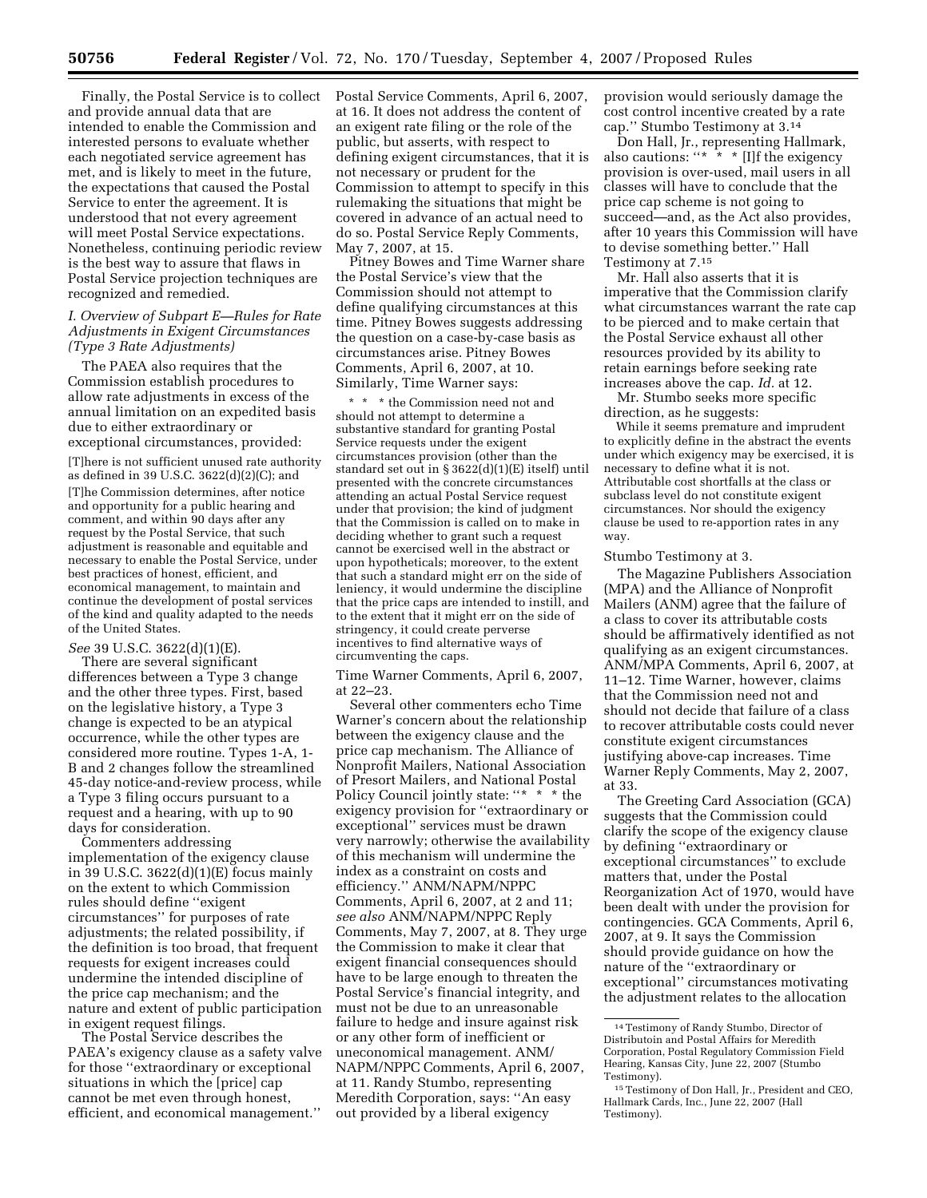Finally, the Postal Service is to collect and provide annual data that are intended to enable the Commission and interested persons to evaluate whether each negotiated service agreement has met, and is likely to meet in the future, the expectations that caused the Postal Service to enter the agreement. It is understood that not every agreement will meet Postal Service expectations. Nonetheless, continuing periodic review is the best way to assure that flaws in Postal Service projection techniques are recognized and remedied.

# *I. Overview of Subpart E—Rules for Rate Adjustments in Exigent Circumstances (Type 3 Rate Adjustments)*

The PAEA also requires that the Commission establish procedures to allow rate adjustments in excess of the annual limitation on an expedited basis due to either extraordinary or exceptional circumstances, provided:

[T]here is not sufficient unused rate authority as defined in 39 U.S.C. 3622(d)(2)(C); and [T]he Commission determines, after notice and opportunity for a public hearing and comment, and within 90 days after any request by the Postal Service, that such adjustment is reasonable and equitable and necessary to enable the Postal Service, under best practices of honest, efficient, and economical management, to maintain and continue the development of postal services of the kind and quality adapted to the needs of the United States.

*See* 39 U.S.C. 3622(d)(1)(E).

There are several significant differences between a Type 3 change and the other three types. First, based on the legislative history, a Type 3 change is expected to be an atypical occurrence, while the other types are considered more routine. Types 1-A, 1- B and 2 changes follow the streamlined 45-day notice-and-review process, while a Type 3 filing occurs pursuant to a request and a hearing, with up to 90 days for consideration.

Commenters addressing implementation of the exigency clause in 39 U.S.C. 3622(d)(1)(E) focus mainly on the extent to which Commission rules should define ''exigent circumstances'' for purposes of rate adjustments; the related possibility, if the definition is too broad, that frequent requests for exigent increases could undermine the intended discipline of the price cap mechanism; and the nature and extent of public participation in exigent request filings.

The Postal Service describes the PAEA's exigency clause as a safety valve for those ''extraordinary or exceptional situations in which the [price] cap cannot be met even through honest, efficient, and economical management.''

Postal Service Comments, April 6, 2007, at 16. It does not address the content of an exigent rate filing or the role of the public, but asserts, with respect to defining exigent circumstances, that it is not necessary or prudent for the Commission to attempt to specify in this rulemaking the situations that might be covered in advance of an actual need to do so. Postal Service Reply Comments, May 7, 2007, at 15.

Pitney Bowes and Time Warner share the Postal Service's view that the Commission should not attempt to define qualifying circumstances at this time. Pitney Bowes suggests addressing the question on a case-by-case basis as circumstances arise. Pitney Bowes Comments, April 6, 2007, at 10. Similarly, Time Warner says:

\* \* \* the Commission need not and should not attempt to determine a substantive standard for granting Postal Service requests under the exigent circumstances provision (other than the standard set out in § 3622(d)(1)(E) itself) until presented with the concrete circumstances attending an actual Postal Service request under that provision; the kind of judgment that the Commission is called on to make in deciding whether to grant such a request cannot be exercised well in the abstract or upon hypotheticals; moreover, to the extent that such a standard might err on the side of leniency, it would undermine the discipline that the price caps are intended to instill, and to the extent that it might err on the side of stringency, it could create perverse incentives to find alternative ways of circumventing the caps.

Time Warner Comments, April 6, 2007, at 22–23.

Several other commenters echo Time Warner's concern about the relationship between the exigency clause and the price cap mechanism. The Alliance of Nonprofit Mailers, National Association of Presort Mailers, and National Postal Policy Council jointly state: "\* \* \* the exigency provision for ''extraordinary or exceptional'' services must be drawn very narrowly; otherwise the availability of this mechanism will undermine the index as a constraint on costs and efficiency.'' ANM/NAPM/NPPC Comments, April 6, 2007, at 2 and 11; *see also* ANM/NAPM/NPPC Reply Comments, May 7, 2007, at 8. They urge the Commission to make it clear that exigent financial consequences should have to be large enough to threaten the Postal Service's financial integrity, and must not be due to an unreasonable failure to hedge and insure against risk or any other form of inefficient or uneconomical management. ANM/ NAPM/NPPC Comments, April 6, 2007, at 11. Randy Stumbo, representing Meredith Corporation, says: ''An easy out provided by a liberal exigency

provision would seriously damage the cost control incentive created by a rate cap.'' Stumbo Testimony at 3.14

Don Hall, Jr., representing Hallmark, also cautions: "\*  $*$  \* [I]f the exigency provision is over-used, mail users in all classes will have to conclude that the price cap scheme is not going to succeed—and, as the Act also provides, after 10 years this Commission will have to devise something better.'' Hall Testimony at 7.15

Mr. Hall also asserts that it is imperative that the Commission clarify what circumstances warrant the rate cap to be pierced and to make certain that the Postal Service exhaust all other resources provided by its ability to retain earnings before seeking rate increases above the cap. *Id.* at 12.

Mr. Stumbo seeks more specific direction, as he suggests:

While it seems premature and imprudent to explicitly define in the abstract the events under which exigency may be exercised, it is necessary to define what it is not. Attributable cost shortfalls at the class or subclass level do not constitute exigent circumstances. Nor should the exigency clause be used to re-apportion rates in any way.

#### Stumbo Testimony at 3.

The Magazine Publishers Association (MPA) and the Alliance of Nonprofit Mailers (ANM) agree that the failure of a class to cover its attributable costs should be affirmatively identified as not qualifying as an exigent circumstances. ANM/MPA Comments, April 6, 2007, at 11–12. Time Warner, however, claims that the Commission need not and should not decide that failure of a class to recover attributable costs could never constitute exigent circumstances justifying above-cap increases. Time Warner Reply Comments, May 2, 2007, at 33.

The Greeting Card Association (GCA) suggests that the Commission could clarify the scope of the exigency clause by defining ''extraordinary or exceptional circumstances'' to exclude matters that, under the Postal Reorganization Act of 1970, would have been dealt with under the provision for contingencies. GCA Comments, April 6, 2007, at 9. It says the Commission should provide guidance on how the nature of the ''extraordinary or exceptional'' circumstances motivating the adjustment relates to the allocation

<sup>14</sup>Testimony of Randy Stumbo, Director of Distributoin and Postal Affairs for Meredith Corporation, Postal Regulatory Commission Field Hearing, Kansas City, June 22, 2007 (Stumbo Testimony).

<sup>15</sup>Testimony of Don Hall, Jr., President and CEO, Hallmark Cards, Inc., June 22, 2007 (Hall Testimony).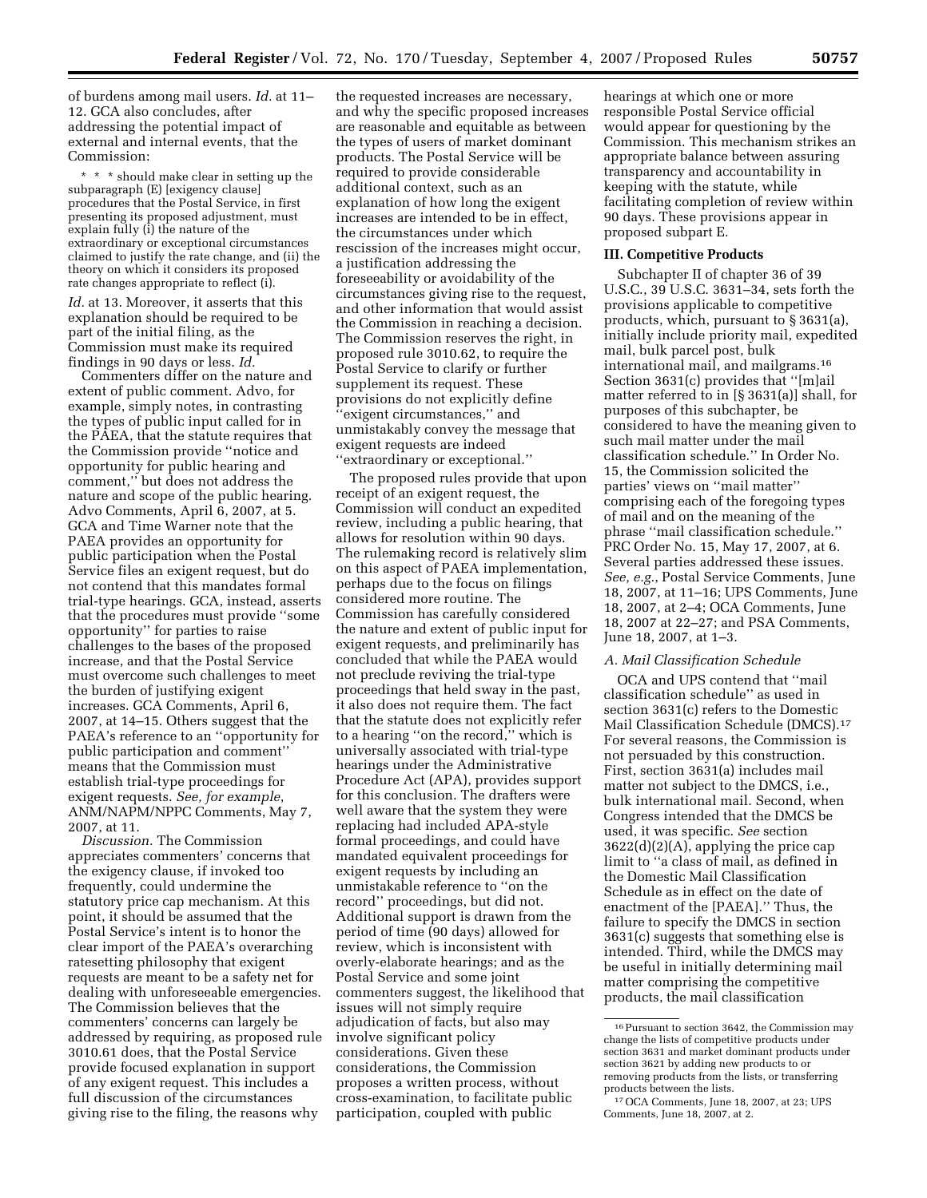of burdens among mail users. *Id.* at 11– 12. GCA also concludes, after addressing the potential impact of external and internal events, that the Commission:

\* \* \* should make clear in setting up the subparagraph (E) [exigency clause] procedures that the Postal Service, in first presenting its proposed adjustment, must explain fully (i) the nature of the extraordinary or exceptional circumstances claimed to justify the rate change, and (ii) the theory on which it considers its proposed rate changes appropriate to reflect (i).

*Id.* at 13. Moreover, it asserts that this explanation should be required to be part of the initial filing, as the Commission must make its required findings in 90 days or less. *Id.* 

Commenters differ on the nature and extent of public comment. Advo, for example, simply notes, in contrasting the types of public input called for in the PAEA, that the statute requires that the Commission provide ''notice and opportunity for public hearing and comment,'' but does not address the nature and scope of the public hearing. Advo Comments, April 6, 2007, at 5. GCA and Time Warner note that the PAEA provides an opportunity for public participation when the Postal Service files an exigent request, but do not contend that this mandates formal trial-type hearings. GCA, instead, asserts that the procedures must provide ''some opportunity'' for parties to raise challenges to the bases of the proposed increase, and that the Postal Service must overcome such challenges to meet the burden of justifying exigent increases. GCA Comments, April 6, 2007, at 14–15. Others suggest that the PAEA's reference to an ''opportunity for public participation and comment'' means that the Commission must establish trial-type proceedings for exigent requests. *See, for example*, ANM/NAPM/NPPC Comments, May 7, 2007, at 11.

*Discussion.* The Commission appreciates commenters' concerns that the exigency clause, if invoked too frequently, could undermine the statutory price cap mechanism. At this point, it should be assumed that the Postal Service's intent is to honor the clear import of the PAEA's overarching ratesetting philosophy that exigent requests are meant to be a safety net for dealing with unforeseeable emergencies. The Commission believes that the commenters' concerns can largely be addressed by requiring, as proposed rule 3010.61 does, that the Postal Service provide focused explanation in support of any exigent request. This includes a full discussion of the circumstances giving rise to the filing, the reasons why

the requested increases are necessary, and why the specific proposed increases are reasonable and equitable as between the types of users of market dominant products. The Postal Service will be required to provide considerable additional context, such as an explanation of how long the exigent increases are intended to be in effect, the circumstances under which rescission of the increases might occur, a justification addressing the foreseeability or avoidability of the circumstances giving rise to the request, and other information that would assist the Commission in reaching a decision. The Commission reserves the right, in proposed rule 3010.62, to require the Postal Service to clarify or further supplement its request. These provisions do not explicitly define 'exigent circumstances," and unmistakably convey the message that exigent requests are indeed ''extraordinary or exceptional.''

The proposed rules provide that upon receipt of an exigent request, the Commission will conduct an expedited review, including a public hearing, that allows for resolution within 90 days. The rulemaking record is relatively slim on this aspect of PAEA implementation, perhaps due to the focus on filings considered more routine. The Commission has carefully considered the nature and extent of public input for exigent requests, and preliminarily has concluded that while the PAEA would not preclude reviving the trial-type proceedings that held sway in the past, it also does not require them. The fact that the statute does not explicitly refer to a hearing ''on the record,'' which is universally associated with trial-type hearings under the Administrative Procedure Act (APA), provides support for this conclusion. The drafters were well aware that the system they were replacing had included APA-style formal proceedings, and could have mandated equivalent proceedings for exigent requests by including an unmistakable reference to ''on the record'' proceedings, but did not. Additional support is drawn from the period of time (90 days) allowed for review, which is inconsistent with overly-elaborate hearings; and as the Postal Service and some joint commenters suggest, the likelihood that issues will not simply require adjudication of facts, but also may involve significant policy considerations. Given these considerations, the Commission proposes a written process, without cross-examination, to facilitate public participation, coupled with public

hearings at which one or more responsible Postal Service official would appear for questioning by the Commission. This mechanism strikes an appropriate balance between assuring transparency and accountability in keeping with the statute, while facilitating completion of review within 90 days. These provisions appear in proposed subpart E.

#### **III. Competitive Products**

Subchapter II of chapter 36 of 39 U.S.C., 39 U.S.C. 3631–34, sets forth the provisions applicable to competitive products, which, pursuant to § 3631(a), initially include priority mail, expedited mail, bulk parcel post, bulk international mail, and mailgrams.16 Section 3631(c) provides that ''[m]ail matter referred to in [§ 3631(a)] shall, for purposes of this subchapter, be considered to have the meaning given to such mail matter under the mail classification schedule.'' In Order No. 15, the Commission solicited the parties' views on ''mail matter'' comprising each of the foregoing types of mail and on the meaning of the phrase ''mail classification schedule.'' PRC Order No. 15, May 17, 2007, at 6. Several parties addressed these issues. *See, e.g.*, Postal Service Comments, June 18, 2007, at 11–16; UPS Comments, June 18, 2007, at 2–4; OCA Comments, June 18, 2007 at 22–27; and PSA Comments, June 18, 2007, at 1–3.

#### *A. Mail Classification Schedule*

OCA and UPS contend that ''mail classification schedule'' as used in section 3631(c) refers to the Domestic Mail Classification Schedule (DMCS).17 For several reasons, the Commission is not persuaded by this construction. First, section 3631(a) includes mail matter not subject to the DMCS, i.e., bulk international mail. Second, when Congress intended that the DMCS be used, it was specific. *See* section 3622(d)(2)(A), applying the price cap limit to ''a class of mail, as defined in the Domestic Mail Classification Schedule as in effect on the date of enactment of the [PAEA].'' Thus, the failure to specify the DMCS in section 3631(c) suggests that something else is intended. Third, while the DMCS may be useful in initially determining mail matter comprising the competitive products, the mail classification

<sup>16</sup>Pursuant to section 3642, the Commission may change the lists of competitive products under section 3631 and market dominant products under section 3621 by adding new products to or removing products from the lists, or transferring products between the lists.

<sup>17</sup>OCA Comments, June 18, 2007, at 23; UPS Comments, June 18, 2007, at 2.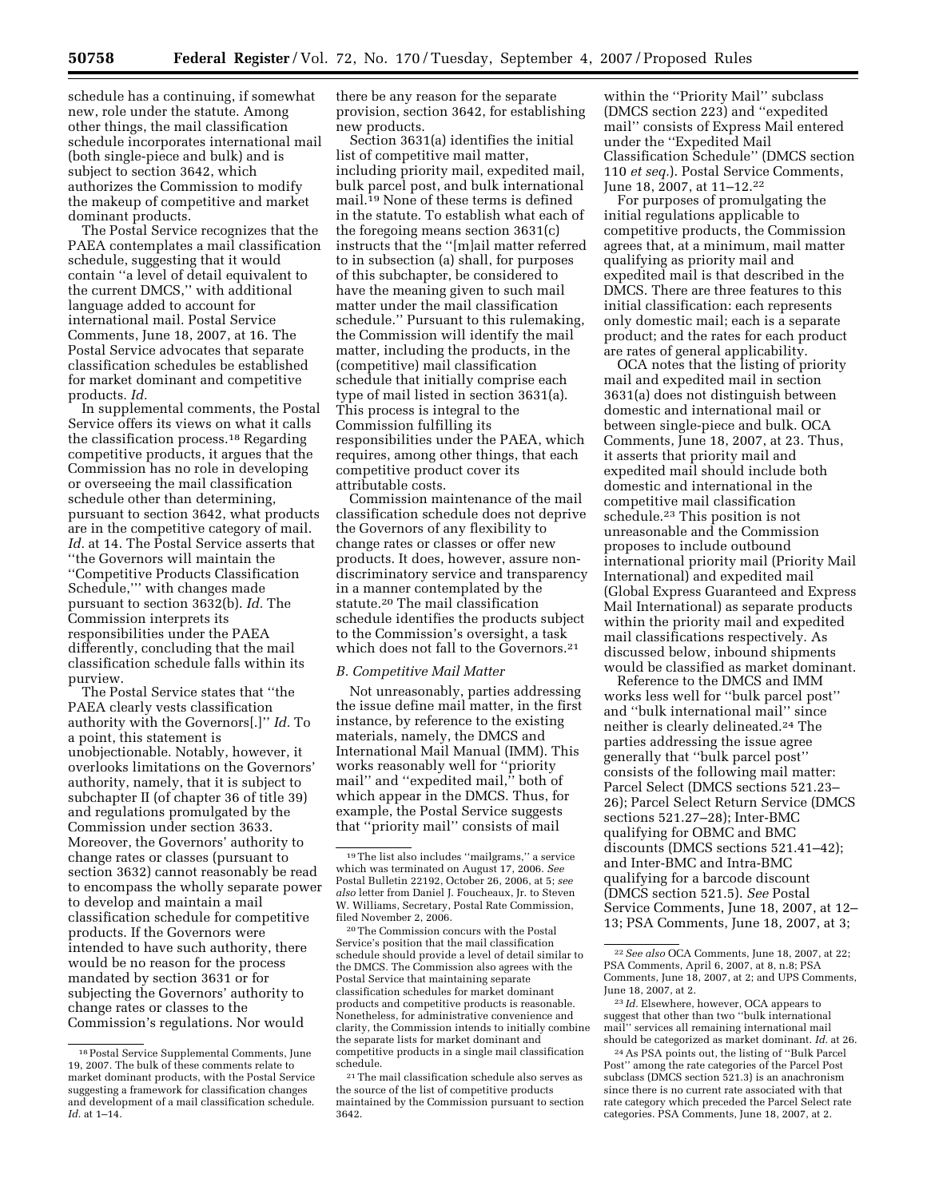schedule has a continuing, if somewhat new, role under the statute. Among other things, the mail classification schedule incorporates international mail (both single-piece and bulk) and is subject to section 3642, which authorizes the Commission to modify the makeup of competitive and market dominant products.

The Postal Service recognizes that the PAEA contemplates a mail classification schedule, suggesting that it would contain ''a level of detail equivalent to the current DMCS,'' with additional language added to account for international mail. Postal Service Comments, June 18, 2007, at 16. The Postal Service advocates that separate classification schedules be established for market dominant and competitive products. *Id.* 

In supplemental comments, the Postal Service offers its views on what it calls the classification process.18 Regarding competitive products, it argues that the Commission has no role in developing or overseeing the mail classification schedule other than determining, pursuant to section 3642, what products are in the competitive category of mail. *Id.* at 14. The Postal Service asserts that ''the Governors will maintain the ''Competitive Products Classification Schedule,''' with changes made pursuant to section 3632(b). *Id.* The Commission interprets its responsibilities under the PAEA differently, concluding that the mail classification schedule falls within its purview.

The Postal Service states that ''the PAEA clearly vests classification authority with the Governors[.]'' *Id.* To a point, this statement is unobjectionable. Notably, however, it overlooks limitations on the Governors' authority, namely, that it is subject to subchapter II (of chapter 36 of title 39) and regulations promulgated by the Commission under section 3633. Moreover, the Governors' authority to change rates or classes (pursuant to section 3632) cannot reasonably be read to encompass the wholly separate power to develop and maintain a mail classification schedule for competitive products. If the Governors were intended to have such authority, there would be no reason for the process mandated by section 3631 or for subjecting the Governors' authority to change rates or classes to the Commission's regulations. Nor would

there be any reason for the separate provision, section 3642, for establishing new products.

Section 3631(a) identifies the initial list of competitive mail matter, including priority mail, expedited mail, bulk parcel post, and bulk international mail.19 None of these terms is defined in the statute. To establish what each of the foregoing means section 3631(c) instructs that the ''[m]ail matter referred to in subsection (a) shall, for purposes of this subchapter, be considered to have the meaning given to such mail matter under the mail classification schedule.'' Pursuant to this rulemaking, the Commission will identify the mail matter, including the products, in the (competitive) mail classification schedule that initially comprise each type of mail listed in section 3631(a). This process is integral to the Commission fulfilling its responsibilities under the PAEA, which requires, among other things, that each competitive product cover its attributable costs.

Commission maintenance of the mail classification schedule does not deprive the Governors of any flexibility to change rates or classes or offer new products. It does, however, assure nondiscriminatory service and transparency in a manner contemplated by the statute.20 The mail classification schedule identifies the products subject to the Commission's oversight, a task which does not fall to the Governors.21

### *B. Competitive Mail Matter*

Not unreasonably, parties addressing the issue define mail matter, in the first instance, by reference to the existing materials, namely, the DMCS and International Mail Manual (IMM). This works reasonably well for ''priority mail'' and ''expedited mail,'' both of which appear in the DMCS. Thus, for example, the Postal Service suggests that ''priority mail'' consists of mail

20The Commission concurs with the Postal Service's position that the mail classification schedule should provide a level of detail similar to the DMCS. The Commission also agrees with the Postal Service that maintaining separate classification schedules for market dominant products and competitive products is reasonable. Nonetheless, for administrative convenience and clarity, the Commission intends to initially combine the separate lists for market dominant and competitive products in a single mail classification schedule.

21The mail classification schedule also serves as the source of the list of competitive products maintained by the Commission pursuant to section 3642.

within the ''Priority Mail'' subclass (DMCS section 223) and ''expedited mail'' consists of Express Mail entered under the ''Expedited Mail Classification Schedule'' (DMCS section 110 *et seq.*). Postal Service Comments, June 18, 2007, at 11–12.22

For purposes of promulgating the initial regulations applicable to competitive products, the Commission agrees that, at a minimum, mail matter qualifying as priority mail and expedited mail is that described in the DMCS. There are three features to this initial classification: each represents only domestic mail; each is a separate product; and the rates for each product are rates of general applicability.

OCA notes that the listing of priority mail and expedited mail in section 3631(a) does not distinguish between domestic and international mail or between single-piece and bulk. OCA Comments, June 18, 2007, at 23. Thus, it asserts that priority mail and expedited mail should include both domestic and international in the competitive mail classification schedule.23 This position is not unreasonable and the Commission proposes to include outbound international priority mail (Priority Mail International) and expedited mail (Global Express Guaranteed and Express Mail International) as separate products within the priority mail and expedited mail classifications respectively. As discussed below, inbound shipments would be classified as market dominant.

Reference to the DMCS and IMM works less well for ''bulk parcel post'' and ''bulk international mail'' since neither is clearly delineated.24 The parties addressing the issue agree generally that ''bulk parcel post'' consists of the following mail matter: Parcel Select (DMCS sections 521.23– 26); Parcel Select Return Service (DMCS sections 521.27–28); Inter-BMC qualifying for OBMC and BMC discounts (DMCS sections 521.41–42); and Inter-BMC and Intra-BMC qualifying for a barcode discount (DMCS section 521.5). *See* Postal Service Comments, June 18, 2007, at 12– 13; PSA Comments, June 18, 2007, at 3;

<sup>18</sup>Postal Service Supplemental Comments, June 19, 2007. The bulk of these comments relate to market dominant products, with the Postal Service suggesting a framework for classification changes and development of a mail classification schedule. *Id.* at 1–14.

<sup>19</sup>The list also includes ''mailgrams,'' a service which was terminated on August 17, 2006. *See*  Postal Bulletin 22192, October 26, 2006, at 5; *see also* letter from Daniel J. Foucheaux, Jr. to Steven W. Williams, Secretary, Postal Rate Commission, filed November 2, 2006.

<sup>22</sup>*See also* OCA Comments, June 18, 2007, at 22; PSA Comments, April 6, 2007, at 8, n.8; PSA Comments, June 18, 2007, at 2; and UPS Comments, June 18, 2007, at 2.

<sup>23</sup> *Id.* Elsewhere, however, OCA appears to suggest that other than two ''bulk international mail'' services all remaining international mail should be categorized as market dominant. *Id.* at 26.

<sup>24</sup>As PSA points out, the listing of ''Bulk Parcel Post'' among the rate categories of the Parcel Post subclass (DMCS section 521.3) is an anachronism since there is no current rate associated with that rate category which preceded the Parcel Select rate categories. PSA Comments, June 18, 2007, at 2.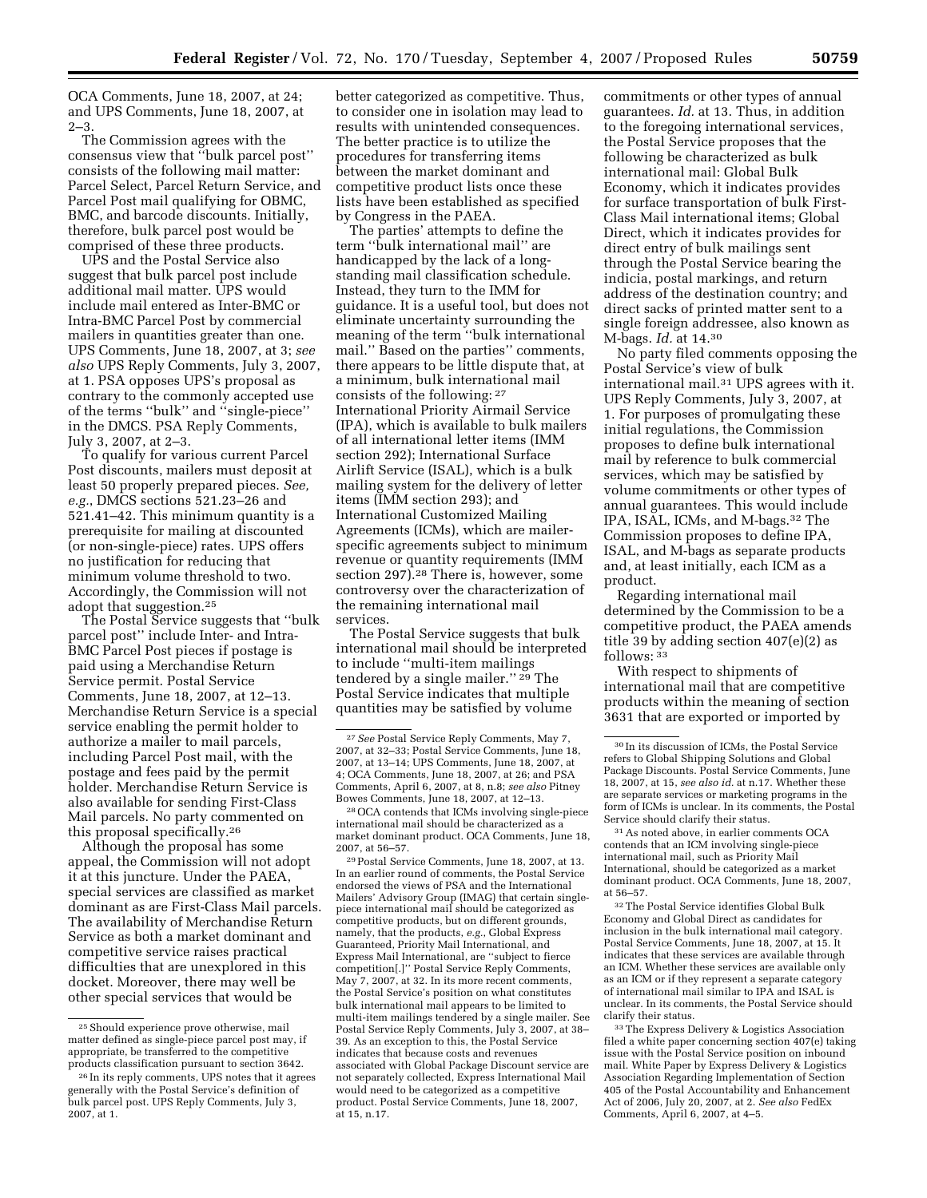OCA Comments, June 18, 2007, at 24; and UPS Comments, June 18, 2007, at 2–3.

The Commission agrees with the consensus view that ''bulk parcel post'' consists of the following mail matter: Parcel Select, Parcel Return Service, and Parcel Post mail qualifying for OBMC, BMC, and barcode discounts. Initially, therefore, bulk parcel post would be comprised of these three products.

UPS and the Postal Service also suggest that bulk parcel post include additional mail matter. UPS would include mail entered as Inter-BMC or Intra-BMC Parcel Post by commercial mailers in quantities greater than one. UPS Comments, June 18, 2007, at 3; *see also* UPS Reply Comments, July 3, 2007, at 1. PSA opposes UPS's proposal as contrary to the commonly accepted use of the terms ''bulk'' and ''single-piece'' in the DMCS. PSA Reply Comments, July 3, 2007, at 2–3.

To qualify for various current Parcel Post discounts, mailers must deposit at least 50 properly prepared pieces. *See, e.g.*, DMCS sections 521.23–26 and 521.41–42. This minimum quantity is a prerequisite for mailing at discounted (or non-single-piece) rates. UPS offers no justification for reducing that minimum volume threshold to two. Accordingly, the Commission will not adopt that suggestion.25

The Postal Service suggests that ''bulk parcel post'' include Inter- and Intra-BMC Parcel Post pieces if postage is paid using a Merchandise Return Service permit. Postal Service Comments, June 18, 2007, at 12–13. Merchandise Return Service is a special service enabling the permit holder to authorize a mailer to mail parcels, including Parcel Post mail, with the postage and fees paid by the permit holder. Merchandise Return Service is also available for sending First-Class Mail parcels. No party commented on this proposal specifically.26

Although the proposal has some appeal, the Commission will not adopt it at this juncture. Under the PAEA, special services are classified as market dominant as are First-Class Mail parcels. The availability of Merchandise Return Service as both a market dominant and competitive service raises practical difficulties that are unexplored in this docket. Moreover, there may well be other special services that would be

better categorized as competitive. Thus, to consider one in isolation may lead to results with unintended consequences. The better practice is to utilize the procedures for transferring items between the market dominant and competitive product lists once these lists have been established as specified by Congress in the PAEA.

The parties' attempts to define the term ''bulk international mail'' are handicapped by the lack of a longstanding mail classification schedule. Instead, they turn to the IMM for guidance. It is a useful tool, but does not eliminate uncertainty surrounding the meaning of the term ''bulk international mail.'' Based on the parties'' comments, there appears to be little dispute that, at a minimum, bulk international mail consists of the following: 27 International Priority Airmail Service (IPA), which is available to bulk mailers of all international letter items (IMM section 292); International Surface Airlift Service (ISAL), which is a bulk mailing system for the delivery of letter items (IMM section 293); and International Customized Mailing Agreements (ICMs), which are mailerspecific agreements subject to minimum revenue or quantity requirements (IMM section 297).<sup>28</sup> There is, however, some controversy over the characterization of the remaining international mail services.

The Postal Service suggests that bulk international mail should be interpreted to include ''multi-item mailings tendered by a single mailer."  $29$  The Postal Service indicates that multiple quantities may be satisfied by volume

29Postal Service Comments, June 18, 2007, at 13. In an earlier round of comments, the Postal Service endorsed the views of PSA and the International Mailers' Advisory Group (IMAG) that certain singlepiece international mail should be categorized as competitive products, but on different grounds, namely, that the products, *e.g.*, Global Express Guaranteed, Priority Mail International, and Express Mail International, are ''subject to fierce competition[.]'' Postal Service Reply Comments, May 7, 2007, at 32. In its more recent comments, the Postal Service's position on what constitutes bulk international mail appears to be limited to multi-item mailings tendered by a single mailer. See Postal Service Reply Comments, July 3, 2007, at 38– 39. As an exception to this, the Postal Service indicates that because costs and revenues associated with Global Package Discount service are not separately collected, Express International Mail would need to be categorized as a competitive product. Postal Service Comments, June 18, 2007, at 15, n.17.

commitments or other types of annual guarantees. *Id.* at 13. Thus, in addition to the foregoing international services, the Postal Service proposes that the following be characterized as bulk international mail: Global Bulk Economy, which it indicates provides for surface transportation of bulk First-Class Mail international items; Global Direct, which it indicates provides for direct entry of bulk mailings sent through the Postal Service bearing the indicia, postal markings, and return address of the destination country; and direct sacks of printed matter sent to a single foreign addressee, also known as M-bags. *Id.* at 14.30

No party filed comments opposing the Postal Service's view of bulk international mail.31 UPS agrees with it. UPS Reply Comments, July 3, 2007, at 1. For purposes of promulgating these initial regulations, the Commission proposes to define bulk international mail by reference to bulk commercial services, which may be satisfied by volume commitments or other types of annual guarantees. This would include IPA, ISAL, ICMs, and M-bags.32 The Commission proposes to define IPA, ISAL, and M-bags as separate products and, at least initially, each ICM as a product.

Regarding international mail determined by the Commission to be a competitive product, the PAEA amends title 39 by adding section 407(e)(2) as follows: 33

With respect to shipments of international mail that are competitive products within the meaning of section 3631 that are exported or imported by

31As noted above, in earlier comments OCA contends that an ICM involving single-piece international mail, such as Priority Mail International, should be categorized as a market dominant product. OCA Comments, June 18, 2007, at 56–57.

32The Postal Service identifies Global Bulk Economy and Global Direct as candidates for inclusion in the bulk international mail category. Postal Service Comments, June 18, 2007, at 15. It indicates that these services are available through an ICM. Whether these services are available only as an ICM or if they represent a separate category of international mail similar to IPA and ISAL is unclear. In its comments, the Postal Service should clarify their status.

33The Express Delivery & Logistics Association filed a white paper concerning section 407(e) taking issue with the Postal Service position on inbound mail. White Paper by Express Delivery & Logistics Association Regarding Implementation of Section 405 of the Postal Accountability and Enhancement Act of 2006, July 20, 2007, at 2. *See also* FedEx Comments, April 6, 2007, at 4–5.

<sup>25</sup>Should experience prove otherwise, mail matter defined as single-piece parcel post may, if appropriate, be transferred to the competitive products classification pursuant to section 3642.

<sup>26</sup> In its reply comments, UPS notes that it agrees generally with the Postal Service's definition of bulk parcel post. UPS Reply Comments, July 3, 2007, at 1.

<sup>27</sup>*See* Postal Service Reply Comments, May 7, 2007, at 32–33; Postal Service Comments, June 18, 2007, at 13–14; UPS Comments, June 18, 2007, at 4; OCA Comments, June 18, 2007, at 26; and PSA Comments, April 6, 2007, at 8, n.8; *see also* Pitney Bowes Comments, June 18, 2007, at 12–13.

<sup>28</sup>OCA contends that ICMs involving single-piece international mail should be characterized as a market dominant product. OCA Comments, June 18, 2007, at 56–57.

<sup>30</sup> In its discussion of ICMs, the Postal Service refers to Global Shipping Solutions and Global Package Discounts. Postal Service Comments, June 18, 2007, at 15, *see also id.* at n.17. Whether these are separate services or marketing programs in the form of ICMs is unclear. In its comments, the Postal Service should clarify their status.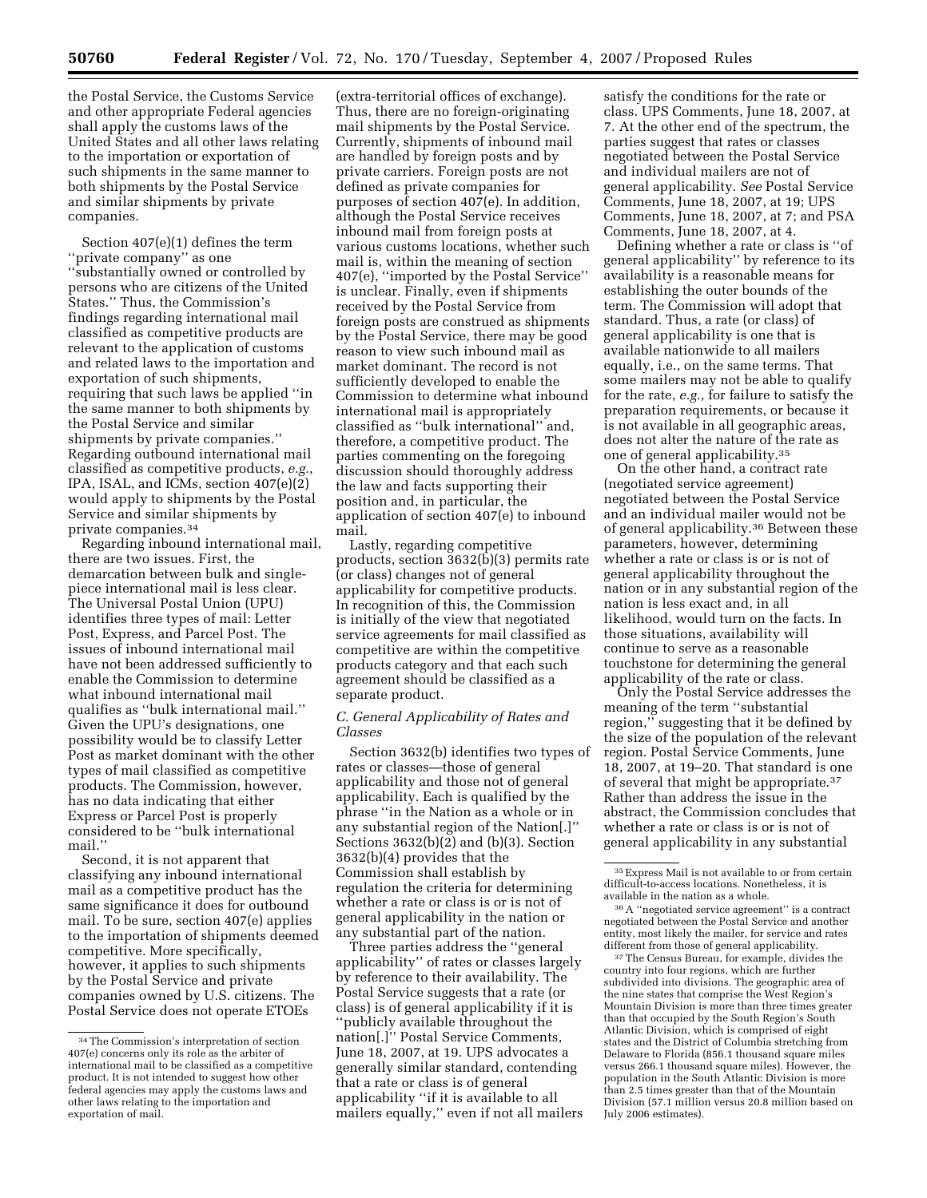the Postal Service, the Customs Service and other appropriate Federal agencies shall apply the customs laws of the United States and all other laws relating to the importation or exportation of such shipments in the same manner to both shipments by the Postal Service and similar shipments by private companies.

Section 407(e)(1) defines the term ''private company'' as one ''substantially owned or controlled by persons who are citizens of the United States.'' Thus, the Commission's findings regarding international mail classified as competitive products are relevant to the application of customs and related laws to the importation and exportation of such shipments, requiring that such laws be applied ''in the same manner to both shipments by the Postal Service and similar shipments by private companies.'' Regarding outbound international mail classified as competitive products, *e.g.*, IPA, ISAL, and ICMs, section 407(e)(2) would apply to shipments by the Postal Service and similar shipments by private companies.34

Regarding inbound international mail, there are two issues. First, the demarcation between bulk and singlepiece international mail is less clear. The Universal Postal Union (UPU) identifies three types of mail: Letter Post, Express, and Parcel Post. The issues of inbound international mail have not been addressed sufficiently to enable the Commission to determine what inbound international mail qualifies as ''bulk international mail.'' Given the UPU's designations, one possibility would be to classify Letter Post as market dominant with the other types of mail classified as competitive products. The Commission, however, has no data indicating that either Express or Parcel Post is properly considered to be ''bulk international mail.''

Second, it is not apparent that classifying any inbound international mail as a competitive product has the same significance it does for outbound mail. To be sure, section 407(e) applies to the importation of shipments deemed competitive. More specifically, however, it applies to such shipments by the Postal Service and private companies owned by U.S. citizens. The Postal Service does not operate ETOEs

(extra-territorial offices of exchange). Thus, there are no foreign-originating mail shipments by the Postal Service. Currently, shipments of inbound mail are handled by foreign posts and by private carriers. Foreign posts are not defined as private companies for purposes of section 407(e). In addition, although the Postal Service receives inbound mail from foreign posts at various customs locations, whether such mail is, within the meaning of section 407(e), ''imported by the Postal Service'' is unclear. Finally, even if shipments received by the Postal Service from foreign posts are construed as shipments by the Postal Service, there may be good reason to view such inbound mail as market dominant. The record is not sufficiently developed to enable the Commission to determine what inbound international mail is appropriately classified as ''bulk international'' and, therefore, a competitive product. The parties commenting on the foregoing discussion should thoroughly address the law and facts supporting their position and, in particular, the application of section 407(e) to inbound mail.

Lastly, regarding competitive products, section 3632(b)(3) permits rate (or class) changes not of general applicability for competitive products. In recognition of this, the Commission is initially of the view that negotiated service agreements for mail classified as competitive are within the competitive products category and that each such agreement should be classified as a separate product.

## *C. General Applicability of Rates and Classes*

Section 3632(b) identifies two types of rates or classes—those of general applicability and those not of general applicability. Each is qualified by the phrase ''in the Nation as a whole or in any substantial region of the Nation[.]'' Sections 3632(b)(2) and (b)(3). Section 3632(b)(4) provides that the Commission shall establish by regulation the criteria for determining whether a rate or class is or is not of general applicability in the nation or any substantial part of the nation.

Three parties address the ''general applicability'' of rates or classes largely by reference to their availability. The Postal Service suggests that a rate (or class) is of general applicability if it is ''publicly available throughout the nation[.]'' Postal Service Comments, June 18, 2007, at 19. UPS advocates a generally similar standard, contending that a rate or class is of general applicability ''if it is available to all mailers equally,'' even if not all mailers

satisfy the conditions for the rate or class. UPS Comments, June 18, 2007, at 7. At the other end of the spectrum, the parties suggest that rates or classes negotiated between the Postal Service and individual mailers are not of general applicability. *See* Postal Service Comments, June 18, 2007, at 19; UPS Comments, June 18, 2007, at 7; and PSA Comments, June 18, 2007, at 4.

Defining whether a rate or class is ''of general applicability'' by reference to its availability is a reasonable means for establishing the outer bounds of the term. The Commission will adopt that standard. Thus, a rate (or class) of general applicability is one that is available nationwide to all mailers equally, i.e., on the same terms. That some mailers may not be able to qualify for the rate, *e.g.*, for failure to satisfy the preparation requirements, or because it is not available in all geographic areas, does not alter the nature of the rate as one of general applicability.35

On the other hand, a contract rate (negotiated service agreement) negotiated between the Postal Service and an individual mailer would not be of general applicability.36 Between these parameters, however, determining whether a rate or class is or is not of general applicability throughout the nation or in any substantial region of the nation is less exact and, in all likelihood, would turn on the facts. In those situations, availability will continue to serve as a reasonable touchstone for determining the general applicability of the rate or class.

Only the Postal Service addresses the meaning of the term ''substantial region,'' suggesting that it be defined by the size of the population of the relevant region. Postal Service Comments, June 18, 2007, at 19–20. That standard is one of several that might be appropriate.37 Rather than address the issue in the abstract, the Commission concludes that whether a rate or class is or is not of general applicability in any substantial

37The Census Bureau, for example, divides the country into four regions, which are further subdivided into divisions. The geographic area of the nine states that comprise the West Region's Mountain Division is more than three times greater than that occupied by the South Region's South Atlantic Division, which is comprised of eight states and the District of Columbia stretching from Delaware to Florida (856.1 thousand square miles versus 266.1 thousand square miles). However, the population in the South Atlantic Division is more than 2.5 times greater than that of the Mountain Division (57.1 million versus 20.8 million based on July 2006 estimates).

<sup>34</sup>The Commission's interpretation of section 407(e) concerns only its role as the arbiter of international mail to be classified as a competitive product. It is not intended to suggest how other federal agencies may apply the customs laws and other laws relating to the importation and exportation of mail.

<sup>35</sup>Express Mail is not available to or from certain difficult-to-access locations. Nonetheless, it is<br>available in the nation as a whole.

 $36A$  "negotiated service agreement" is a contract negotiated between the Postal Service and another entity, most likely the mailer, for service and rates different from those of general applicability.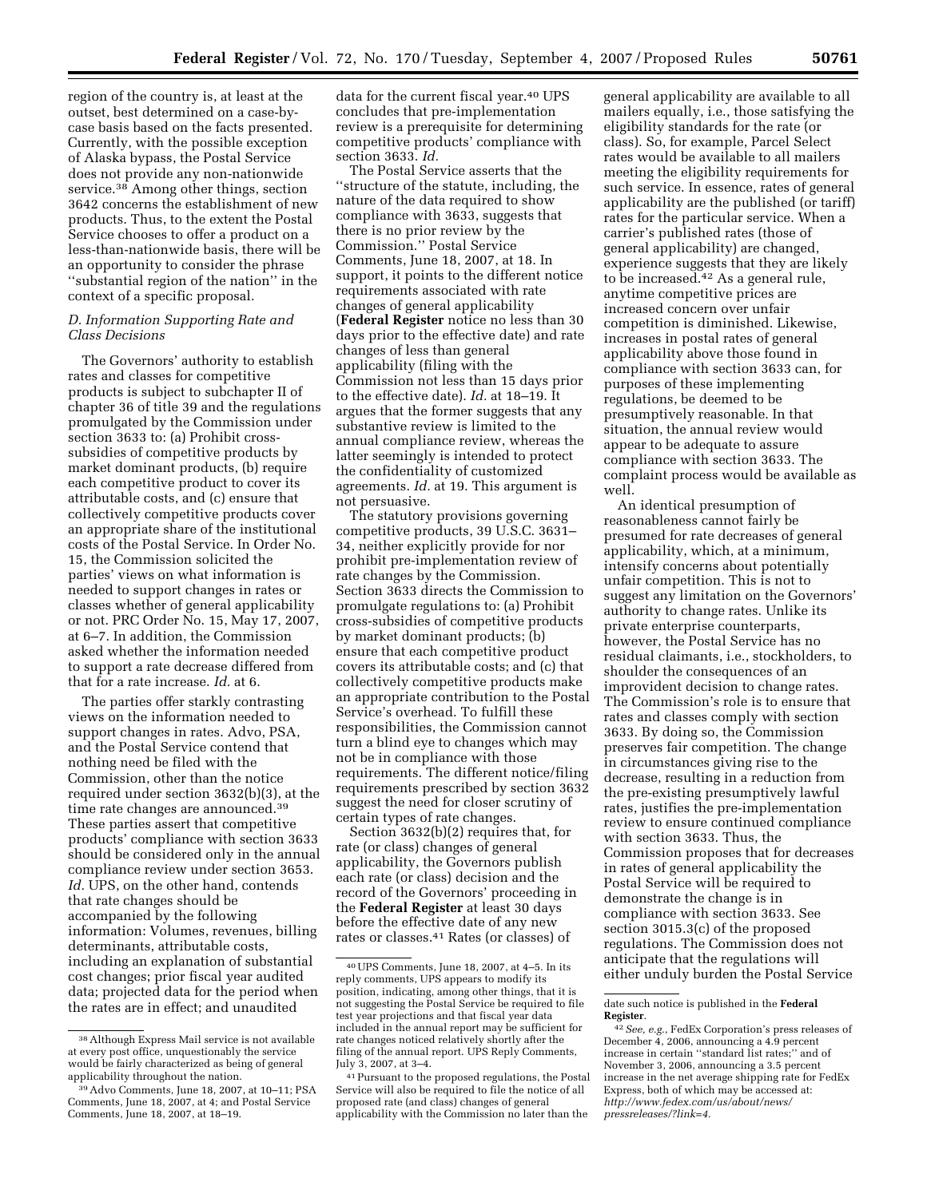region of the country is, at least at the outset, best determined on a case-bycase basis based on the facts presented. Currently, with the possible exception of Alaska bypass, the Postal Service does not provide any non-nationwide service.38 Among other things, section 3642 concerns the establishment of new products. Thus, to the extent the Postal Service chooses to offer a product on a less-than-nationwide basis, there will be an opportunity to consider the phrase ''substantial region of the nation'' in the context of a specific proposal.

## *D. Information Supporting Rate and Class Decisions*

The Governors' authority to establish rates and classes for competitive products is subject to subchapter II of chapter 36 of title 39 and the regulations promulgated by the Commission under section 3633 to: (a) Prohibit crosssubsidies of competitive products by market dominant products, (b) require each competitive product to cover its attributable costs, and (c) ensure that collectively competitive products cover an appropriate share of the institutional costs of the Postal Service. In Order No. 15, the Commission solicited the parties' views on what information is needed to support changes in rates or classes whether of general applicability or not. PRC Order No. 15, May 17, 2007, at 6–7. In addition, the Commission asked whether the information needed to support a rate decrease differed from that for a rate increase. *Id.* at 6.

The parties offer starkly contrasting views on the information needed to support changes in rates. Advo, PSA, and the Postal Service contend that nothing need be filed with the Commission, other than the notice required under section 3632(b)(3), at the time rate changes are announced.39 These parties assert that competitive products' compliance with section 3633 should be considered only in the annual compliance review under section 3653. *Id.* UPS, on the other hand, contends that rate changes should be accompanied by the following information: Volumes, revenues, billing determinants, attributable costs, including an explanation of substantial cost changes; prior fiscal year audited data; projected data for the period when the rates are in effect; and unaudited

data for the current fiscal year.<sup>40</sup> UPS concludes that pre-implementation review is a prerequisite for determining competitive products' compliance with section 3633. *Id.* 

The Postal Service asserts that the ''structure of the statute, including, the nature of the data required to show compliance with 3633, suggests that there is no prior review by the Commission.'' Postal Service Comments, June 18, 2007, at 18. In support, it points to the different notice requirements associated with rate changes of general applicability (**Federal Register** notice no less than 30 days prior to the effective date) and rate changes of less than general applicability (filing with the Commission not less than 15 days prior to the effective date). *Id.* at 18–19. It argues that the former suggests that any substantive review is limited to the annual compliance review, whereas the latter seemingly is intended to protect the confidentiality of customized agreements. *Id.* at 19. This argument is not persuasive.

The statutory provisions governing competitive products, 39 U.S.C. 3631– 34, neither explicitly provide for nor prohibit pre-implementation review of rate changes by the Commission. Section 3633 directs the Commission to promulgate regulations to: (a) Prohibit cross-subsidies of competitive products by market dominant products; (b) ensure that each competitive product covers its attributable costs; and (c) that collectively competitive products make an appropriate contribution to the Postal Service's overhead. To fulfill these responsibilities, the Commission cannot turn a blind eye to changes which may not be in compliance with those requirements. The different notice/filing requirements prescribed by section 3632 suggest the need for closer scrutiny of certain types of rate changes.

Section 3632(b)(2) requires that, for rate (or class) changes of general applicability, the Governors publish each rate (or class) decision and the record of the Governors' proceeding in the **Federal Register** at least 30 days before the effective date of any new rates or classes.41 Rates (or classes) of

general applicability are available to all mailers equally, i.e., those satisfying the eligibility standards for the rate (or class). So, for example, Parcel Select rates would be available to all mailers meeting the eligibility requirements for such service. In essence, rates of general applicability are the published (or tariff) rates for the particular service. When a carrier's published rates (those of general applicability) are changed, experience suggests that they are likely to be increased.42 As a general rule, anytime competitive prices are increased concern over unfair competition is diminished. Likewise, increases in postal rates of general applicability above those found in compliance with section 3633 can, for purposes of these implementing regulations, be deemed to be presumptively reasonable. In that situation, the annual review would appear to be adequate to assure compliance with section 3633. The complaint process would be available as well.

An identical presumption of reasonableness cannot fairly be presumed for rate decreases of general applicability, which, at a minimum, intensify concerns about potentially unfair competition. This is not to suggest any limitation on the Governors' authority to change rates. Unlike its private enterprise counterparts, however, the Postal Service has no residual claimants, i.e., stockholders, to shoulder the consequences of an improvident decision to change rates. The Commission's role is to ensure that rates and classes comply with section 3633. By doing so, the Commission preserves fair competition. The change in circumstances giving rise to the decrease, resulting in a reduction from the pre-existing presumptively lawful rates, justifies the pre-implementation review to ensure continued compliance with section 3633. Thus, the Commission proposes that for decreases in rates of general applicability the Postal Service will be required to demonstrate the change is in compliance with section 3633. See section 3015.3(c) of the proposed regulations. The Commission does not anticipate that the regulations will either unduly burden the Postal Service

<sup>38</sup>Although Express Mail service is not available at every post office, unquestionably the service would be fairly characterized as being of general applicability throughout the nation.

<sup>39</sup>Advo Comments, June 18, 2007, at 10–11; PSA Comments, June 18, 2007, at 4; and Postal Service Comments, June 18, 2007, at 18–19.

<sup>40</sup>UPS Comments, June 18, 2007, at 4–5. In its reply comments, UPS appears to modify its position, indicating, among other things, that it is not suggesting the Postal Service be required to file test year projections and that fiscal year data included in the annual report may be sufficient for rate changes noticed relatively shortly after the filing of the annual report. UPS Reply Comments, July 3, 2007, at 3–4.

<sup>41</sup>Pursuant to the proposed regulations, the Postal Service will also be required to file the notice of all proposed rate (and class) changes of general applicability with the Commission no later than the

date such notice is published in the **Federal Register**.

<sup>42</sup>*See, e.g.*, FedEx Corporation's press releases of December 4, 2006, announcing a 4.9 percent increase in certain ''standard list rates;'' and of November 3, 2006, announcing a 3.5 percent increase in the net average shipping rate for FedEx Express, both of which may be accessed at: *http://www.fedex.com/us/about/news/ pressreleases/?link=4.*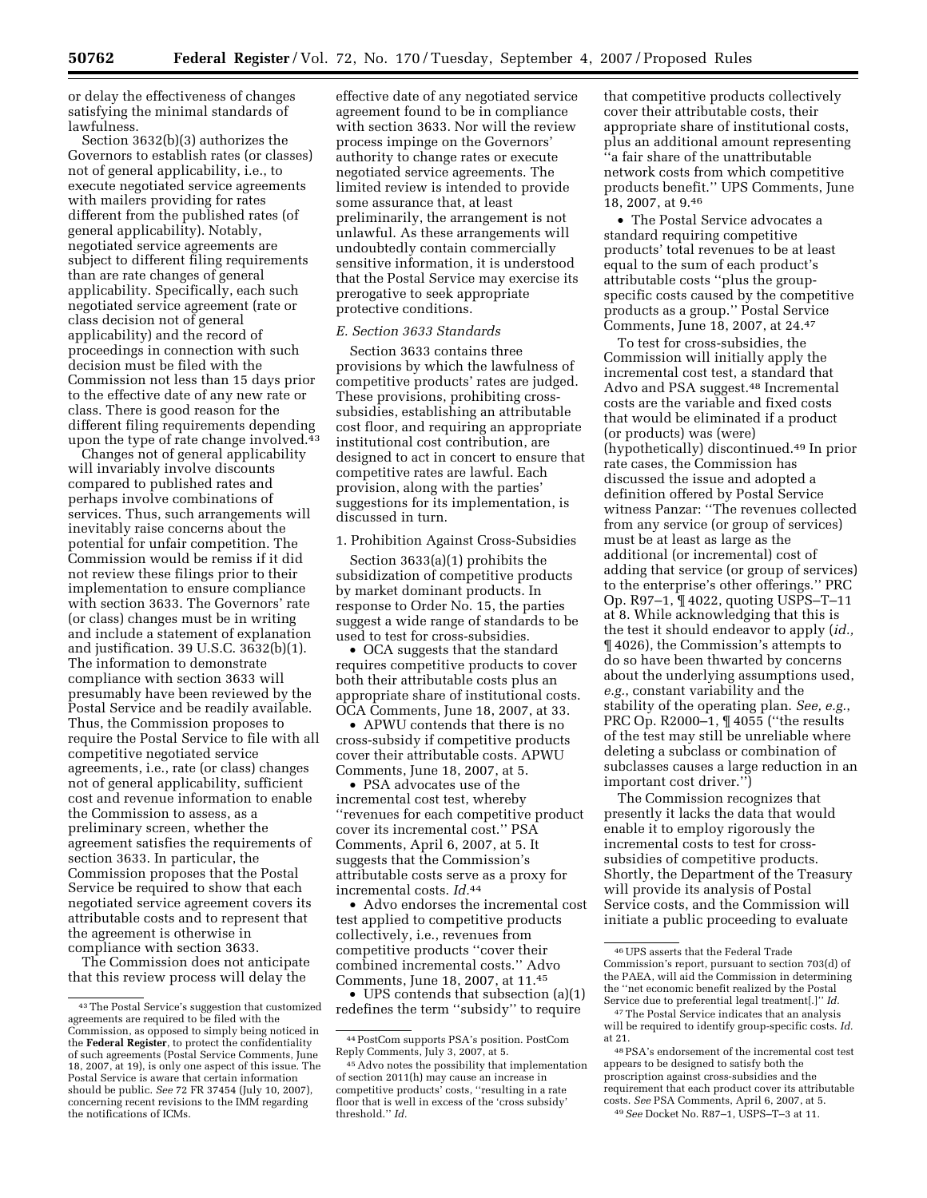or delay the effectiveness of changes satisfying the minimal standards of lawfulness.

Section 3632(b)(3) authorizes the Governors to establish rates (or classes) not of general applicability, i.e., to execute negotiated service agreements with mailers providing for rates different from the published rates (of general applicability). Notably, negotiated service agreements are subject to different filing requirements than are rate changes of general applicability. Specifically, each such negotiated service agreement (rate or class decision not of general applicability) and the record of proceedings in connection with such decision must be filed with the Commission not less than 15 days prior to the effective date of any new rate or class. There is good reason for the different filing requirements depending upon the type of rate change involved.43

Changes not of general applicability will invariably involve discounts compared to published rates and perhaps involve combinations of services. Thus, such arrangements will inevitably raise concerns about the potential for unfair competition. The Commission would be remiss if it did not review these filings prior to their implementation to ensure compliance with section 3633. The Governors' rate (or class) changes must be in writing and include a statement of explanation and justification. 39 U.S.C. 3632(b)(1). The information to demonstrate compliance with section 3633 will presumably have been reviewed by the Postal Service and be readily available. Thus, the Commission proposes to require the Postal Service to file with all competitive negotiated service agreements, i.e., rate (or class) changes not of general applicability, sufficient cost and revenue information to enable the Commission to assess, as a preliminary screen, whether the agreement satisfies the requirements of section 3633. In particular, the Commission proposes that the Postal Service be required to show that each negotiated service agreement covers its attributable costs and to represent that the agreement is otherwise in compliance with section 3633.

The Commission does not anticipate that this review process will delay the

effective date of any negotiated service agreement found to be in compliance with section 3633. Nor will the review process impinge on the Governors' authority to change rates or execute negotiated service agreements. The limited review is intended to provide some assurance that, at least preliminarily, the arrangement is not unlawful. As these arrangements will undoubtedly contain commercially sensitive information, it is understood that the Postal Service may exercise its prerogative to seek appropriate protective conditions.

# *E. Section 3633 Standards*

Section 3633 contains three provisions by which the lawfulness of competitive products' rates are judged. These provisions, prohibiting crosssubsidies, establishing an attributable cost floor, and requiring an appropriate institutional cost contribution, are designed to act in concert to ensure that competitive rates are lawful. Each provision, along with the parties' suggestions for its implementation, is discussed in turn.

#### 1. Prohibition Against Cross-Subsidies

Section 3633(a)(1) prohibits the subsidization of competitive products by market dominant products. In response to Order No. 15, the parties suggest a wide range of standards to be used to test for cross-subsidies.

• OCA suggests that the standard requires competitive products to cover both their attributable costs plus an appropriate share of institutional costs. OCA Comments, June 18, 2007, at 33.

• APWU contends that there is no cross-subsidy if competitive products cover their attributable costs. APWU Comments, June 18, 2007, at 5.

• PSA advocates use of the incremental cost test, whereby ''revenues for each competitive product cover its incremental cost.'' PSA Comments, April 6, 2007, at 5. It suggests that the Commission's attributable costs serve as a proxy for incremental costs. *Id.*44

• Advo endorses the incremental cost test applied to competitive products collectively, i.e., revenues from competitive products ''cover their combined incremental costs.'' Advo Comments, June 18, 2007, at 11.45

• UPS contends that subsection (a)(1) redefines the term ''subsidy'' to require

that competitive products collectively cover their attributable costs, their appropriate share of institutional costs, plus an additional amount representing ''a fair share of the unattributable network costs from which competitive products benefit.'' UPS Comments, June 18, 2007, at 9.46

• The Postal Service advocates a standard requiring competitive products' total revenues to be at least equal to the sum of each product's attributable costs ''plus the groupspecific costs caused by the competitive products as a group.'' Postal Service Comments, June 18, 2007, at 24.47

To test for cross-subsidies, the Commission will initially apply the incremental cost test, a standard that Advo and PSA suggest.48 Incremental costs are the variable and fixed costs that would be eliminated if a product (or products) was (were) (hypothetically) discontinued.49 In prior rate cases, the Commission has discussed the issue and adopted a definition offered by Postal Service witness Panzar: ''The revenues collected from any service (or group of services) must be at least as large as the additional (or incremental) cost of adding that service (or group of services) to the enterprise's other offerings.'' PRC Op. R97–1, ¶ 4022, quoting USPS–T–11 at 8. While acknowledging that this is the test it should endeavor to apply (*id.,*  ¶ 4026), the Commission's attempts to do so have been thwarted by concerns about the underlying assumptions used, *e.g.*, constant variability and the stability of the operating plan. *See, e.g.*, PRC Op. R2000–1, ¶ 4055 (''the results of the test may still be unreliable where deleting a subclass or combination of subclasses causes a large reduction in an important cost driver.'')

The Commission recognizes that presently it lacks the data that would enable it to employ rigorously the incremental costs to test for crosssubsidies of competitive products. Shortly, the Department of the Treasury will provide its analysis of Postal Service costs, and the Commission will initiate a public proceeding to evaluate

<sup>43</sup>The Postal Service's suggestion that customized agreements are required to be filed with the Commission, as opposed to simply being noticed in the **Federal Register**, to protect the confidentiality of such agreements (Postal Service Comments, June 18, 2007, at 19), is only one aspect of this issue. The Postal Service is aware that certain information should be public. *See* 72 FR 37454 (July 10, 2007), concerning recent revisions to the IMM regarding the notifications of ICMs.

<sup>44</sup>PostCom supports PSA's position. PostCom Reply Comments, July 3, 2007, at 5.

<sup>45</sup>Advo notes the possibility that implementation of section 2011(h) may cause an increase in competitive products' costs, ''resulting in a rate floor that is well in excess of the 'cross subsidy' threshold.'' *Id.* 

<sup>46</sup>UPS asserts that the Federal Trade Commission's report, pursuant to section 703(d) of the PAEA, will aid the Commission in determining the ''net economic benefit realized by the Postal Service due to preferential legal treatment[.]'' *Id.* 

<sup>47</sup>The Postal Service indicates that an analysis will be required to identify group-specific costs. *Id.*  at 21.

<sup>48</sup>PSA's endorsement of the incremental cost test appears to be designed to satisfy both the proscription against cross-subsidies and the requirement that each product cover its attributable costs. *See* PSA Comments, April 6, 2007, at 5. 49*See* Docket No. R87–1, USPS–T–3 at 11.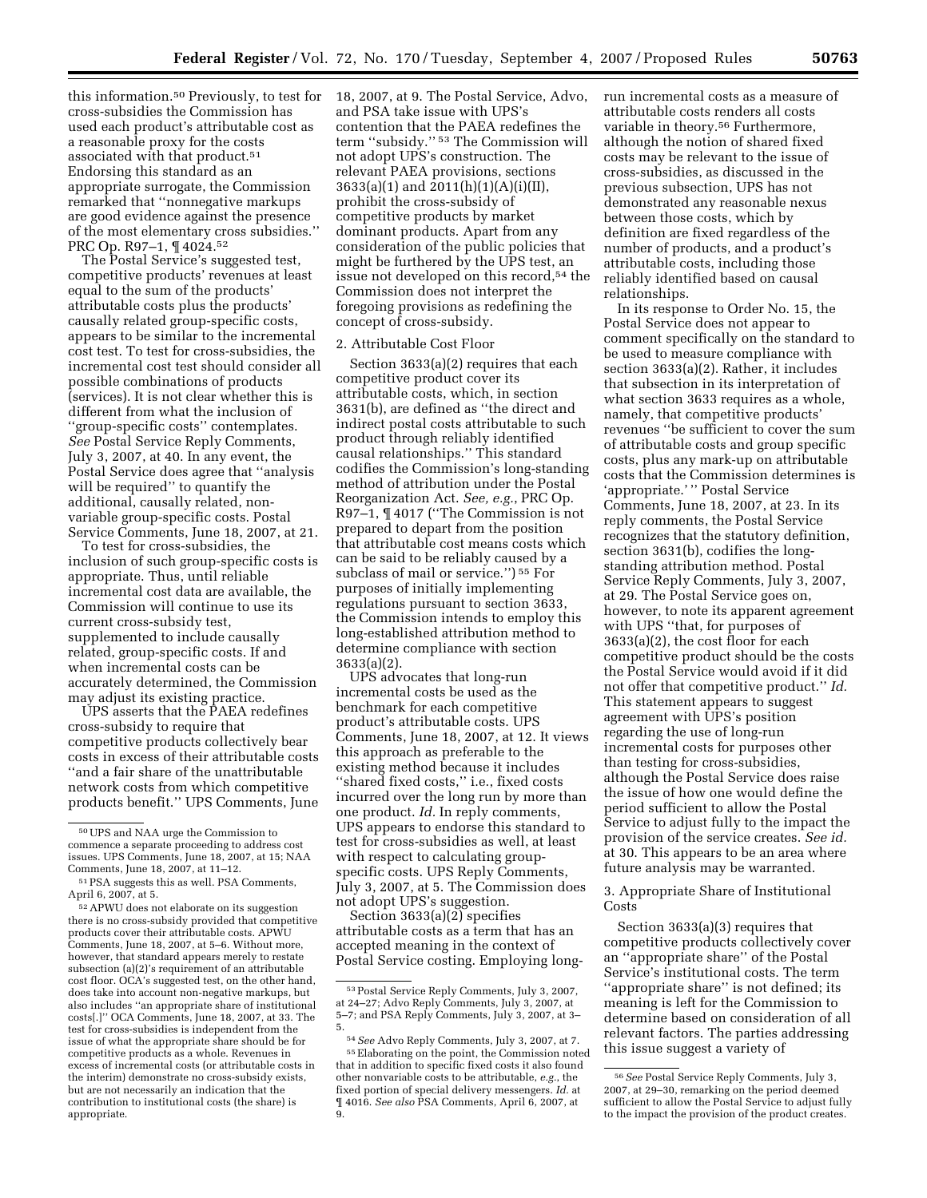this information.<sup>50</sup> Previously, to test for 18, 2007, at 9. The Postal Service, Advo, cross-subsidies the Commission has used each product's attributable cost as a reasonable proxy for the costs associated with that product.<sup>51</sup> Endorsing this standard as an appropriate surrogate, the Commission remarked that ''nonnegative markups are good evidence against the presence of the most elementary cross subsidies.'' PRC Op. R97–1, ¶ 4024.52

The Postal Service's suggested test, competitive products' revenues at least equal to the sum of the products' attributable costs plus the products' causally related group-specific costs, appears to be similar to the incremental cost test. To test for cross-subsidies, the incremental cost test should consider all possible combinations of products (services). It is not clear whether this is different from what the inclusion of ''group-specific costs'' contemplates. *See* Postal Service Reply Comments, July 3, 2007, at 40. In any event, the Postal Service does agree that ''analysis will be required'' to quantify the additional, causally related, nonvariable group-specific costs. Postal Service Comments, June 18, 2007, at 21.

To test for cross-subsidies, the inclusion of such group-specific costs is appropriate. Thus, until reliable incremental cost data are available, the Commission will continue to use its current cross-subsidy test, supplemented to include causally related, group-specific costs. If and when incremental costs can be accurately determined, the Commission may adjust its existing practice.

UPS asserts that the PAEA redefines cross-subsidy to require that competitive products collectively bear costs in excess of their attributable costs ''and a fair share of the unattributable network costs from which competitive products benefit.'' UPS Comments, June

and PSA take issue with UPS's contention that the PAEA redefines the term ''subsidy.'' 53 The Commission will not adopt UPS's construction. The relevant PAEA provisions, sections 3633(a)(1) and 2011(h)(1)(A)(i)(II), prohibit the cross-subsidy of competitive products by market dominant products. Apart from any consideration of the public policies that might be furthered by the UPS test, an issue not developed on this record,54 the Commission does not interpret the foregoing provisions as redefining the concept of cross-subsidy.

#### 2. Attributable Cost Floor

Section 3633(a)(2) requires that each competitive product cover its attributable costs, which, in section 3631(b), are defined as ''the direct and indirect postal costs attributable to such product through reliably identified causal relationships.'' This standard codifies the Commission's long-standing method of attribution under the Postal Reorganization Act. *See, e.g.*, PRC Op. R97–1, ¶ 4017 (''The Commission is not prepared to depart from the position that attributable cost means costs which can be said to be reliably caused by a subclass of mail or service.'') 55 For purposes of initially implementing regulations pursuant to section 3633, the Commission intends to employ this long-established attribution method to determine compliance with section 3633(a)(2).

UPS advocates that long-run incremental costs be used as the benchmark for each competitive product's attributable costs. UPS Comments, June 18, 2007, at 12. It views this approach as preferable to the existing method because it includes ''shared fixed costs,'' i.e., fixed costs incurred over the long run by more than one product. *Id.* In reply comments, UPS appears to endorse this standard to test for cross-subsidies as well, at least with respect to calculating groupspecific costs. UPS Reply Comments, July 3, 2007, at 5. The Commission does not adopt UPS's suggestion.

Section 3633(a)(2) specifies attributable costs as a term that has an accepted meaning in the context of Postal Service costing. Employing longrun incremental costs as a measure of attributable costs renders all costs variable in theory.56 Furthermore, although the notion of shared fixed costs may be relevant to the issue of cross-subsidies, as discussed in the previous subsection, UPS has not demonstrated any reasonable nexus between those costs, which by definition are fixed regardless of the number of products, and a product's attributable costs, including those reliably identified based on causal relationships.

In its response to Order No. 15, the Postal Service does not appear to comment specifically on the standard to be used to measure compliance with section 3633(a)(2). Rather, it includes that subsection in its interpretation of what section 3633 requires as a whole, namely, that competitive products' revenues ''be sufficient to cover the sum of attributable costs and group specific costs, plus any mark-up on attributable costs that the Commission determines is 'appropriate.' '' Postal Service Comments, June 18, 2007, at 23. In its reply comments, the Postal Service recognizes that the statutory definition, section 3631(b), codifies the longstanding attribution method. Postal Service Reply Comments, July 3, 2007, at 29. The Postal Service goes on, however, to note its apparent agreement with UPS "that, for purposes of 3633(a)(2), the cost floor for each competitive product should be the costs the Postal Service would avoid if it did not offer that competitive product.'' *Id.*  This statement appears to suggest agreement with UPS's position regarding the use of long-run incremental costs for purposes other than testing for cross-subsidies, although the Postal Service does raise the issue of how one would define the period sufficient to allow the Postal Service to adjust fully to the impact the provision of the service creates. *See id.*  at 30. This appears to be an area where future analysis may be warranted.

3. Appropriate Share of Institutional Costs

Section 3633(a)(3) requires that competitive products collectively cover an ''appropriate share'' of the Postal Service's institutional costs. The term ''appropriate share'' is not defined; its meaning is left for the Commission to determine based on consideration of all relevant factors. The parties addressing this issue suggest a variety of

<sup>50</sup>UPS and NAA urge the Commission to commence a separate proceeding to address cost issues. UPS Comments, June 18, 2007, at 15; NAA Comments, June 18, 2007, at 11–12.

<sup>51</sup>PSA suggests this as well. PSA Comments, April 6, 2007, at 5.

<sup>52</sup>APWU does not elaborate on its suggestion there is no cross-subsidy provided that competitive products cover their attributable costs. APWU Comments, June 18, 2007, at 5–6. Without more, however, that standard appears merely to restate subsection (a)(2)'s requirement of an attributable cost floor. OCA's suggested test, on the other hand, does take into account non-negative markups, but also includes ''an appropriate share of institutional costs[.]'' OCA Comments, June 18, 2007, at 33. The test for cross-subsidies is independent from the issue of what the appropriate share should be for competitive products as a whole. Revenues in excess of incremental costs (or attributable costs in the interim) demonstrate no cross-subsidy exists, but are not necessarily an indication that the contribution to institutional costs (the share) is appropriate.

<sup>53</sup>Postal Service Reply Comments, July 3, 2007, at 24–27; Advo Reply Comments, July 3, 2007, at 5–7; and PSA Reply Comments, July 3, 2007, at 3– 5.

<sup>54</sup>*See* Advo Reply Comments, July 3, 2007, at 7. 55Elaborating on the point, the Commission noted that in addition to specific fixed costs it also found other nonvariable costs to be attributable, *e.g.*, the fixed portion of special delivery messengers. *Id.* at ¶ 4016. *See also* PSA Comments, April 6, 2007, at 9.

<sup>56</sup>*See* Postal Service Reply Comments, July 3, 2007, at 29–30, remarking on the period deemed sufficient to allow the Postal Service to adjust fully to the impact the provision of the product creates.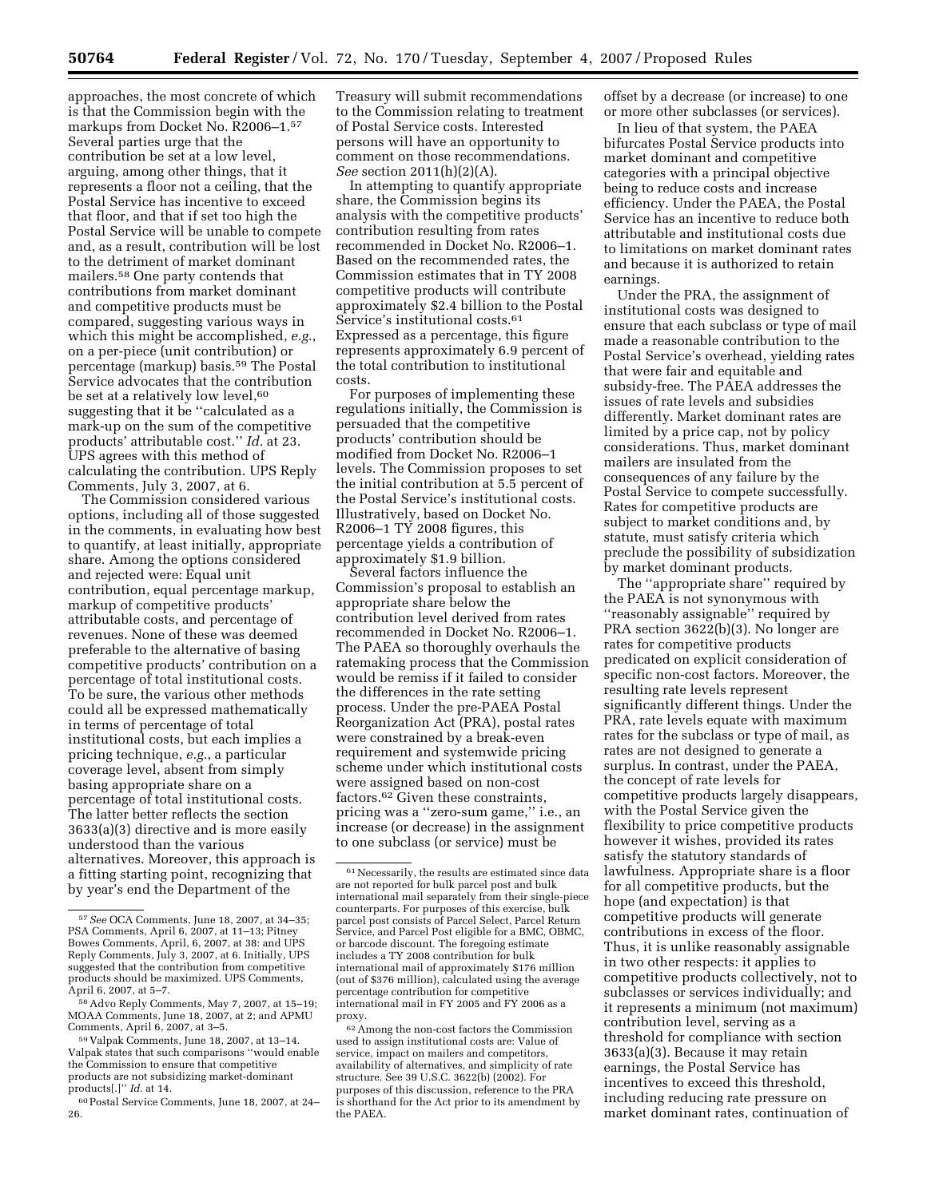approaches, the most concrete of which is that the Commission begin with the markups from Docket No. R2006–1.57 Several parties urge that the contribution be set at a low level, arguing, among other things, that it represents a floor not a ceiling, that the Postal Service has incentive to exceed that floor, and that if set too high the Postal Service will be unable to compete and, as a result, contribution will be lost to the detriment of market dominant mailers.58 One party contends that contributions from market dominant and competitive products must be compared, suggesting various ways in which this might be accomplished, *e.g.*, on a per-piece (unit contribution) or percentage (markup) basis.59 The Postal Service advocates that the contribution be set at a relatively low level,<sup>60</sup> suggesting that it be ''calculated as a mark-up on the sum of the competitive products' attributable cost.'' *Id.* at 23. UPS agrees with this method of calculating the contribution. UPS Reply Comments, July 3, 2007, at 6.

The Commission considered various options, including all of those suggested in the comments, in evaluating how best to quantify, at least initially, appropriate share. Among the options considered and rejected were: Equal unit contribution, equal percentage markup, markup of competitive products' attributable costs, and percentage of revenues. None of these was deemed preferable to the alternative of basing competitive products' contribution on a percentage of total institutional costs. To be sure, the various other methods could all be expressed mathematically in terms of percentage of total institutional costs, but each implies a pricing technique, *e.g.*, a particular coverage level, absent from simply basing appropriate share on a percentage of total institutional costs. The latter better reflects the section 3633(a)(3) directive and is more easily understood than the various alternatives. Moreover, this approach is a fitting starting point, recognizing that by year's end the Department of the

Treasury will submit recommendations to the Commission relating to treatment of Postal Service costs. Interested persons will have an opportunity to comment on those recommendations. *See* section 2011(h)(2)(A).

In attempting to quantify appropriate share, the Commission begins its analysis with the competitive products' contribution resulting from rates recommended in Docket No. R2006–1. Based on the recommended rates, the Commission estimates that in TY 2008 competitive products will contribute approximately \$2.4 billion to the Postal Service's institutional costs.<sup>61</sup> Expressed as a percentage, this figure represents approximately 6.9 percent of the total contribution to institutional costs.

For purposes of implementing these regulations initially, the Commission is persuaded that the competitive products' contribution should be modified from Docket No. R2006–1 levels. The Commission proposes to set the initial contribution at 5.5 percent of the Postal Service's institutional costs. Illustratively, based on Docket No. R2006–1 TY 2008 figures, this percentage yields a contribution of approximately \$1.9 billion.

Several factors influence the Commission's proposal to establish an appropriate share below the contribution level derived from rates recommended in Docket No. R2006–1. The PAEA so thoroughly overhauls the ratemaking process that the Commission would be remiss if it failed to consider the differences in the rate setting process. Under the pre-PAEA Postal Reorganization Act (PRA), postal rates were constrained by a break-even requirement and systemwide pricing scheme under which institutional costs were assigned based on non-cost factors.62 Given these constraints, pricing was a ''zero-sum game,'' i.e., an increase (or decrease) in the assignment to one subclass (or service) must be

offset by a decrease (or increase) to one or more other subclasses (or services).

In lieu of that system, the PAEA bifurcates Postal Service products into market dominant and competitive categories with a principal objective being to reduce costs and increase efficiency. Under the PAEA, the Postal Service has an incentive to reduce both attributable and institutional costs due to limitations on market dominant rates and because it is authorized to retain earnings.

Under the PRA, the assignment of institutional costs was designed to ensure that each subclass or type of mail made a reasonable contribution to the Postal Service's overhead, yielding rates that were fair and equitable and subsidy-free. The PAEA addresses the issues of rate levels and subsidies differently. Market dominant rates are limited by a price cap, not by policy considerations. Thus, market dominant mailers are insulated from the consequences of any failure by the Postal Service to compete successfully. Rates for competitive products are subject to market conditions and, by statute, must satisfy criteria which preclude the possibility of subsidization by market dominant products.

The ''appropriate share'' required by the PAEA is not synonymous with ''reasonably assignable'' required by PRA section 3622(b)(3). No longer are rates for competitive products predicated on explicit consideration of specific non-cost factors. Moreover, the resulting rate levels represent significantly different things. Under the PRA, rate levels equate with maximum rates for the subclass or type of mail, as rates are not designed to generate a surplus. In contrast, under the PAEA, the concept of rate levels for competitive products largely disappears, with the Postal Service given the flexibility to price competitive products however it wishes, provided its rates satisfy the statutory standards of lawfulness. Appropriate share is a floor for all competitive products, but the hope (and expectation) is that competitive products will generate contributions in excess of the floor. Thus, it is unlike reasonably assignable in two other respects: it applies to competitive products collectively, not to subclasses or services individually; and it represents a minimum (not maximum) contribution level, serving as a threshold for compliance with section 3633(a)(3). Because it may retain earnings, the Postal Service has incentives to exceed this threshold, including reducing rate pressure on market dominant rates, continuation of

<sup>57</sup>*See* OCA Comments, June 18, 2007, at 34–35; PSA Comments, April 6, 2007, at 11–13; Pitney Bowes Comments, April, 6, 2007, at 38: and UPS Reply Comments, July 3, 2007, at 6. Initially, UPS suggested that the contribution from competitive products should be maximized. UPS Comments,

<sup>58</sup> Advo Reply Comments, May 7, 2007, at 15–19; MOAA Comments, June 18, 2007, at 2; and APMU Comments, April 6, 2007, at 3–5.

<sup>59</sup> Valpak Comments, June 18, 2007, at 13–14. Valpak states that such comparisons ''would enable the Commission to ensure that competitive products are not subsidizing market-dominant products[.]'' *Id.* at 14.

<sup>60</sup>Postal Service Comments, June 18, 2007, at 24– 26.

<sup>&</sup>lt;sup>61</sup> Necessarily, the results are estimated since data are not reported for bulk parcel post and bulk international mail separately from their single-piece counterparts. For purposes of this exercise, bulk parcel post consists of Parcel Select, Parcel Return Service, and Parcel Post eligible for a BMC, OBMC, or barcode discount. The foregoing estimate includes a TY 2008 contribution for bulk international mail of approximately \$176 million (out of \$376 million), calculated using the average percentage contribution for competitive international mail in FY 2005 and FY 2006 as a proxy.

<sup>62</sup>Among the non-cost factors the Commission used to assign institutional costs are: Value of service, impact on mailers and competitors, availability of alternatives, and simplicity of rate structure. See 39 U.S.C. 3622(b) (2002). For purposes of this discussion, reference to the PRA is shorthand for the Act prior to its amendment by the PAEA.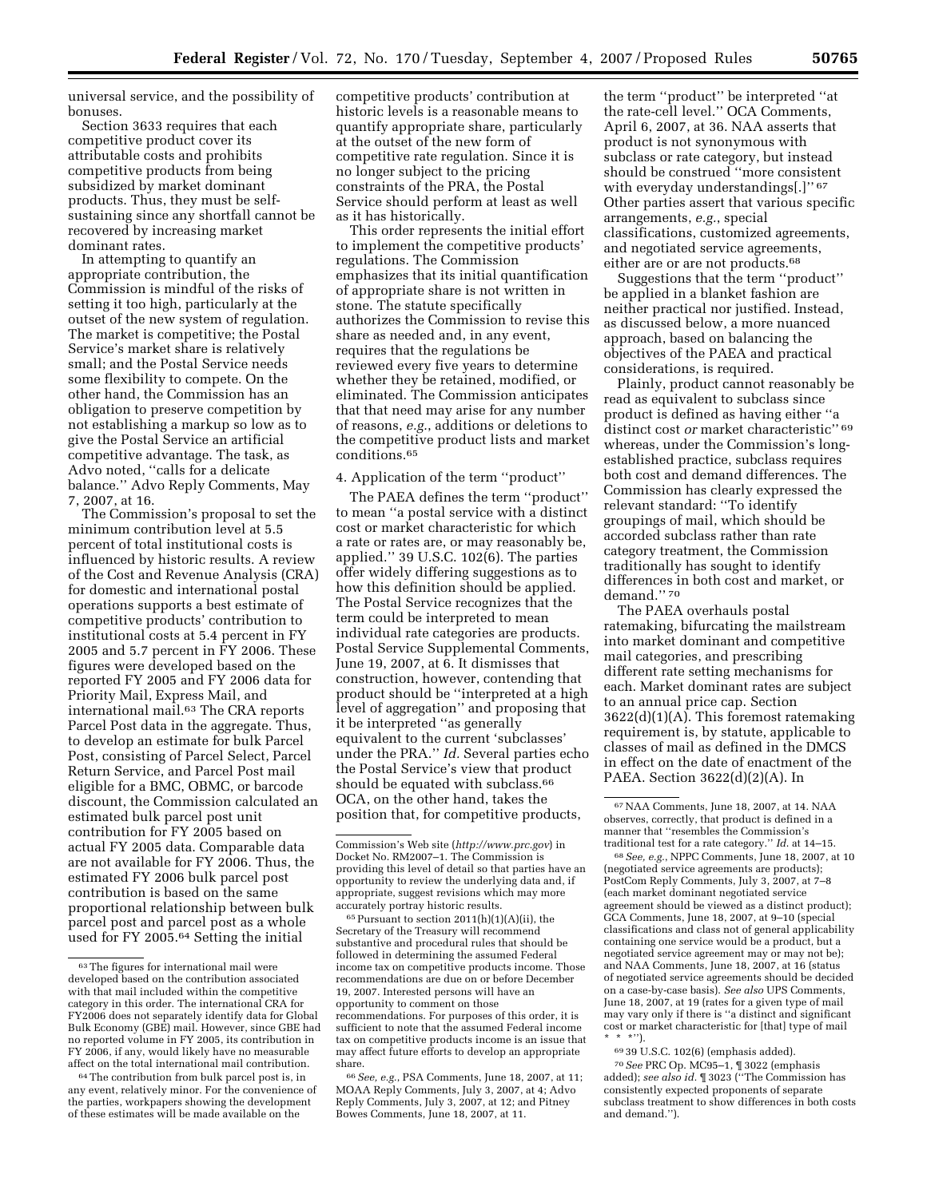universal service, and the possibility of bonuses.

Section 3633 requires that each competitive product cover its attributable costs and prohibits competitive products from being subsidized by market dominant products. Thus, they must be selfsustaining since any shortfall cannot be recovered by increasing market dominant rates.

In attempting to quantify an appropriate contribution, the Commission is mindful of the risks of setting it too high, particularly at the outset of the new system of regulation. The market is competitive; the Postal Service's market share is relatively small; and the Postal Service needs some flexibility to compete. On the other hand, the Commission has an obligation to preserve competition by not establishing a markup so low as to give the Postal Service an artificial competitive advantage. The task, as Advo noted, ''calls for a delicate balance.'' Advo Reply Comments, May 7, 2007, at 16.

The Commission's proposal to set the minimum contribution level at 5.5 percent of total institutional costs is influenced by historic results. A review of the Cost and Revenue Analysis (CRA) for domestic and international postal operations supports a best estimate of competitive products' contribution to institutional costs at 5.4 percent in FY 2005 and 5.7 percent in FY 2006. These figures were developed based on the reported FY 2005 and FY 2006 data for Priority Mail, Express Mail, and international mail.63 The CRA reports Parcel Post data in the aggregate. Thus, to develop an estimate for bulk Parcel Post, consisting of Parcel Select, Parcel Return Service, and Parcel Post mail eligible for a BMC, OBMC, or barcode discount, the Commission calculated an estimated bulk parcel post unit contribution for FY 2005 based on actual FY 2005 data. Comparable data are not available for FY 2006. Thus, the estimated FY 2006 bulk parcel post contribution is based on the same proportional relationship between bulk parcel post and parcel post as a whole used for FY 2005.64 Setting the initial

competitive products' contribution at historic levels is a reasonable means to quantify appropriate share, particularly at the outset of the new form of competitive rate regulation. Since it is no longer subject to the pricing constraints of the PRA, the Postal Service should perform at least as well as it has historically.

This order represents the initial effort to implement the competitive products' regulations. The Commission emphasizes that its initial quantification of appropriate share is not written in stone. The statute specifically authorizes the Commission to revise this share as needed and, in any event, requires that the regulations be reviewed every five years to determine whether they be retained, modified, or eliminated. The Commission anticipates that that need may arise for any number of reasons, *e.g.*, additions or deletions to the competitive product lists and market conditions.65

#### 4. Application of the term ''product''

The PAEA defines the term ''product'' to mean ''a postal service with a distinct cost or market characteristic for which a rate or rates are, or may reasonably be, applied." 39 U.S.C.  $102(6)$ . The parties offer widely differing suggestions as to how this definition should be applied. The Postal Service recognizes that the term could be interpreted to mean individual rate categories are products. Postal Service Supplemental Comments, June 19, 2007, at 6. It dismisses that construction, however, contending that product should be ''interpreted at a high level of aggregation'' and proposing that it be interpreted ''as generally equivalent to the current 'subclasses' under the PRA.'' *Id.* Several parties echo the Postal Service's view that product should be equated with subclass.<sup>66</sup> OCA, on the other hand, takes the position that, for competitive products,

 $65$  Pursuant to section  $2011(h)(1)(A)(ii)$ , the Secretary of the Treasury will recommend substantive and procedural rules that should be followed in determining the assumed Federal income tax on competitive products income. Those recommendations are due on or before December 19, 2007. Interested persons will have an opportunity to comment on those recommendations. For purposes of this order, it is sufficient to note that the assumed Federal income tax on competitive products income is an issue that may affect future efforts to develop an appropriate share.

66*See, e.g.*, PSA Comments, June 18, 2007, at 11; MOAA Reply Comments, July 3, 2007, at 4; Advo Reply Comments, July 3, 2007, at 12; and Pitney Bowes Comments, June 18, 2007, at 11.

the term ''product'' be interpreted ''at the rate-cell level.'' OCA Comments, April 6, 2007, at 36. NAA asserts that product is not synonymous with subclass or rate category, but instead should be construed ''more consistent with everyday understandings[.]" <sup>67</sup> Other parties assert that various specific arrangements, *e.g.*, special classifications, customized agreements, and negotiated service agreements, either are or are not products.<sup>68</sup>

Suggestions that the term ''product'' be applied in a blanket fashion are neither practical nor justified. Instead, as discussed below, a more nuanced approach, based on balancing the objectives of the PAEA and practical considerations, is required.

Plainly, product cannot reasonably be read as equivalent to subclass since product is defined as having either ''a distinct cost *or* market characteristic'' 69 whereas, under the Commission's longestablished practice, subclass requires both cost and demand differences. The Commission has clearly expressed the relevant standard: ''To identify groupings of mail, which should be accorded subclass rather than rate category treatment, the Commission traditionally has sought to identify differences in both cost and market, or demand.'' 70

The PAEA overhauls postal ratemaking, bifurcating the mailstream into market dominant and competitive mail categories, and prescribing different rate setting mechanisms for each. Market dominant rates are subject to an annual price cap. Section 3622(d)(1)(A). This foremost ratemaking requirement is, by statute, applicable to classes of mail as defined in the DMCS in effect on the date of enactment of the PAEA. Section 3622(d)(2)(A). In

68*See, e.g.*, NPPC Comments, June 18, 2007, at 10 (negotiated service agreements are products); PostCom Reply Comments, July 3, 2007, at 7–8 (each market dominant negotiated service agreement should be viewed as a distinct product); GCA Comments, June 18, 2007, at 9–10 (special classifications and class not of general applicability containing one service would be a product, but a negotiated service agreement may or may not be); and NAA Comments, June 18, 2007, at 16 (status of negotiated service agreements should be decided on a case-by-case basis). *See also* UPS Comments, June 18, 2007, at 19 (rates for a given type of mail may vary only if there is ''a distinct and significant cost or market characteristic for [that] type of mail  $\frac{1}{x}$  \*'').

69 39 U.S.C. 102(6) (emphasis added). 70*See* PRC Op. MC95–1, ¶ 3022 (emphasis added); *see also id.* ¶ 3023 (''The Commission has consistently expected proponents of separate subclass treatment to show differences in both costs and demand.'').

<sup>63</sup>The figures for international mail were developed based on the contribution associated with that mail included within the competitive category in this order. The international CRA for FY2006 does not separately identify data for Global Bulk Economy (GBE) mail. However, since GBE had no reported volume in FY 2005, its contribution in FY 2006, if any, would likely have no measurable affect on the total international mail contribution.

<sup>64</sup>The contribution from bulk parcel post is, in any event, relatively minor. For the convenience of the parties, workpapers showing the development of these estimates will be made available on the

Commission's Web site (*http://www.prc.gov*) in Docket No. RM2007–1. The Commission is providing this level of detail so that parties have an opportunity to review the underlying data and, if appropriate, suggest revisions which may more accurately portray historic results.

<sup>67</sup>NAA Comments, June 18, 2007, at 14. NAA observes, correctly, that product is defined in a manner that ''resembles the Commission's traditional test for a rate category.'' *Id*. at 14–15.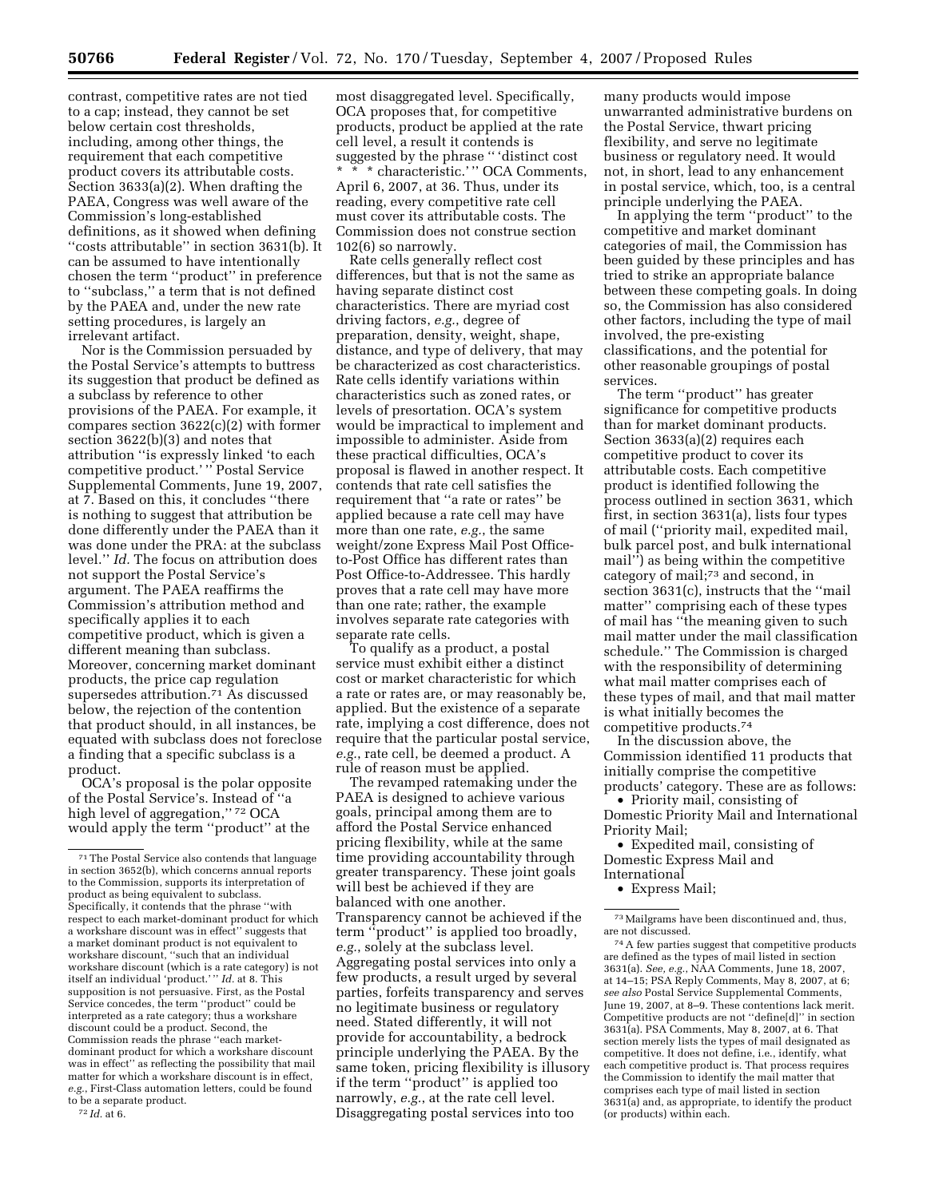contrast, competitive rates are not tied to a cap; instead, they cannot be set below certain cost thresholds, including, among other things, the requirement that each competitive product covers its attributable costs. Section 3633(a)(2). When drafting the PAEA, Congress was well aware of the Commission's long-established definitions, as it showed when defining ''costs attributable'' in section 3631(b). It can be assumed to have intentionally chosen the term ''product'' in preference to ''subclass,'' a term that is not defined by the PAEA and, under the new rate setting procedures, is largely an irrelevant artifact.

Nor is the Commission persuaded by the Postal Service's attempts to buttress its suggestion that product be defined as a subclass by reference to other provisions of the PAEA. For example, it compares section 3622(c)(2) with former section 3622(b)(3) and notes that attribution ''is expressly linked 'to each competitive product.' '' Postal Service Supplemental Comments, June 19, 2007, at 7. Based on this, it concludes ''there is nothing to suggest that attribution be done differently under the PAEA than it was done under the PRA: at the subclass level.'' *Id.* The focus on attribution does not support the Postal Service's argument. The PAEA reaffirms the Commission's attribution method and specifically applies it to each competitive product, which is given a different meaning than subclass. Moreover, concerning market dominant products, the price cap regulation supersedes attribution.71 As discussed below, the rejection of the contention that product should, in all instances, be equated with subclass does not foreclose a finding that a specific subclass is a product.

OCA's proposal is the polar opposite of the Postal Service's. Instead of ''a high level of aggregation,'' 72 OCA would apply the term ''product'' at the

72 *Id.* at 6.

most disaggregated level. Specifically, OCA proposes that, for competitive products, product be applied at the rate cell level, a result it contends is suggested by the phrase '' 'distinct cost \* \* \* characteristic.' '' OCA Comments, April 6, 2007, at 36. Thus, under its reading, every competitive rate cell must cover its attributable costs. The Commission does not construe section 102(6) so narrowly.

Rate cells generally reflect cost differences, but that is not the same as having separate distinct cost characteristics. There are myriad cost driving factors, *e.g.*, degree of preparation, density, weight, shape, distance, and type of delivery, that may be characterized as cost characteristics. Rate cells identify variations within characteristics such as zoned rates, or levels of presortation. OCA's system would be impractical to implement and impossible to administer. Aside from these practical difficulties, OCA's proposal is flawed in another respect. It contends that rate cell satisfies the requirement that ''a rate or rates'' be applied because a rate cell may have more than one rate, *e.g.*, the same weight/zone Express Mail Post Officeto-Post Office has different rates than Post Office-to-Addressee. This hardly proves that a rate cell may have more than one rate; rather, the example involves separate rate categories with separate rate cells.

To qualify as a product, a postal service must exhibit either a distinct cost or market characteristic for which a rate or rates are, or may reasonably be, applied. But the existence of a separate rate, implying a cost difference, does not require that the particular postal service, *e.g.*, rate cell, be deemed a product. A rule of reason must be applied.

The revamped ratemaking under the PAEA is designed to achieve various goals, principal among them are to afford the Postal Service enhanced pricing flexibility, while at the same time providing accountability through greater transparency. These joint goals will best be achieved if they are balanced with one another. Transparency cannot be achieved if the term ''product'' is applied too broadly, *e.g.*, solely at the subclass level. Aggregating postal services into only a few products, a result urged by several parties, forfeits transparency and serves no legitimate business or regulatory need. Stated differently, it will not provide for accountability, a bedrock principle underlying the PAEA. By the same token, pricing flexibility is illusory if the term ''product'' is applied too narrowly, *e.g.*, at the rate cell level. Disaggregating postal services into too

many products would impose unwarranted administrative burdens on the Postal Service, thwart pricing flexibility, and serve no legitimate business or regulatory need. It would not, in short, lead to any enhancement in postal service, which, too, is a central principle underlying the PAEA.

In applying the term ''product'' to the competitive and market dominant categories of mail, the Commission has been guided by these principles and has tried to strike an appropriate balance between these competing goals. In doing so, the Commission has also considered other factors, including the type of mail involved, the pre-existing classifications, and the potential for other reasonable groupings of postal services.

The term ''product'' has greater significance for competitive products than for market dominant products. Section 3633(a)(2) requires each competitive product to cover its attributable costs. Each competitive product is identified following the process outlined in section 3631, which first, in section 3631(a), lists four types of mail (''priority mail, expedited mail, bulk parcel post, and bulk international mail'') as being within the competitive category of mail;73 and second, in section 3631(c), instructs that the ''mail matter'' comprising each of these types of mail has ''the meaning given to such mail matter under the mail classification schedule.'' The Commission is charged with the responsibility of determining what mail matter comprises each of these types of mail, and that mail matter is what initially becomes the competitive products.74

In the discussion above, the Commission identified 11 products that initially comprise the competitive products' category. These are as follows:

• Priority mail, consisting of Domestic Priority Mail and International Priority Mail;

• Expedited mail, consisting of Domestic Express Mail and International

• Express Mail;

73Mailgrams have been discontinued and, thus, are not discussed.

<sup>71</sup>The Postal Service also contends that language in section 3652(b), which concerns annual reports to the Commission, supports its interpretation of product as being equivalent to subclass. Specifically, it contends that the phrase ''with respect to each market-dominant product for which a workshare discount was in effect'' suggests that a market dominant product is not equivalent to workshare discount, ''such that an individual workshare discount (which is a rate category) is not itself an individual 'product.' '' *Id.* at 8. This supposition is not persuasive. First, as the Postal Service concedes, the term ''product'' could be interpreted as a rate category; thus a workshare discount could be a product. Second, the Commission reads the phrase ''each marketdominant product for which a workshare discount was in effect'' as reflecting the possibility that mail matter for which a workshare discount is in effect, *e.g.*, First-Class automation letters, could be found to be a separate product.

<sup>74</sup>A few parties suggest that competitive products are defined as the types of mail listed in section 3631(a). *See, e.g.*, NAA Comments, June 18, 2007, at 14–15; PSA Reply Comments, May 8, 2007, at 6; *see also* Postal Service Supplemental Comments, June 19, 2007, at 8–9. These contentions lack merit. Competitive products are not ''define[d]'' in section 3631(a). PSA Comments, May 8, 2007, at 6. That section merely lists the types of mail designated as competitive. It does not define, i.e., identify, what each competitive product is. That process requires the Commission to identify the mail matter that comprises each type of mail listed in section 3631(a) and, as appropriate, to identify the product (or products) within each.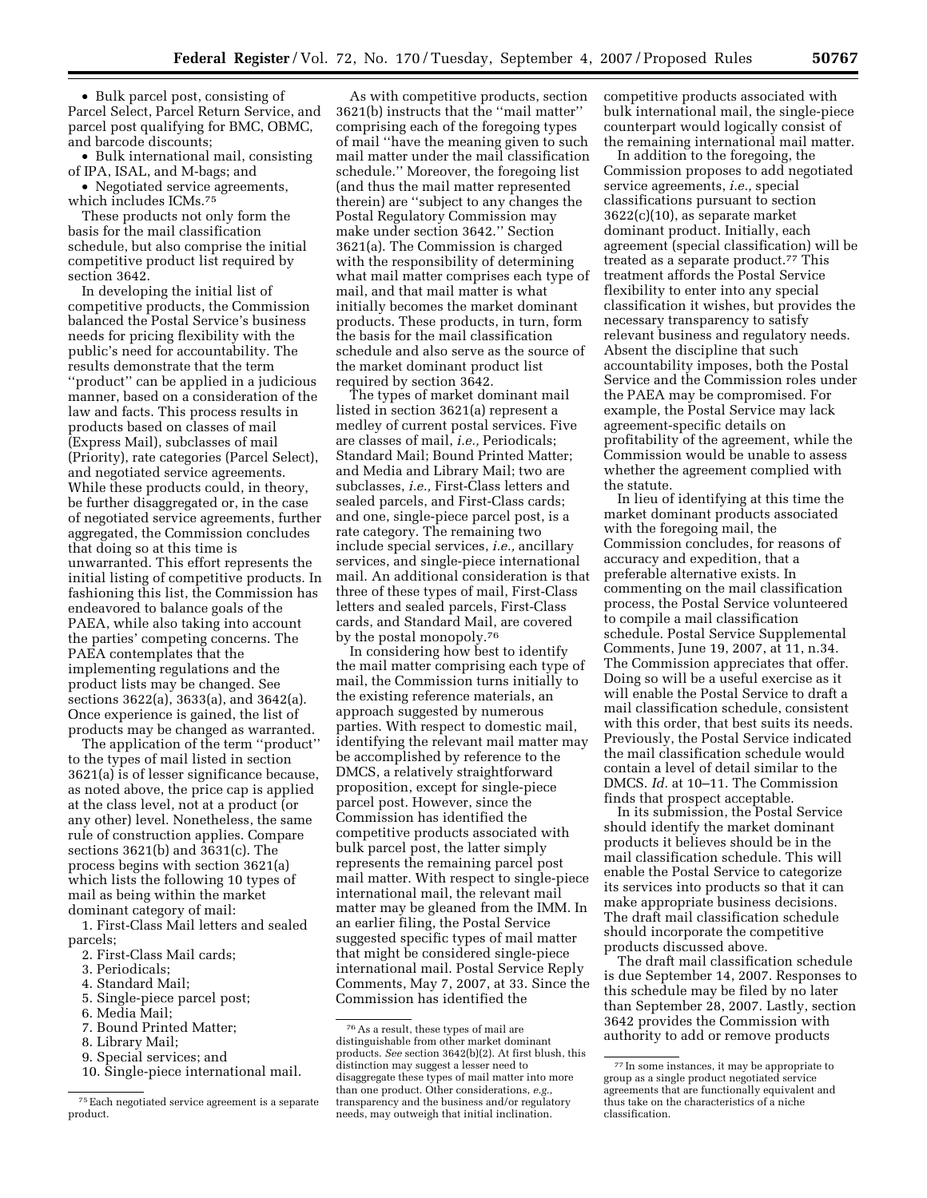• Bulk parcel post, consisting of Parcel Select, Parcel Return Service, and parcel post qualifying for BMC, OBMC, and barcode discounts;

• Bulk international mail, consisting of IPA, ISAL, and M-bags; and

• Negotiated service agreements, which includes ICMs.75

These products not only form the basis for the mail classification schedule, but also comprise the initial competitive product list required by section 3642.

In developing the initial list of competitive products, the Commission balanced the Postal Service's business needs for pricing flexibility with the public's need for accountability. The results demonstrate that the term ''product'' can be applied in a judicious manner, based on a consideration of the law and facts. This process results in products based on classes of mail (Express Mail), subclasses of mail (Priority), rate categories (Parcel Select), and negotiated service agreements. While these products could, in theory, be further disaggregated or, in the case of negotiated service agreements, further aggregated, the Commission concludes that doing so at this time is unwarranted. This effort represents the initial listing of competitive products. In fashioning this list, the Commission has endeavored to balance goals of the PAEA, while also taking into account the parties' competing concerns. The PAEA contemplates that the implementing regulations and the product lists may be changed. See sections 3622(a), 3633(a), and 3642(a). Once experience is gained, the list of products may be changed as warranted.

The application of the term ''product'' to the types of mail listed in section 3621(a) is of lesser significance because, as noted above, the price cap is applied at the class level, not at a product (or any other) level. Nonetheless, the same rule of construction applies. Compare sections 3621(b) and 3631(c). The process begins with section 3621(a) which lists the following 10 types of mail as being within the market dominant category of mail:

1. First-Class Mail letters and sealed parcels;

- 2. First-Class Mail cards;
- 3. Periodicals;
- 4. Standard Mail;
- 5. Single-piece parcel post;
- 6. Media Mail;
- 7. Bound Printed Matter;
- 8. Library Mail;
- 
- 9. Special services; and
- 10. Single-piece international mail.

As with competitive products, section 3621(b) instructs that the ''mail matter'' comprising each of the foregoing types of mail ''have the meaning given to such mail matter under the mail classification schedule.'' Moreover, the foregoing list (and thus the mail matter represented therein) are ''subject to any changes the Postal Regulatory Commission may make under section 3642.'' Section 3621(a). The Commission is charged with the responsibility of determining what mail matter comprises each type of mail, and that mail matter is what initially becomes the market dominant products. These products, in turn, form the basis for the mail classification schedule and also serve as the source of the market dominant product list required by section 3642.

The types of market dominant mail listed in section 3621(a) represent a medley of current postal services. Five are classes of mail, *i.e.,* Periodicals; Standard Mail; Bound Printed Matter; and Media and Library Mail; two are subclasses, *i.e.,* First-Class letters and sealed parcels, and First-Class cards; and one, single-piece parcel post, is a rate category. The remaining two include special services, *i.e.,* ancillary services, and single-piece international mail. An additional consideration is that three of these types of mail, First-Class letters and sealed parcels, First-Class cards, and Standard Mail, are covered by the postal monopoly.76

In considering how best to identify the mail matter comprising each type of mail, the Commission turns initially to the existing reference materials, an approach suggested by numerous parties. With respect to domestic mail, identifying the relevant mail matter may be accomplished by reference to the DMCS, a relatively straightforward proposition, except for single-piece parcel post. However, since the Commission has identified the competitive products associated with bulk parcel post, the latter simply represents the remaining parcel post mail matter. With respect to single-piece international mail, the relevant mail matter may be gleaned from the IMM. In an earlier filing, the Postal Service suggested specific types of mail matter that might be considered single-piece international mail. Postal Service Reply Comments, May 7, 2007, at 33. Since the Commission has identified the

competitive products associated with bulk international mail, the single-piece counterpart would logically consist of the remaining international mail matter.

In addition to the foregoing, the Commission proposes to add negotiated service agreements, *i.e.,* special classifications pursuant to section 3622(c)(10), as separate market dominant product. Initially, each agreement (special classification) will be treated as a separate product.<sup>77</sup> This treatment affords the Postal Service flexibility to enter into any special classification it wishes, but provides the necessary transparency to satisfy relevant business and regulatory needs. Absent the discipline that such accountability imposes, both the Postal Service and the Commission roles under the PAEA may be compromised. For example, the Postal Service may lack agreement-specific details on profitability of the agreement, while the Commission would be unable to assess whether the agreement complied with the statute.

In lieu of identifying at this time the market dominant products associated with the foregoing mail, the Commission concludes, for reasons of accuracy and expedition, that a preferable alternative exists. In commenting on the mail classification process, the Postal Service volunteered to compile a mail classification schedule. Postal Service Supplemental Comments, June 19, 2007, at 11, n.34. The Commission appreciates that offer. Doing so will be a useful exercise as it will enable the Postal Service to draft a mail classification schedule, consistent with this order, that best suits its needs. Previously, the Postal Service indicated the mail classification schedule would contain a level of detail similar to the DMCS. *Id.* at 10–11. The Commission finds that prospect acceptable.

In its submission, the Postal Service should identify the market dominant products it believes should be in the mail classification schedule. This will enable the Postal Service to categorize its services into products so that it can make appropriate business decisions. The draft mail classification schedule should incorporate the competitive products discussed above.

The draft mail classification schedule is due September 14, 2007. Responses to this schedule may be filed by no later than September 28, 2007. Lastly, section 3642 provides the Commission with authority to add or remove products

<sup>75</sup>Each negotiated service agreement is a separate product.

<sup>76</sup>As a result, these types of mail are distinguishable from other market dominant products. *See* section 3642(b)(2). At first blush, this distinction may suggest a lesser need to disaggregate these types of mail matter into more than one product. Other considerations, *e.g.*, transparency and the business and/or regulatory needs, may outweigh that initial inclination.

<sup>77</sup> In some instances, it may be appropriate to group as a single product negotiated service agreements that are functionally equivalent and thus take on the characteristics of a niche classification.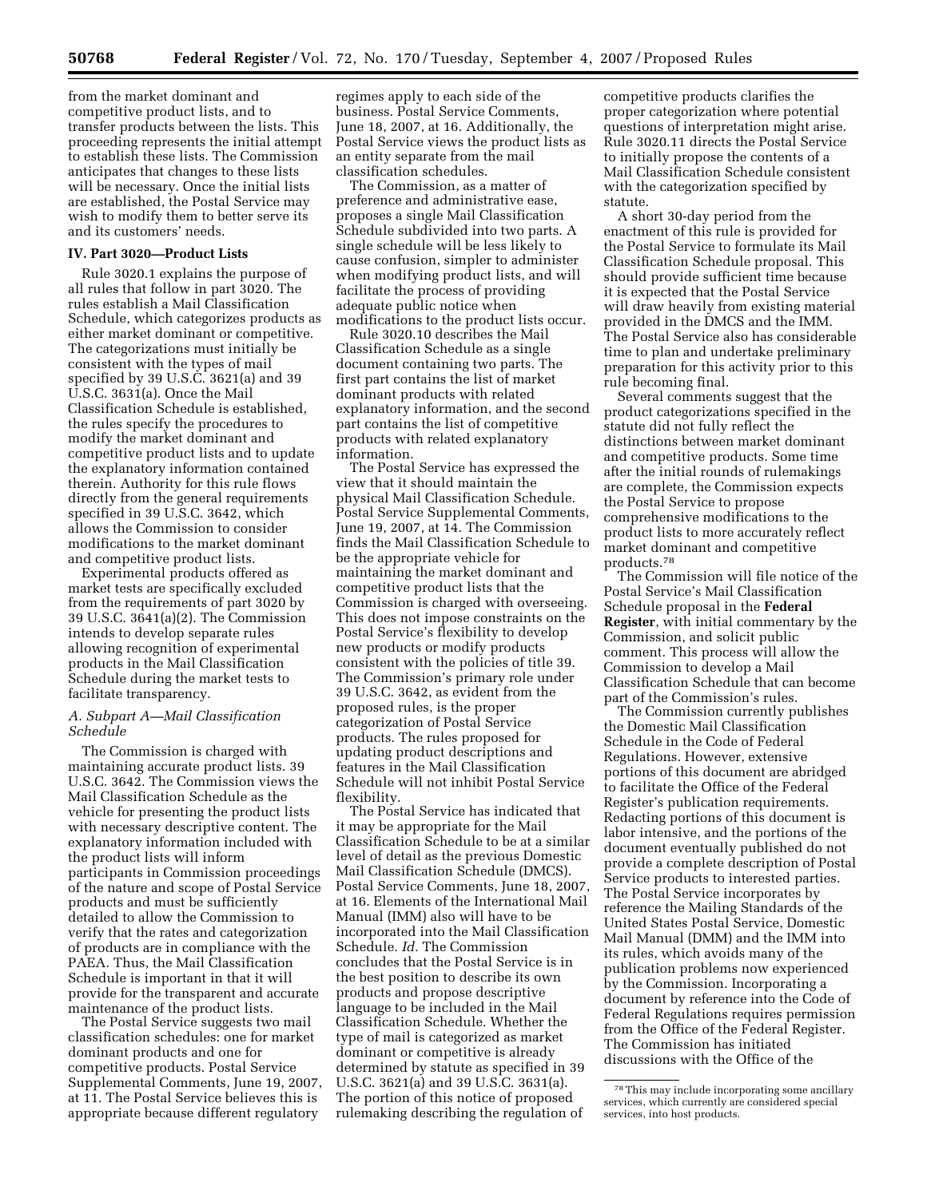from the market dominant and competitive product lists, and to transfer products between the lists. This proceeding represents the initial attempt to establish these lists. The Commission anticipates that changes to these lists will be necessary. Once the initial lists are established, the Postal Service may wish to modify them to better serve its and its customers' needs.

## **IV. Part 3020—Product Lists**

Rule 3020.1 explains the purpose of all rules that follow in part 3020. The rules establish a Mail Classification Schedule, which categorizes products as either market dominant or competitive. The categorizations must initially be consistent with the types of mail specified by 39 U.S.C. 3621(a) and 39 U.S.C. 3631(a). Once the Mail Classification Schedule is established, the rules specify the procedures to modify the market dominant and competitive product lists and to update the explanatory information contained therein. Authority for this rule flows directly from the general requirements specified in 39 U.S.C. 3642, which allows the Commission to consider modifications to the market dominant and competitive product lists.

Experimental products offered as market tests are specifically excluded from the requirements of part 3020 by 39 U.S.C. 3641(a)(2). The Commission intends to develop separate rules allowing recognition of experimental products in the Mail Classification Schedule during the market tests to facilitate transparency.

## *A. Subpart A—Mail Classification Schedule*

The Commission is charged with maintaining accurate product lists. 39 U.S.C. 3642. The Commission views the Mail Classification Schedule as the vehicle for presenting the product lists with necessary descriptive content. The explanatory information included with the product lists will inform participants in Commission proceedings of the nature and scope of Postal Service products and must be sufficiently detailed to allow the Commission to verify that the rates and categorization of products are in compliance with the PAEA. Thus, the Mail Classification Schedule is important in that it will provide for the transparent and accurate maintenance of the product lists.

The Postal Service suggests two mail classification schedules: one for market dominant products and one for competitive products. Postal Service Supplemental Comments, June 19, 2007, at 11. The Postal Service believes this is appropriate because different regulatory

regimes apply to each side of the business. Postal Service Comments, June 18, 2007, at 16. Additionally, the Postal Service views the product lists as an entity separate from the mail classification schedules.

The Commission, as a matter of preference and administrative ease, proposes a single Mail Classification Schedule subdivided into two parts. A single schedule will be less likely to cause confusion, simpler to administer when modifying product lists, and will facilitate the process of providing adequate public notice when modifications to the product lists occur.

Rule 3020.10 describes the Mail Classification Schedule as a single document containing two parts. The first part contains the list of market dominant products with related explanatory information, and the second part contains the list of competitive products with related explanatory information.

The Postal Service has expressed the view that it should maintain the physical Mail Classification Schedule. Postal Service Supplemental Comments, June 19, 2007, at 14. The Commission finds the Mail Classification Schedule to be the appropriate vehicle for maintaining the market dominant and competitive product lists that the Commission is charged with overseeing. This does not impose constraints on the Postal Service's flexibility to develop new products or modify products consistent with the policies of title 39. The Commission's primary role under 39 U.S.C. 3642, as evident from the proposed rules, is the proper categorization of Postal Service products. The rules proposed for updating product descriptions and features in the Mail Classification Schedule will not inhibit Postal Service flexibility.

The Postal Service has indicated that it may be appropriate for the Mail Classification Schedule to be at a similar level of detail as the previous Domestic Mail Classification Schedule (DMCS). Postal Service Comments, June 18, 2007, at 16. Elements of the International Mail Manual (IMM) also will have to be incorporated into the Mail Classification Schedule. *Id.* The Commission concludes that the Postal Service is in the best position to describe its own products and propose descriptive language to be included in the Mail Classification Schedule. Whether the type of mail is categorized as market dominant or competitive is already determined by statute as specified in 39 U.S.C. 3621(a) and 39 U.S.C. 3631(a). The portion of this notice of proposed rulemaking describing the regulation of

competitive products clarifies the proper categorization where potential questions of interpretation might arise. Rule 3020.11 directs the Postal Service to initially propose the contents of a Mail Classification Schedule consistent with the categorization specified by statute.

A short 30-day period from the enactment of this rule is provided for the Postal Service to formulate its Mail Classification Schedule proposal. This should provide sufficient time because it is expected that the Postal Service will draw heavily from existing material provided in the DMCS and the IMM. The Postal Service also has considerable time to plan and undertake preliminary preparation for this activity prior to this rule becoming final.

Several comments suggest that the product categorizations specified in the statute did not fully reflect the distinctions between market dominant and competitive products. Some time after the initial rounds of rulemakings are complete, the Commission expects the Postal Service to propose comprehensive modifications to the product lists to more accurately reflect market dominant and competitive products.78

The Commission will file notice of the Postal Service's Mail Classification Schedule proposal in the **Federal Register**, with initial commentary by the Commission, and solicit public comment. This process will allow the Commission to develop a Mail Classification Schedule that can become part of the Commission's rules.

The Commission currently publishes the Domestic Mail Classification Schedule in the Code of Federal Regulations. However, extensive portions of this document are abridged to facilitate the Office of the Federal Register's publication requirements. Redacting portions of this document is labor intensive, and the portions of the document eventually published do not provide a complete description of Postal Service products to interested parties. The Postal Service incorporates by reference the Mailing Standards of the United States Postal Service, Domestic Mail Manual (DMM) and the IMM into its rules, which avoids many of the publication problems now experienced by the Commission. Incorporating a document by reference into the Code of Federal Regulations requires permission from the Office of the Federal Register. The Commission has initiated discussions with the Office of the

<sup>78</sup>This may include incorporating some ancillary services, which currently are considered special services, into host products.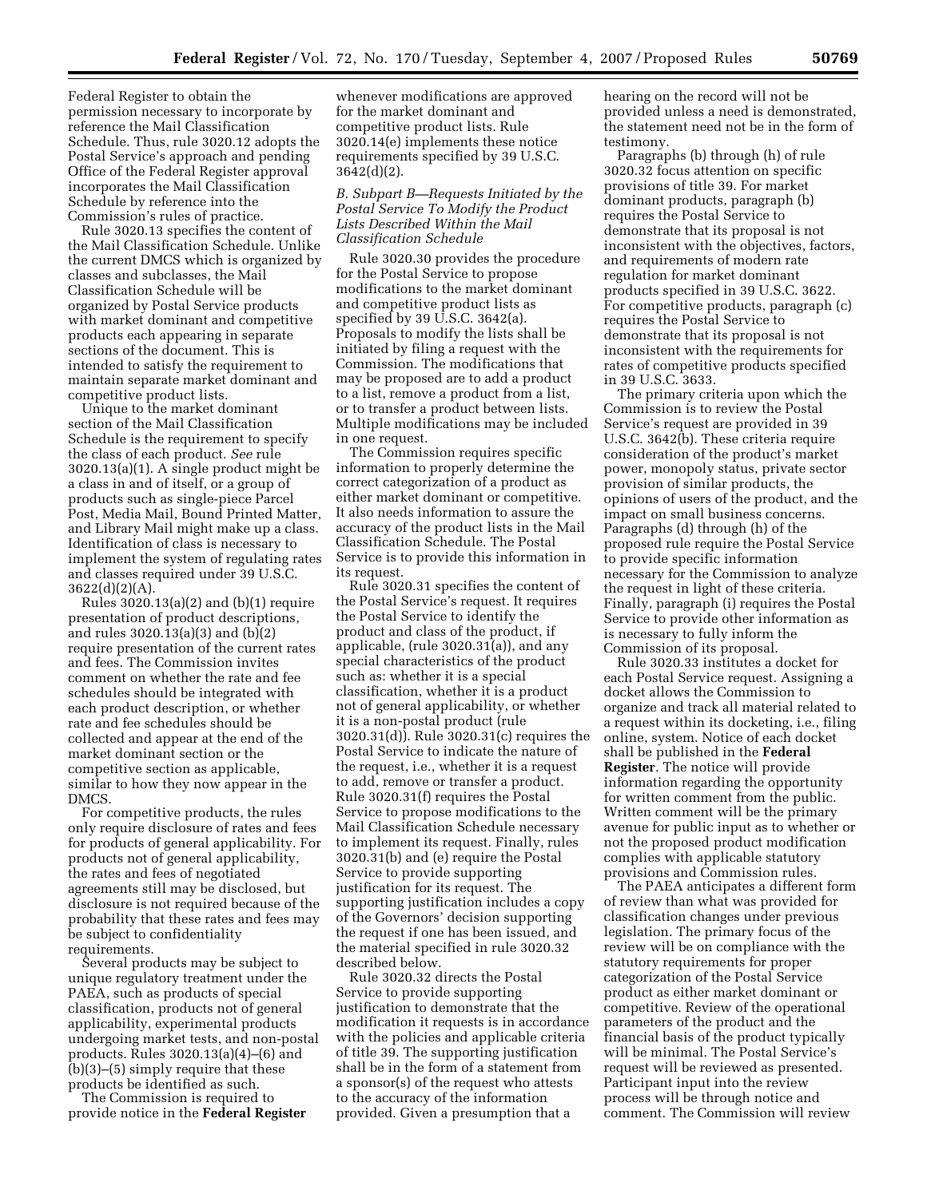Federal Register to obtain the permission necessary to incorporate by reference the Mail Classification Schedule. Thus, rule 3020.12 adopts the Postal Service's approach and pending Office of the Federal Register approval incorporates the Mail Classification Schedule by reference into the Commission's rules of practice.

Rule 3020.13 specifies the content of the Mail Classification Schedule. Unlike the current DMCS which is organized by classes and subclasses, the Mail Classification Schedule will be organized by Postal Service products with market dominant and competitive products each appearing in separate sections of the document. This is intended to satisfy the requirement to maintain separate market dominant and competitive product lists.

Unique to the market dominant section of the Mail Classification Schedule is the requirement to specify the class of each product. *See* rule 3020.13(a)(1). A single product might be a class in and of itself, or a group of products such as single-piece Parcel Post, Media Mail, Bound Printed Matter, and Library Mail might make up a class. Identification of class is necessary to implement the system of regulating rates and classes required under 39 U.S.C. 3622(d)(2)(A).

Rules 3020.13(a)(2) and (b)(1) require presentation of product descriptions, and rules 3020.13(a)(3) and (b)(2) require presentation of the current rates and fees. The Commission invites comment on whether the rate and fee schedules should be integrated with each product description, or whether rate and fee schedules should be collected and appear at the end of the market dominant section or the competitive section as applicable, similar to how they now appear in the DMCS.

For competitive products, the rules only require disclosure of rates and fees for products of general applicability. For products not of general applicability, the rates and fees of negotiated agreements still may be disclosed, but disclosure is not required because of the probability that these rates and fees may be subject to confidentiality requirements.

Several products may be subject to unique regulatory treatment under the PAEA, such as products of special classification, products not of general applicability, experimental products undergoing market tests, and non-postal products. Rules 3020.13(a)(4)–(6) and (b)(3)–(5) simply require that these products be identified as such.

The Commission is required to provide notice in the **Federal Register** 

whenever modifications are approved for the market dominant and competitive product lists. Rule 3020.14(e) implements these notice requirements specified by 39 U.S.C. 3642(d)(2).

*B. Subpart B—Requests Initiated by the Postal Service To Modify the Product Lists Described Within the Mail Classification Schedule* 

Rule 3020.30 provides the procedure for the Postal Service to propose modifications to the market dominant and competitive product lists as specified by 39 U.S.C. 3642(a). Proposals to modify the lists shall be initiated by filing a request with the Commission. The modifications that may be proposed are to add a product to a list, remove a product from a list, or to transfer a product between lists. Multiple modifications may be included in one request.

The Commission requires specific information to properly determine the correct categorization of a product as either market dominant or competitive. It also needs information to assure the accuracy of the product lists in the Mail Classification Schedule. The Postal Service is to provide this information in its request.

Rule 3020.31 specifies the content of the Postal Service's request. It requires the Postal Service to identify the product and class of the product, if applicable, (rule  $3020.31(a)$ ), and any special characteristics of the product such as: whether it is a special classification, whether it is a product not of general applicability, or whether it is a non-postal product (rule 3020.31(d)). Rule 3020.31(c) requires the Postal Service to indicate the nature of the request, i.e., whether it is a request to add, remove or transfer a product. Rule 3020.31(f) requires the Postal Service to propose modifications to the Mail Classification Schedule necessary to implement its request. Finally, rules 3020.31(b) and (e) require the Postal Service to provide supporting justification for its request. The supporting justification includes a copy of the Governors' decision supporting the request if one has been issued, and the material specified in rule 3020.32 described below.

Rule 3020.32 directs the Postal Service to provide supporting justification to demonstrate that the modification it requests is in accordance with the policies and applicable criteria of title 39. The supporting justification shall be in the form of a statement from a sponsor(s) of the request who attests to the accuracy of the information provided. Given a presumption that a

hearing on the record will not be provided unless a need is demonstrated, the statement need not be in the form of testimony.

Paragraphs (b) through (h) of rule 3020.32 focus attention on specific provisions of title 39. For market dominant products, paragraph (b) requires the Postal Service to demonstrate that its proposal is not inconsistent with the objectives, factors, and requirements of modern rate regulation for market dominant products specified in 39 U.S.C. 3622. For competitive products, paragraph (c) requires the Postal Service to demonstrate that its proposal is not inconsistent with the requirements for rates of competitive products specified in 39 U.S.C. 3633.

The primary criteria upon which the Commission is to review the Postal Service's request are provided in 39 U.S.C. 3642(b). These criteria require consideration of the product's market power, monopoly status, private sector provision of similar products, the opinions of users of the product, and the impact on small business concerns. Paragraphs (d) through (h) of the proposed rule require the Postal Service to provide specific information necessary for the Commission to analyze the request in light of these criteria. Finally, paragraph (i) requires the Postal Service to provide other information as is necessary to fully inform the Commission of its proposal.

Rule 3020.33 institutes a docket for each Postal Service request. Assigning a docket allows the Commission to organize and track all material related to a request within its docketing, i.e., filing online, system. Notice of each docket shall be published in the **Federal Register**. The notice will provide information regarding the opportunity for written comment from the public. Written comment will be the primary avenue for public input as to whether or not the proposed product modification complies with applicable statutory provisions and Commission rules.

The PAEA anticipates a different form of review than what was provided for classification changes under previous legislation. The primary focus of the review will be on compliance with the statutory requirements for proper categorization of the Postal Service product as either market dominant or competitive. Review of the operational parameters of the product and the financial basis of the product typically will be minimal. The Postal Service's request will be reviewed as presented. Participant input into the review process will be through notice and comment. The Commission will review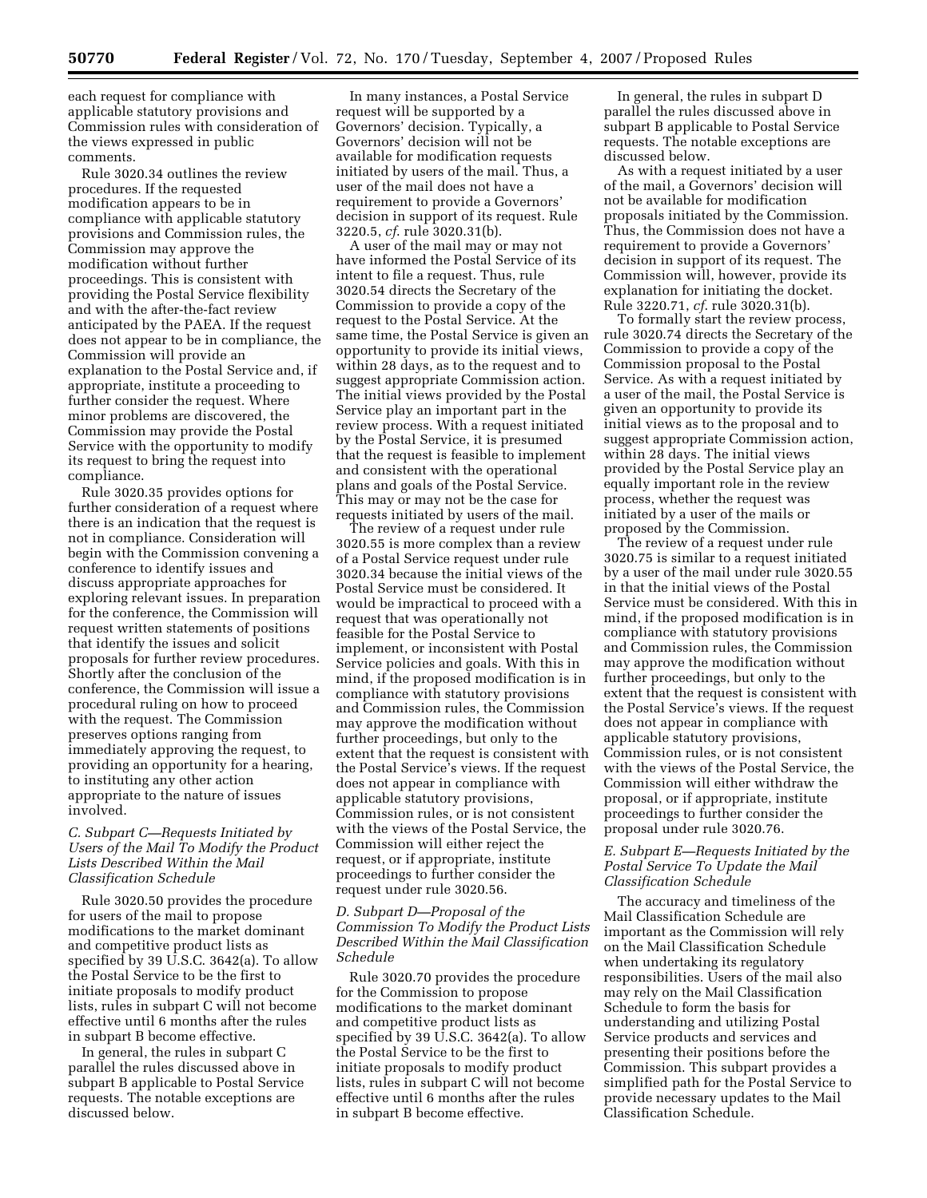each request for compliance with applicable statutory provisions and Commission rules with consideration of the views expressed in public comments.

Rule 3020.34 outlines the review procedures. If the requested modification appears to be in compliance with applicable statutory provisions and Commission rules, the Commission may approve the modification without further proceedings. This is consistent with providing the Postal Service flexibility and with the after-the-fact review anticipated by the PAEA. If the request does not appear to be in compliance, the Commission will provide an explanation to the Postal Service and, if appropriate, institute a proceeding to further consider the request. Where minor problems are discovered, the Commission may provide the Postal Service with the opportunity to modify its request to bring the request into compliance.

Rule 3020.35 provides options for further consideration of a request where there is an indication that the request is not in compliance. Consideration will begin with the Commission convening a conference to identify issues and discuss appropriate approaches for exploring relevant issues. In preparation for the conference, the Commission will request written statements of positions that identify the issues and solicit proposals for further review procedures. Shortly after the conclusion of the conference, the Commission will issue a procedural ruling on how to proceed with the request. The Commission preserves options ranging from immediately approving the request, to providing an opportunity for a hearing, to instituting any other action appropriate to the nature of issues involved.

# *C. Subpart C—Requests Initiated by Users of the Mail To Modify the Product Lists Described Within the Mail Classification Schedule*

Rule 3020.50 provides the procedure for users of the mail to propose modifications to the market dominant and competitive product lists as specified by 39 U.S.C. 3642(a). To allow the Postal Service to be the first to initiate proposals to modify product lists, rules in subpart C will not become effective until 6 months after the rules in subpart B become effective.

In general, the rules in subpart C parallel the rules discussed above in subpart B applicable to Postal Service requests. The notable exceptions are discussed below.

In many instances, a Postal Service request will be supported by a Governors' decision. Typically, a Governors' decision will not be available for modification requests initiated by users of the mail. Thus, a user of the mail does not have a requirement to provide a Governors' decision in support of its request. Rule 3220.5, *cf*. rule 3020.31(b).

A user of the mail may or may not have informed the Postal Service of its intent to file a request. Thus, rule 3020.54 directs the Secretary of the Commission to provide a copy of the request to the Postal Service. At the same time, the Postal Service is given an opportunity to provide its initial views, within 28 days, as to the request and to suggest appropriate Commission action. The initial views provided by the Postal Service play an important part in the review process. With a request initiated by the Postal Service, it is presumed that the request is feasible to implement and consistent with the operational plans and goals of the Postal Service. This may or may not be the case for requests initiated by users of the mail.

The review of a request under rule 3020.55 is more complex than a review of a Postal Service request under rule 3020.34 because the initial views of the Postal Service must be considered. It would be impractical to proceed with a request that was operationally not feasible for the Postal Service to implement, or inconsistent with Postal Service policies and goals. With this in mind, if the proposed modification is in compliance with statutory provisions and Commission rules, the Commission may approve the modification without further proceedings, but only to the extent that the request is consistent with the Postal Service's views. If the request does not appear in compliance with applicable statutory provisions, Commission rules, or is not consistent with the views of the Postal Service, the Commission will either reject the request, or if appropriate, institute proceedings to further consider the request under rule 3020.56.

# *D. Subpart D—Proposal of the Commission To Modify the Product Lists Described Within the Mail Classification Schedule*

Rule 3020.70 provides the procedure for the Commission to propose modifications to the market dominant and competitive product lists as specified by 39 U.S.C. 3642(a). To allow the Postal Service to be the first to initiate proposals to modify product lists, rules in subpart C will not become effective until 6 months after the rules in subpart B become effective.

In general, the rules in subpart D parallel the rules discussed above in subpart B applicable to Postal Service requests. The notable exceptions are discussed below.

As with a request initiated by a user of the mail, a Governors' decision will not be available for modification proposals initiated by the Commission. Thus, the Commission does not have a requirement to provide a Governors' decision in support of its request. The Commission will, however, provide its explanation for initiating the docket. Rule 3220.71, *cf*. rule 3020.31(b).

To formally start the review process, rule 3020.74 directs the Secretary of the Commission to provide a copy of the Commission proposal to the Postal Service. As with a request initiated by a user of the mail, the Postal Service is given an opportunity to provide its initial views as to the proposal and to suggest appropriate Commission action, within 28 days. The initial views provided by the Postal Service play an equally important role in the review process, whether the request was initiated by a user of the mails or proposed by the Commission.

The review of a request under rule 3020.75 is similar to a request initiated by a user of the mail under rule 3020.55 in that the initial views of the Postal Service must be considered. With this in mind, if the proposed modification is in compliance with statutory provisions and Commission rules, the Commission may approve the modification without further proceedings, but only to the extent that the request is consistent with the Postal Service's views. If the request does not appear in compliance with applicable statutory provisions, Commission rules, or is not consistent with the views of the Postal Service, the Commission will either withdraw the proposal, or if appropriate, institute proceedings to further consider the proposal under rule 3020.76.

# *E. Subpart E—Requests Initiated by the Postal Service To Update the Mail Classification Schedule*

The accuracy and timeliness of the Mail Classification Schedule are important as the Commission will rely on the Mail Classification Schedule when undertaking its regulatory responsibilities. Users of the mail also may rely on the Mail Classification Schedule to form the basis for understanding and utilizing Postal Service products and services and presenting their positions before the Commission. This subpart provides a simplified path for the Postal Service to provide necessary updates to the Mail Classification Schedule.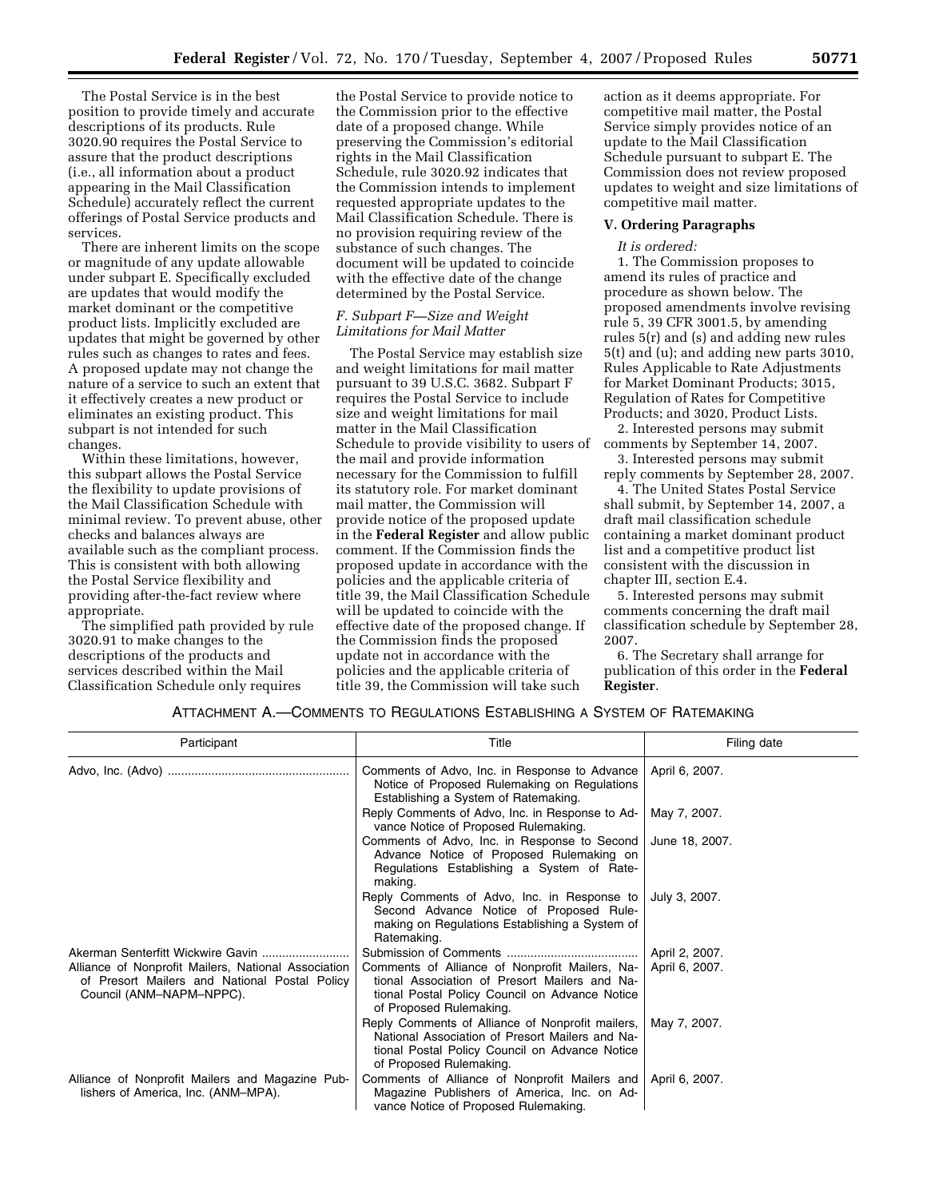The Postal Service is in the best position to provide timely and accurate descriptions of its products. Rule 3020.90 requires the Postal Service to assure that the product descriptions (i.e., all information about a product appearing in the Mail Classification Schedule) accurately reflect the current offerings of Postal Service products and services.

There are inherent limits on the scope or magnitude of any update allowable under subpart E. Specifically excluded are updates that would modify the market dominant or the competitive product lists. Implicitly excluded are updates that might be governed by other rules such as changes to rates and fees. A proposed update may not change the nature of a service to such an extent that it effectively creates a new product or eliminates an existing product. This subpart is not intended for such changes.

Within these limitations, however, this subpart allows the Postal Service the flexibility to update provisions of the Mail Classification Schedule with minimal review. To prevent abuse, other checks and balances always are available such as the compliant process. This is consistent with both allowing the Postal Service flexibility and providing after-the-fact review where appropriate.

The simplified path provided by rule 3020.91 to make changes to the descriptions of the products and services described within the Mail Classification Schedule only requires

the Postal Service to provide notice to the Commission prior to the effective date of a proposed change. While preserving the Commission's editorial rights in the Mail Classification Schedule, rule 3020.92 indicates that the Commission intends to implement requested appropriate updates to the Mail Classification Schedule. There is no provision requiring review of the substance of such changes. The document will be updated to coincide with the effective date of the change determined by the Postal Service.

## *F. Subpart F—Size and Weight Limitations for Mail Matter*

The Postal Service may establish size and weight limitations for mail matter pursuant to 39 U.S.C. 3682. Subpart F requires the Postal Service to include size and weight limitations for mail matter in the Mail Classification Schedule to provide visibility to users of the mail and provide information necessary for the Commission to fulfill its statutory role. For market dominant mail matter, the Commission will provide notice of the proposed update in the **Federal Register** and allow public comment. If the Commission finds the proposed update in accordance with the policies and the applicable criteria of title 39, the Mail Classification Schedule will be updated to coincide with the effective date of the proposed change. If the Commission finds the proposed update not in accordance with the policies and the applicable criteria of title 39, the Commission will take such

action as it deems appropriate. For competitive mail matter, the Postal Service simply provides notice of an update to the Mail Classification Schedule pursuant to subpart E. The Commission does not review proposed updates to weight and size limitations of competitive mail matter.

# **V. Ordering Paragraphs**

#### *It is ordered:*

1. The Commission proposes to amend its rules of practice and procedure as shown below. The proposed amendments involve revising rule 5, 39 CFR 3001.5, by amending rules 5(r) and (s) and adding new rules 5(t) and (u); and adding new parts 3010, Rules Applicable to Rate Adjustments for Market Dominant Products; 3015, Regulation of Rates for Competitive Products; and 3020, Product Lists.

2. Interested persons may submit comments by September 14, 2007.

3. Interested persons may submit reply comments by September 28, 2007.

4. The United States Postal Service shall submit, by September 14, 2007, a draft mail classification schedule containing a market dominant product list and a competitive product list consistent with the discussion in chapter III, section E.4.

5. Interested persons may submit comments concerning the draft mail classification schedule by September 28, 2007.

6. The Secretary shall arrange for publication of this order in the **Federal Register**.

## ATTACHMENT A.—COMMENTS TO REGULATIONS ESTABLISHING A SYSTEM OF RATEMAKING

| Participant                                                                                                                      | Title                                                                                                                                                                            | Filing date    |
|----------------------------------------------------------------------------------------------------------------------------------|----------------------------------------------------------------------------------------------------------------------------------------------------------------------------------|----------------|
|                                                                                                                                  | Comments of Advo, Inc. in Response to Advance<br>Notice of Proposed Rulemaking on Regulations<br>Establishing a System of Ratemaking.                                            | April 6, 2007. |
|                                                                                                                                  | Reply Comments of Advo, Inc. in Response to Ad-<br>vance Notice of Proposed Rulemaking.                                                                                          | May 7, 2007.   |
|                                                                                                                                  | Comments of Advo, Inc. in Response to Second<br>Advance Notice of Proposed Rulemaking on<br>Regulations Establishing a System of Rate-<br>making.                                | June 18, 2007. |
|                                                                                                                                  | Reply Comments of Advo, Inc. in Response to<br>Second Advance Notice of Proposed Rule-<br>making on Regulations Establishing a System of<br>Ratemaking.                          | July 3, 2007.  |
| Akerman Senterfitt Wickwire Gavin                                                                                                |                                                                                                                                                                                  | April 2, 2007. |
| Alliance of Nonprofit Mailers, National Association<br>of Presort Mailers and National Postal Policy<br>Council (ANM-NAPM-NPPC). | Comments of Alliance of Nonprofit Mailers, Na-<br>tional Association of Presort Mailers and Na-<br>tional Postal Policy Council on Advance Notice<br>of Proposed Rulemaking.     | April 6, 2007. |
|                                                                                                                                  | Reply Comments of Alliance of Nonprofit mailers,<br>National Association of Presort Mailers and Na-<br>tional Postal Policy Council on Advance Notice<br>of Proposed Rulemaking. | May 7, 2007.   |
| Alliance of Nonprofit Mailers and Magazine Pub-<br>lishers of America, Inc. (ANM-MPA).                                           | Comments of Alliance of Nonprofit Mailers and   April 6, 2007.<br>Magazine Publishers of America, Inc. on Ad-<br>vance Notice of Proposed Rulemaking.                            |                |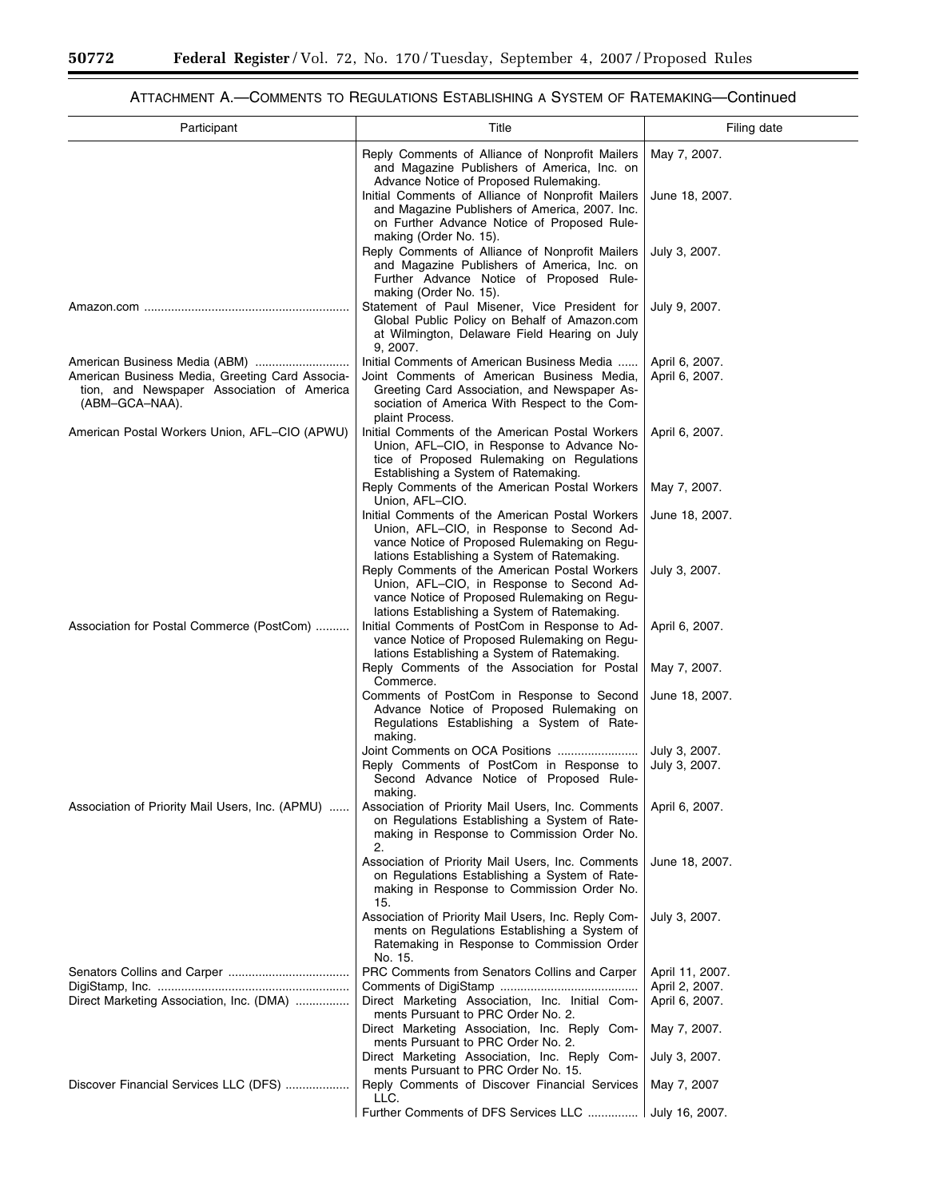# ATTACHMENT A.—COMMENTS TO REGULATIONS ESTABLISHING A SYSTEM OF RATEMAKING—Continued

| Participant                                                                                                                                      | Title                                                                                                                                                                                                                  | Filing date                      |
|--------------------------------------------------------------------------------------------------------------------------------------------------|------------------------------------------------------------------------------------------------------------------------------------------------------------------------------------------------------------------------|----------------------------------|
|                                                                                                                                                  | Reply Comments of Alliance of Nonprofit Mailers<br>and Magazine Publishers of America, Inc. on                                                                                                                         | May 7, 2007.                     |
|                                                                                                                                                  | Advance Notice of Proposed Rulemaking.<br>Initial Comments of Alliance of Nonprofit Mailers<br>and Magazine Publishers of America, 2007. Inc.<br>on Further Advance Notice of Proposed Rule-<br>making (Order No. 15). | June 18, 2007.                   |
|                                                                                                                                                  | Reply Comments of Alliance of Nonprofit Mailers<br>and Magazine Publishers of America, Inc. on<br>Further Advance Notice of Proposed Rule-<br>making (Order No. 15).                                                   | July 3, 2007.                    |
| Amazon.com                                                                                                                                       | Statement of Paul Misener, Vice President for<br>Global Public Policy on Behalf of Amazon.com<br>at Wilmington, Delaware Field Hearing on July<br>9, 2007.                                                             | July 9, 2007.                    |
| American Business Media (ABM)<br>American Business Media, Greeting Card Associa-<br>tion, and Newspaper Association of America<br>(ABM-GCA-NAA). | Initial Comments of American Business Media<br>Joint Comments of American Business Media,<br>Greeting Card Association, and Newspaper As-<br>sociation of America With Respect to the Com-<br>plaint Process.          | April 6, 2007.<br>April 6, 2007. |
| American Postal Workers Union, AFL-CIO (APWU)                                                                                                    | Initial Comments of the American Postal Workers<br>Union, AFL-CIO, in Response to Advance No-<br>tice of Proposed Rulemaking on Regulations<br>Establishing a System of Ratemaking.                                    | April 6, 2007.                   |
|                                                                                                                                                  | Reply Comments of the American Postal Workers<br>Union, AFL-CIO.                                                                                                                                                       | May 7, 2007.                     |
|                                                                                                                                                  | Initial Comments of the American Postal Workers<br>Union, AFL-CIO, in Response to Second Ad-<br>vance Notice of Proposed Rulemaking on Regu-<br>lations Establishing a System of Ratemaking.                           | June 18, 2007.                   |
|                                                                                                                                                  | Reply Comments of the American Postal Workers<br>Union, AFL-CIO, in Response to Second Ad-<br>vance Notice of Proposed Rulemaking on Regu-<br>lations Establishing a System of Ratemaking.                             | July 3, 2007.                    |
| Association for Postal Commerce (PostCom)                                                                                                        | Initial Comments of PostCom in Response to Ad-<br>vance Notice of Proposed Rulemaking on Regu-<br>lations Establishing a System of Ratemaking.                                                                         | April 6, 2007.                   |
|                                                                                                                                                  | Reply Comments of the Association for Postal<br>Commerce.<br>Comments of PostCom in Response to Second<br>Advance Notice of Proposed Rulemaking on                                                                     | May 7, 2007.<br>June 18, 2007.   |
|                                                                                                                                                  | Regulations Establishing a System of Rate-<br>making.                                                                                                                                                                  | July 3, 2007.                    |
|                                                                                                                                                  | Reply Comments of PostCom in Response to<br>Second Advance Notice of Proposed Rule-<br>making.                                                                                                                         | July 3, 2007.                    |
| Association of Priority Mail Users, Inc. (APMU)                                                                                                  | Association of Priority Mail Users, Inc. Comments<br>on Regulations Establishing a System of Rate-<br>making in Response to Commission Order No.<br>2.                                                                 | April 6, 2007.                   |
|                                                                                                                                                  | Association of Priority Mail Users, Inc. Comments<br>on Regulations Establishing a System of Rate-<br>making in Response to Commission Order No.<br>15.                                                                | June 18, 2007.                   |
|                                                                                                                                                  | Association of Priority Mail Users, Inc. Reply Com-<br>ments on Regulations Establishing a System of<br>Ratemaking in Response to Commission Order<br>No. 15.                                                          | July 3, 2007.                    |
|                                                                                                                                                  | PRC Comments from Senators Collins and Carper                                                                                                                                                                          | April 11, 2007.                  |
| Direct Marketing Association, Inc. (DMA)                                                                                                         | Direct Marketing Association, Inc. Initial Com-<br>ments Pursuant to PRC Order No. 2.                                                                                                                                  | April 2, 2007.<br>April 6, 2007. |
|                                                                                                                                                  | Direct Marketing Association, Inc. Reply Com-<br>ments Pursuant to PRC Order No. 2.                                                                                                                                    | May 7, 2007.                     |
| Discover Financial Services LLC (DFS)                                                                                                            | Direct Marketing Association, Inc. Reply Com-<br>ments Pursuant to PRC Order No. 15.<br>Reply Comments of Discover Financial Services                                                                                  | July 3, 2007.<br>May 7, 2007     |
|                                                                                                                                                  | LLC.<br>Further Comments of DFS Services LLC                                                                                                                                                                           | July 16, 2007.                   |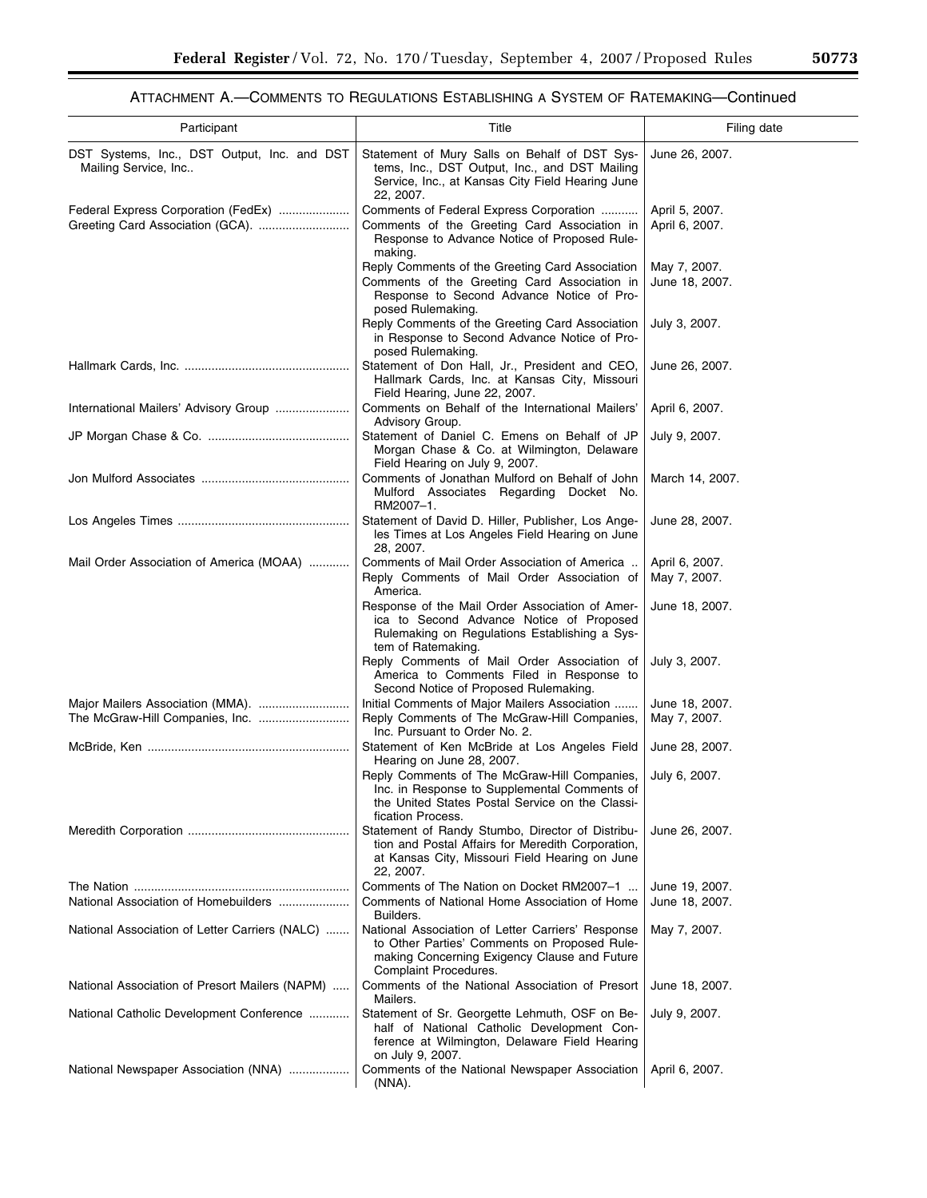▀

# ATTACHMENT A.—COMMENTS TO REGULATIONS ESTABLISHING A SYSTEM OF RATEMAKING—Continued

| Participant                                                         | Title                                                                                                                                                                      | Filing date                      |
|---------------------------------------------------------------------|----------------------------------------------------------------------------------------------------------------------------------------------------------------------------|----------------------------------|
| DST Systems, Inc., DST Output, Inc. and DST<br>Mailing Service, Inc | Statement of Mury Salls on Behalf of DST Sys-<br>tems, Inc., DST Output, Inc., and DST Mailing<br>Service, Inc., at Kansas City Field Hearing June<br>22, 2007.            | June 26, 2007.                   |
| Federal Express Corporation (FedEx)                                 | Comments of Federal Express Corporation<br>Comments of the Greeting Card Association in<br>Response to Advance Notice of Proposed Rule-<br>making.                         | April 5, 2007.<br>April 6, 2007. |
|                                                                     | Reply Comments of the Greeting Card Association<br>Comments of the Greeting Card Association in<br>Response to Second Advance Notice of Pro-<br>posed Rulemaking.          | May 7, 2007.<br>June 18, 2007.   |
|                                                                     | Reply Comments of the Greeting Card Association<br>in Response to Second Advance Notice of Pro-<br>posed Rulemaking.                                                       | July 3, 2007.                    |
|                                                                     | Statement of Don Hall, Jr., President and CEO,<br>Hallmark Cards, Inc. at Kansas City, Missouri<br>Field Hearing, June 22, 2007.                                           | June 26, 2007.                   |
| International Mailers' Advisory Group                               | Comments on Behalf of the International Mailers'<br>Advisory Group.                                                                                                        | April 6, 2007.                   |
|                                                                     | Statement of Daniel C. Emens on Behalf of JP<br>Morgan Chase & Co. at Wilmington, Delaware<br>Field Hearing on July 9, 2007.                                               | July 9, 2007.                    |
|                                                                     | Comments of Jonathan Mulford on Behalf of John<br>Mulford Associates Regarding Docket No.<br>RM2007-1.                                                                     | March 14, 2007.                  |
|                                                                     | Statement of David D. Hiller, Publisher, Los Ange-<br>les Times at Los Angeles Field Hearing on June<br>28, 2007.                                                          | June 28, 2007.                   |
| Mail Order Association of America (MOAA)                            | Comments of Mail Order Association of America<br>Reply Comments of Mail Order Association of<br>America.                                                                   | April 6, 2007.<br>May 7, 2007.   |
|                                                                     | Response of the Mail Order Association of Amer-<br>ica to Second Advance Notice of Proposed<br>Rulemaking on Regulations Establishing a Sys-<br>tem of Ratemaking.         | June 18, 2007.                   |
|                                                                     | Reply Comments of Mail Order Association of<br>America to Comments Filed in Response to<br>Second Notice of Proposed Rulemaking.                                           | July 3, 2007.                    |
|                                                                     | Initial Comments of Major Mailers Association                                                                                                                              | June 18, 2007.                   |
| The McGraw-Hill Companies, Inc.                                     | Reply Comments of The McGraw-Hill Companies,<br>Inc. Pursuant to Order No. 2.                                                                                              | May 7, 2007.                     |
|                                                                     | Statement of Ken McBride at Los Angeles Field<br>Hearing on June 28, 2007.                                                                                                 | June 28, 2007.                   |
|                                                                     | Reply Comments of The McGraw-Hill Companies,<br>Inc. in Response to Supplemental Comments of<br>the United States Postal Service on the Classi-<br>fication Process.       | July 6, 2007.                    |
|                                                                     | Statement of Randy Stumbo, Director of Distribu-<br>tion and Postal Affairs for Meredith Corporation,<br>at Kansas City, Missouri Field Hearing on June<br>22, 2007.       | June 26, 2007.                   |
|                                                                     | Comments of The Nation on Docket RM2007-1                                                                                                                                  | June 19, 2007.                   |
| National Association of Homebuilders                                | Comments of National Home Association of Home<br>Builders.                                                                                                                 | June 18, 2007.                   |
| National Association of Letter Carriers (NALC)                      | National Association of Letter Carriers' Response<br>to Other Parties' Comments on Proposed Rule-<br>making Concerning Exigency Clause and Future<br>Complaint Procedures. | May 7, 2007.                     |
| National Association of Presort Mailers (NAPM)                      | Comments of the National Association of Presort<br>Mailers.                                                                                                                | June 18, 2007.                   |
| National Catholic Development Conference                            | Statement of Sr. Georgette Lehmuth, OSF on Be-<br>half of National Catholic Development Con-<br>ference at Wilmington, Delaware Field Hearing                              | July 9, 2007.                    |
| National Newspaper Association (NNA)                                | on July 9, 2007.<br>Comments of the National Newspaper Association<br>(NNA).                                                                                               | April 6, 2007.                   |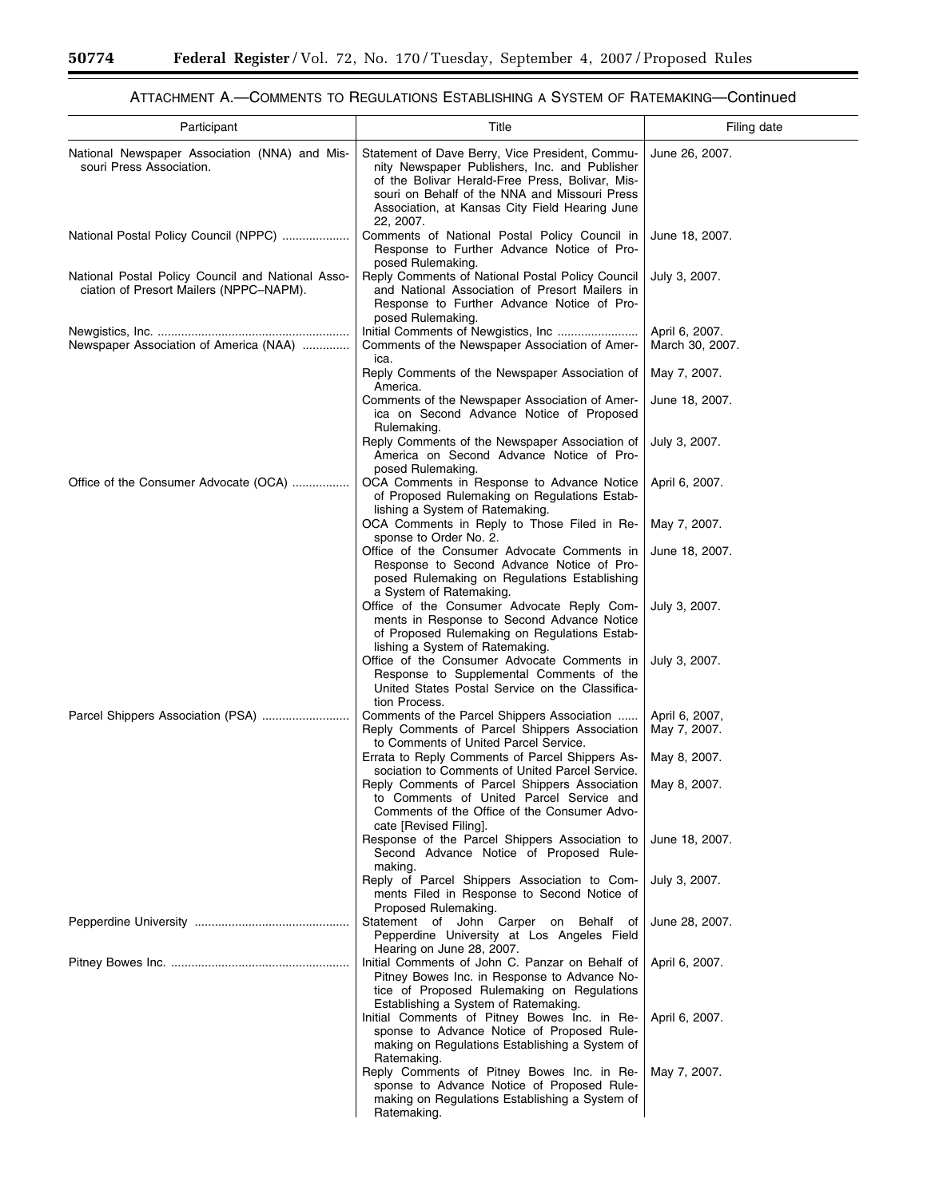٦

# ATTACHMENT A.—COMMENTS TO REGULATIONS ESTABLISHING A SYSTEM OF RATEMAKING—Continued

| Participant                                                                                  | Title                                                                                                                                                                                                                                                               | Filing date                       |
|----------------------------------------------------------------------------------------------|---------------------------------------------------------------------------------------------------------------------------------------------------------------------------------------------------------------------------------------------------------------------|-----------------------------------|
| National Newspaper Association (NNA) and Mis-<br>souri Press Association.                    | Statement of Dave Berry, Vice President, Commu-<br>nity Newspaper Publishers, Inc. and Publisher<br>of the Bolivar Herald-Free Press, Bolivar, Mis-<br>souri on Behalf of the NNA and Missouri Press<br>Association, at Kansas City Field Hearing June<br>22, 2007. | June 26, 2007.                    |
| National Postal Policy Council (NPPC)                                                        | Comments of National Postal Policy Council in<br>Response to Further Advance Notice of Pro-<br>posed Rulemaking.                                                                                                                                                    | June 18, 2007.                    |
| National Postal Policy Council and National Asso-<br>ciation of Presort Mailers (NPPC-NAPM). | Reply Comments of National Postal Policy Council<br>and National Association of Presort Mailers in<br>Response to Further Advance Notice of Pro-<br>posed Rulemaking.                                                                                               | July 3, 2007.                     |
| Newspaper Association of America (NAA)                                                       | Comments of the Newspaper Association of Amer-<br>ica.                                                                                                                                                                                                              | April 6, 2007.<br>March 30, 2007. |
|                                                                                              | Reply Comments of the Newspaper Association of<br>America.                                                                                                                                                                                                          | May 7, 2007.                      |
|                                                                                              | Comments of the Newspaper Association of Amer-<br>ica on Second Advance Notice of Proposed<br>Rulemaking.                                                                                                                                                           | June 18, 2007.                    |
|                                                                                              | Reply Comments of the Newspaper Association of<br>America on Second Advance Notice of Pro-<br>posed Rulemaking.                                                                                                                                                     | July 3, 2007.                     |
| Office of the Consumer Advocate (OCA)                                                        | OCA Comments in Response to Advance Notice<br>of Proposed Rulemaking on Regulations Estab-<br>lishing a System of Ratemaking.                                                                                                                                       | April 6, 2007.                    |
|                                                                                              | OCA Comments in Reply to Those Filed in Re-<br>sponse to Order No. 2.                                                                                                                                                                                               | May 7, 2007.                      |
|                                                                                              | Office of the Consumer Advocate Comments in<br>Response to Second Advance Notice of Pro-<br>posed Rulemaking on Regulations Establishing<br>a System of Ratemaking.                                                                                                 | June 18, 2007.                    |
|                                                                                              | Office of the Consumer Advocate Reply Com-<br>ments in Response to Second Advance Notice<br>of Proposed Rulemaking on Regulations Estab-                                                                                                                            | July 3, 2007.                     |
|                                                                                              | lishing a System of Ratemaking.<br>Office of the Consumer Advocate Comments in<br>Response to Supplemental Comments of the<br>United States Postal Service on the Classifica-<br>tion Process.                                                                      | July 3, 2007.                     |
| Parcel Shippers Association (PSA)                                                            | Comments of the Parcel Shippers Association<br>Reply Comments of Parcel Shippers Association<br>to Comments of United Parcel Service.                                                                                                                               | April 6, 2007,<br>May 7, 2007.    |
|                                                                                              | Errata to Reply Comments of Parcel Shippers As-<br>sociation to Comments of United Parcel Service.                                                                                                                                                                  | May 8, 2007.                      |
|                                                                                              | Reply Comments of Parcel Shippers Association<br>to Comments of United Parcel Service and<br>Comments of the Office of the Consumer Advo-<br>cate [Revised Filing].                                                                                                 | May 8, 2007.                      |
|                                                                                              | Response of the Parcel Shippers Association to<br>Second Advance Notice of Proposed Rule-<br>making.                                                                                                                                                                | June 18, 2007.                    |
|                                                                                              | Reply of Parcel Shippers Association to Com-<br>ments Filed in Response to Second Notice of<br>Proposed Rulemaking.                                                                                                                                                 | July 3, 2007.                     |
|                                                                                              | Statement of John Carper on Behalf of<br>Pepperdine University at Los Angeles Field<br>Hearing on June 28, 2007.                                                                                                                                                    | June 28, 2007.                    |
|                                                                                              | Initial Comments of John C. Panzar on Behalf of<br>Pitney Bowes Inc. in Response to Advance No-<br>tice of Proposed Rulemaking on Regulations<br>Establishing a System of Ratemaking.                                                                               | April 6, 2007.                    |
|                                                                                              | Initial Comments of Pitney Bowes Inc. in Re-<br>sponse to Advance Notice of Proposed Rule-<br>making on Regulations Establishing a System of<br>Ratemaking.                                                                                                         | April 6, 2007.                    |
|                                                                                              | Reply Comments of Pitney Bowes Inc. in Re-<br>sponse to Advance Notice of Proposed Rule-<br>making on Regulations Establishing a System of<br>Ratemaking.                                                                                                           | May 7, 2007.                      |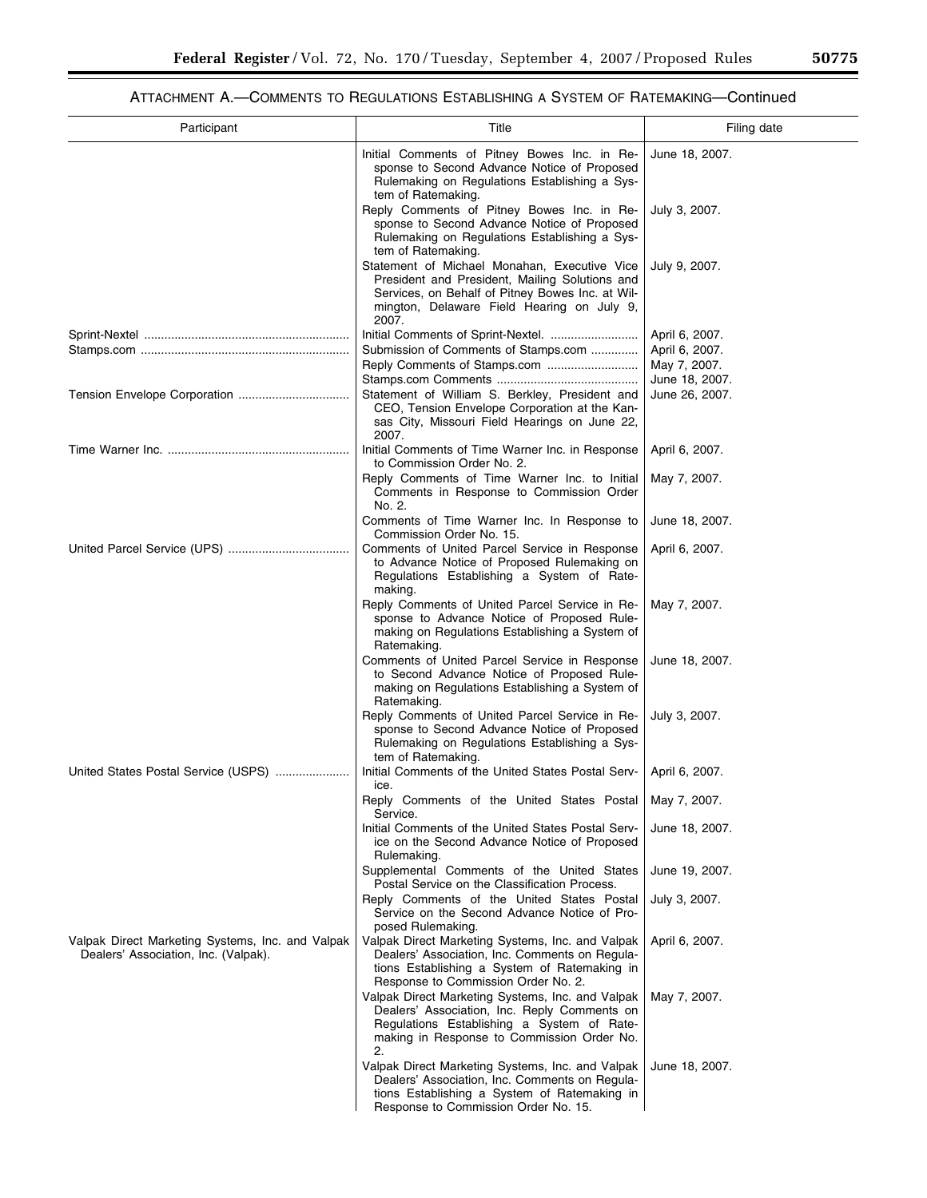▀

# ATTACHMENT A.—COMMENTS TO REGULATIONS ESTABLISHING A SYSTEM OF RATEMAKING—Continued

| Participant                                                                              | Title                                                                                                                                                                                                     | Filing date                                      |
|------------------------------------------------------------------------------------------|-----------------------------------------------------------------------------------------------------------------------------------------------------------------------------------------------------------|--------------------------------------------------|
|                                                                                          | Initial Comments of Pitney Bowes Inc. in Re-<br>sponse to Second Advance Notice of Proposed<br>Rulemaking on Regulations Establishing a Sys-<br>tem of Ratemaking.                                        | June 18, 2007.                                   |
|                                                                                          | Reply Comments of Pitney Bowes Inc. in Re-<br>sponse to Second Advance Notice of Proposed<br>Rulemaking on Regulations Establishing a Sys-<br>tem of Ratemaking.                                          | July 3, 2007.                                    |
|                                                                                          | Statement of Michael Monahan, Executive Vice<br>President and President, Mailing Solutions and<br>Services, on Behalf of Pitney Bowes Inc. at Wil-<br>mington, Delaware Field Hearing on July 9,<br>2007. | July 9, 2007.                                    |
|                                                                                          |                                                                                                                                                                                                           | April 6, 2007.                                   |
|                                                                                          | Submission of Comments of Stamps.com                                                                                                                                                                      | April 6, 2007.<br>May 7, 2007.<br>June 18, 2007. |
|                                                                                          | Statement of William S. Berkley, President and<br>CEO, Tension Envelope Corporation at the Kan-<br>sas City, Missouri Field Hearings on June 22,<br>2007.                                                 | June 26, 2007.                                   |
|                                                                                          | Initial Comments of Time Warner Inc. in Response<br>to Commission Order No. 2.                                                                                                                            | April 6, 2007.                                   |
|                                                                                          | Reply Comments of Time Warner Inc. to Initial<br>Comments in Response to Commission Order<br>No. 2.                                                                                                       | May 7, 2007.                                     |
|                                                                                          | Comments of Time Warner Inc. In Response to<br>Commission Order No. 15.                                                                                                                                   | June 18, 2007.                                   |
|                                                                                          | Comments of United Parcel Service in Response<br>to Advance Notice of Proposed Rulemaking on<br>Regulations Establishing a System of Rate-<br>making.                                                     | April 6, 2007.                                   |
|                                                                                          | Reply Comments of United Parcel Service in Re-<br>sponse to Advance Notice of Proposed Rule-<br>making on Regulations Establishing a System of<br>Ratemaking.                                             | May 7, 2007.                                     |
|                                                                                          | Comments of United Parcel Service in Response<br>to Second Advance Notice of Proposed Rule-<br>making on Regulations Establishing a System of<br>Ratemaking.                                              | June 18, 2007.                                   |
|                                                                                          | Reply Comments of United Parcel Service in Re-<br>sponse to Second Advance Notice of Proposed<br>Rulemaking on Regulations Establishing a Sys-<br>tem of Ratemaking.                                      | July 3, 2007.                                    |
| United States Postal Service (USPS)                                                      | Initial Comments of the United States Postal Serv-<br>ice.                                                                                                                                                | April 6, 2007.                                   |
|                                                                                          | Reply Comments of the United States Postal<br>Service.                                                                                                                                                    | May 7, 2007.                                     |
|                                                                                          | Initial Comments of the United States Postal Serv-<br>ice on the Second Advance Notice of Proposed<br>Rulemaking.                                                                                         | June 18, 2007.                                   |
|                                                                                          | Supplemental Comments of the United States<br>Postal Service on the Classification Process.                                                                                                               | June 19, 2007.                                   |
|                                                                                          | Reply Comments of the United States Postal<br>Service on the Second Advance Notice of Pro-<br>posed Rulemaking.                                                                                           | July 3, 2007.                                    |
| Valpak Direct Marketing Systems, Inc. and Valpak<br>Dealers' Association, Inc. (Valpak). | Valpak Direct Marketing Systems, Inc. and Valpak<br>Dealers' Association, Inc. Comments on Regula-<br>tions Establishing a System of Ratemaking in<br>Response to Commission Order No. 2.                 | April 6, 2007.                                   |
|                                                                                          | Valpak Direct Marketing Systems, Inc. and Valpak<br>Dealers' Association, Inc. Reply Comments on<br>Regulations Establishing a System of Rate-<br>making in Response to Commission Order No.<br>2.        | May 7, 2007.                                     |
|                                                                                          | Valpak Direct Marketing Systems, Inc. and Valpak<br>Dealers' Association, Inc. Comments on Regula-<br>tions Establishing a System of Ratemaking in<br>Response to Commission Order No. 15.                | June 18, 2007.                                   |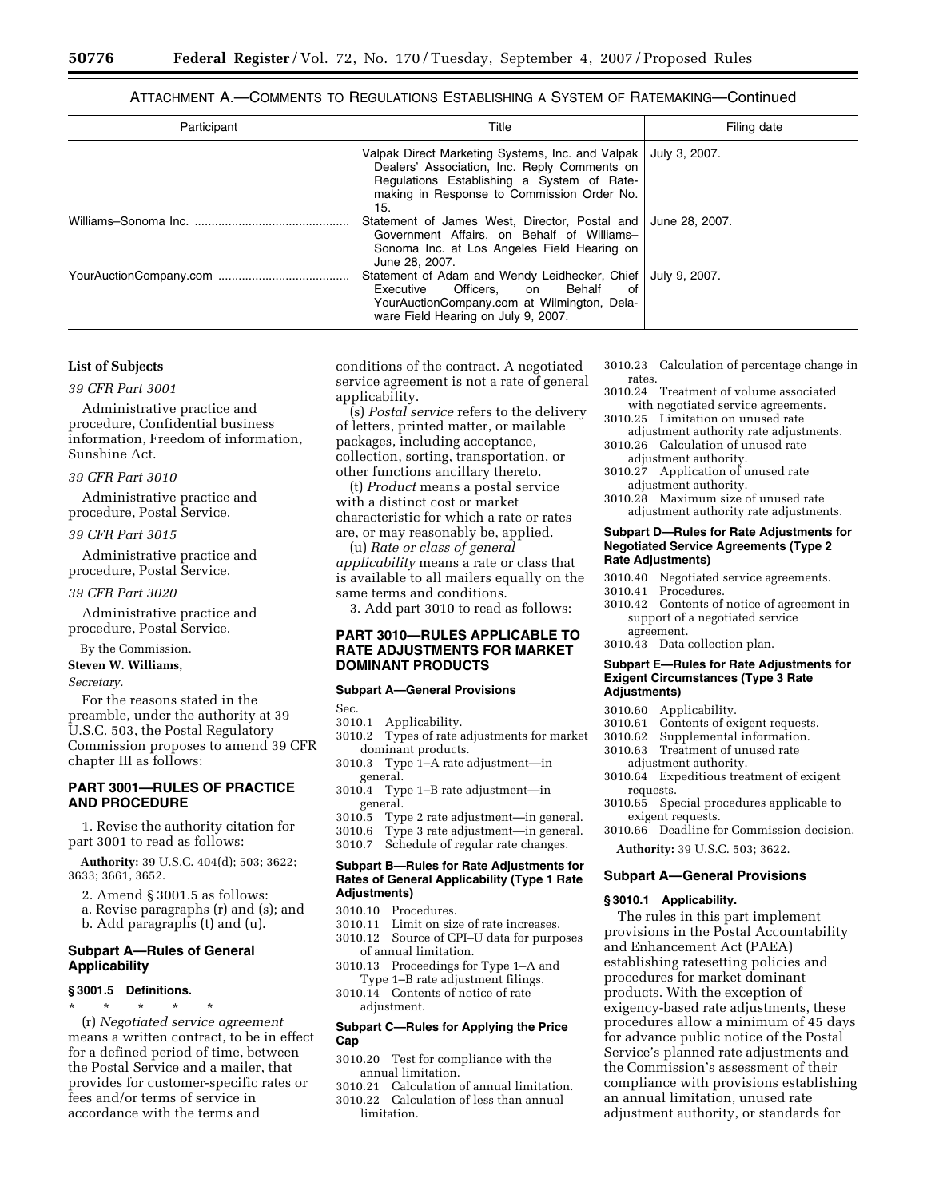# ATTACHMENT A.—COMMENTS TO REGULATIONS ESTABLISHING A SYSTEM OF RATEMAKING—Continued

| Participant | Title                                                                                                                                                                                               | Filing date    |
|-------------|-----------------------------------------------------------------------------------------------------------------------------------------------------------------------------------------------------|----------------|
|             | Valpak Direct Marketing Systems, Inc. and Valpak<br>Dealers' Association, Inc. Reply Comments on<br>Regulations Establishing a System of Rate-<br>making in Response to Commission Order No.<br>15. | July 3, 2007.  |
|             | Statement of James West, Director, Postal and<br>Government Affairs, on Behalf of Williams-<br>Sonoma Inc. at Los Angeles Field Hearing on<br>June 28, 2007.                                        | June 28, 2007. |
|             | Statement of Adam and Wendy Leidhecker, Chief<br>Executive<br>Officers. on<br>Behalf<br>of<br>YourAuctionCompany.com at Wilmington, Dela-<br>ware Field Hearing on July 9, 2007.                    | July 9, 2007.  |

# **List of Subjects**

# *39 CFR Part 3001*

Administrative practice and procedure, Confidential business information, Freedom of information, Sunshine Act.

#### *39 CFR Part 3010*

Administrative practice and procedure, Postal Service.

#### *39 CFR Part 3015*

Administrative practice and procedure, Postal Service.

#### *39 CFR Part 3020*

Administrative practice and procedure, Postal Service.

# By the Commission.

# **Steven W. Williams,**

*Secretary.* 

For the reasons stated in the preamble, under the authority at 39 U.S.C. 503, the Postal Regulatory Commission proposes to amend 39 CFR chapter III as follows:

# **PART 3001—RULES OF PRACTICE AND PROCEDURE**

1. Revise the authority citation for part 3001 to read as follows:

**Authority:** 39 U.S.C. 404(d); 503; 3622; 3633; 3661, 3652.

- 2. Amend § 3001.5 as follows:
- a. Revise paragraphs (r) and (s); and
- b. Add paragraphs (t) and (u).

## **Subpart A—Rules of General Applicability**

# **§ 3001.5 Definitions.**

\* \* \* \* \* (r) *Negotiated service agreement*  means a written contract, to be in effect for a defined period of time, between the Postal Service and a mailer, that provides for customer-specific rates or fees and/or terms of service in accordance with the terms and

conditions of the contract. A negotiated service agreement is not a rate of general applicability.

(s) *Postal service* refers to the delivery of letters, printed matter, or mailable packages, including acceptance, collection, sorting, transportation, or other functions ancillary thereto.

(t) *Product* means a postal service with a distinct cost or market characteristic for which a rate or rates are, or may reasonably be, applied.

(u) *Rate or class of general applicability* means a rate or class that is available to all mailers equally on the same terms and conditions.

3. Add part 3010 to read as follows:

# **PART 3010—RULES APPLICABLE TO RATE ADJUSTMENTS FOR MARKET DOMINANT PRODUCTS**

### **Subpart A—General Provisions**

Sec.

- 3010.1 Applicability.
- 3010.2 Types of rate adjustments for market dominant products.
- 3010.3 Type 1–A rate adjustment—in general.
- 3010.4 Type 1–B rate adjustment—in general.
- 3010.5 Type 2 rate adjustment—in general.
- 3010.6 Type 3 rate adjustment—in general.
- 3010.7 Schedule of regular rate changes.

### **Subpart B—Rules for Rate Adjustments for Rates of General Applicability (Type 1 Rate Adjustments)**

- 3010.10 Procedures.
- 3010.11 Limit on size of rate increases. 3010.12 Source of CPI–U data for purposes
- of annual limitation. 3010.13 Proceedings for Type 1–A and
- Type 1–B rate adjustment filings.
- 3010.14 Contents of notice of rate adjustment.

## **Subpart C—Rules for Applying the Price Cap**

- 3010.20 Test for compliance with the annual limitation.
- 3010.21 Calculation of annual limitation. 3010.22 Calculation of less than annual
	- limitation.
- 3010.23 Calculation of percentage change in rates.
- 3010.24 Treatment of volume associated with negotiated service agreements.
- 3010.25 Limitation on unused rate adjustment authority rate adjustments.
- 3010.26 Calculation of unused rate adjustment authority.
- 3010.27 Application of unused rate adjustment authority.
- 3010.28 Maximum size of unused rate adjustment authority rate adjustments.

#### **Subpart D—Rules for Rate Adjustments for Negotiated Service Agreements (Type 2 Rate Adjustments)**

- 3010.40 Negotiated service agreements.
- Procedures.
- 3010.42 Contents of notice of agreement in support of a negotiated service agreement.
- 3010.43 Data collection plan.

#### **Subpart E—Rules for Rate Adjustments for Exigent Circumstances (Type 3 Rate Adjustments)**

- 3010.60 Applicability.
- 3010.61 Contents of exigent requests.<br>3010.62 Supplemental information.
- Supplemental information.
- 3010.63 Treatment of unused rate adjustment authority.
- 3010.64 Expeditious treatment of exigent requests.
- 3010.65 Special procedures applicable to exigent requests.
- 3010.66 Deadline for Commission decision. **Authority:** 39 U.S.C. 503; 3622.
- 

## **Subpart A—General Provisions**

### **§ 3010.1 Applicability.**

The rules in this part implement provisions in the Postal Accountability and Enhancement Act (PAEA) establishing ratesetting policies and procedures for market dominant products. With the exception of exigency-based rate adjustments, these procedures allow a minimum of 45 days for advance public notice of the Postal Service's planned rate adjustments and the Commission's assessment of their compliance with provisions establishing an annual limitation, unused rate adjustment authority, or standards for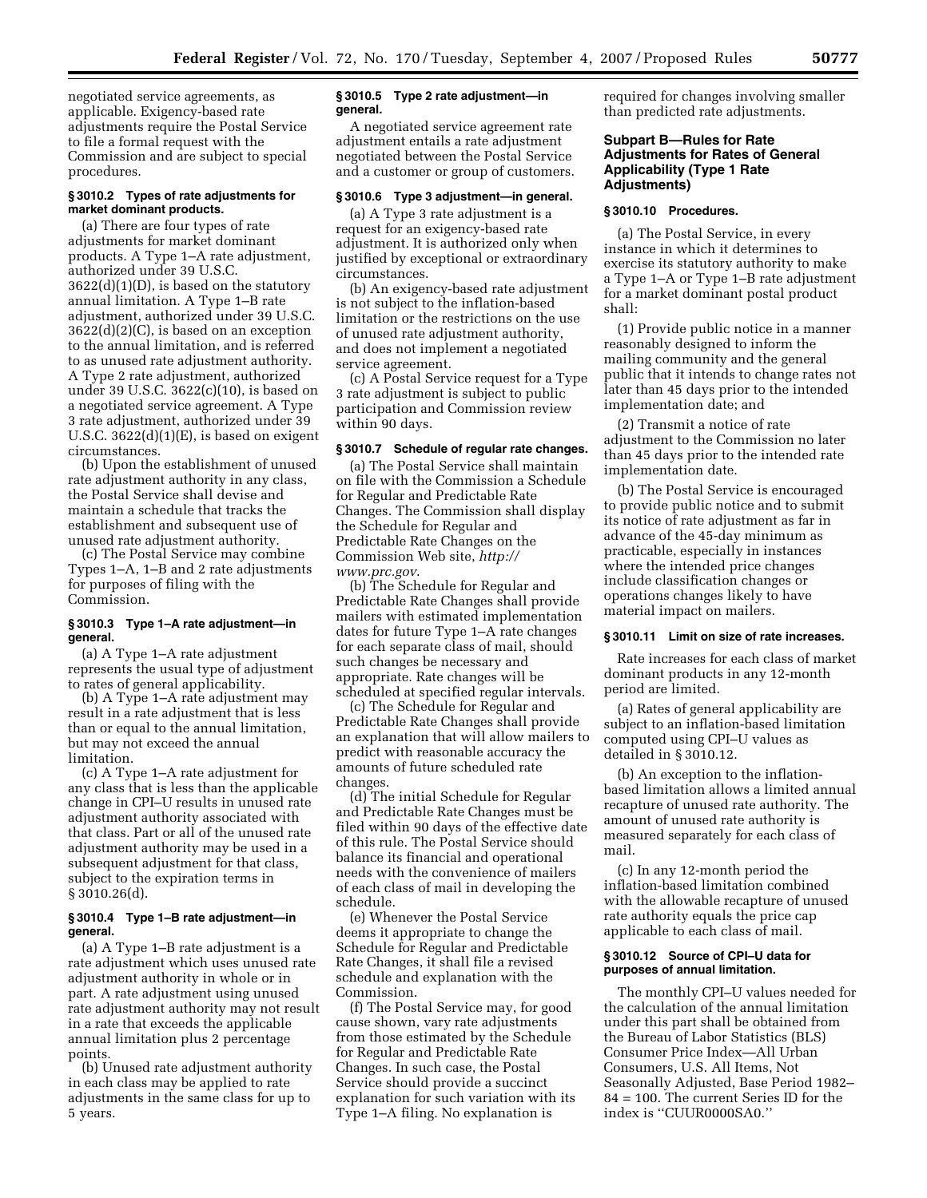negotiated service agreements, as applicable. Exigency-based rate adjustments require the Postal Service to file a formal request with the Commission and are subject to special procedures.

## **§ 3010.2 Types of rate adjustments for market dominant products.**

(a) There are four types of rate adjustments for market dominant products. A Type 1–A rate adjustment, authorized under 39 U.S.C. 3622(d)(1)(D), is based on the statutory annual limitation. A Type 1–B rate adjustment, authorized under 39 U.S.C. 3622(d)(2)(C), is based on an exception to the annual limitation, and is referred to as unused rate adjustment authority. A Type 2 rate adjustment, authorized under 39 U.S.C. 3622(c)(10), is based on a negotiated service agreement. A Type 3 rate adjustment, authorized under 39 U.S.C.  $3622(d)(1)(E)$ , is based on exigent circumstances.

(b) Upon the establishment of unused rate adjustment authority in any class, the Postal Service shall devise and maintain a schedule that tracks the establishment and subsequent use of unused rate adjustment authority.

(c) The Postal Service may combine Types 1–A, 1–B and 2 rate adjustments for purposes of filing with the Commission.

## **§ 3010.3 Type 1–A rate adjustment—in general.**

(a) A Type 1–A rate adjustment represents the usual type of adjustment to rates of general applicability.

(b) A Type 1–A rate adjustment may result in a rate adjustment that is less than or equal to the annual limitation, but may not exceed the annual limitation.

(c) A Type 1–A rate adjustment for any class that is less than the applicable change in CPI–U results in unused rate adjustment authority associated with that class. Part or all of the unused rate adjustment authority may be used in a subsequent adjustment for that class, subject to the expiration terms in § 3010.26(d).

## **§ 3010.4 Type 1–B rate adjustment—in general.**

(a) A Type 1–B rate adjustment is a rate adjustment which uses unused rate adjustment authority in whole or in part. A rate adjustment using unused rate adjustment authority may not result in a rate that exceeds the applicable annual limitation plus 2 percentage points.

(b) Unused rate adjustment authority in each class may be applied to rate adjustments in the same class for up to 5 years.

### **§ 3010.5 Type 2 rate adjustment—in general.**

A negotiated service agreement rate adjustment entails a rate adjustment negotiated between the Postal Service and a customer or group of customers.

# **§ 3010.6 Type 3 adjustment—in general.**

(a) A Type 3 rate adjustment is a request for an exigency-based rate adjustment. It is authorized only when justified by exceptional or extraordinary circumstances.

(b) An exigency-based rate adjustment is not subject to the inflation-based limitation or the restrictions on the use of unused rate adjustment authority, and does not implement a negotiated service agreement.

(c) A Postal Service request for a Type 3 rate adjustment is subject to public participation and Commission review within 90 days.

## **§ 3010.7 Schedule of regular rate changes.**

(a) The Postal Service shall maintain on file with the Commission a Schedule for Regular and Predictable Rate Changes. The Commission shall display the Schedule for Regular and Predictable Rate Changes on the Commission Web site, *http:// www.prc.gov*.

(b) The Schedule for Regular and Predictable Rate Changes shall provide mailers with estimated implementation dates for future Type 1–A rate changes for each separate class of mail, should such changes be necessary and appropriate. Rate changes will be scheduled at specified regular intervals.

(c) The Schedule for Regular and Predictable Rate Changes shall provide an explanation that will allow mailers to predict with reasonable accuracy the amounts of future scheduled rate changes.

(d) The initial Schedule for Regular and Predictable Rate Changes must be filed within 90 days of the effective date of this rule. The Postal Service should balance its financial and operational needs with the convenience of mailers of each class of mail in developing the schedule.

(e) Whenever the Postal Service deems it appropriate to change the Schedule for Regular and Predictable Rate Changes, it shall file a revised schedule and explanation with the Commission.

(f) The Postal Service may, for good cause shown, vary rate adjustments from those estimated by the Schedule for Regular and Predictable Rate Changes. In such case, the Postal Service should provide a succinct explanation for such variation with its Type 1–A filing. No explanation is

required for changes involving smaller than predicted rate adjustments.

# **Subpart B—Rules for Rate Adjustments for Rates of General Applicability (Type 1 Rate Adjustments)**

### **§ 3010.10 Procedures.**

(a) The Postal Service, in every instance in which it determines to exercise its statutory authority to make a Type 1–A or Type 1–B rate adjustment for a market dominant postal product shall:

(1) Provide public notice in a manner reasonably designed to inform the mailing community and the general public that it intends to change rates not later than 45 days prior to the intended implementation date; and

(2) Transmit a notice of rate adjustment to the Commission no later than 45 days prior to the intended rate implementation date.

(b) The Postal Service is encouraged to provide public notice and to submit its notice of rate adjustment as far in advance of the 45-day minimum as practicable, especially in instances where the intended price changes include classification changes or operations changes likely to have material impact on mailers.

#### **§ 3010.11 Limit on size of rate increases.**

Rate increases for each class of market dominant products in any 12-month period are limited.

(a) Rates of general applicability are subject to an inflation-based limitation computed using CPI–U values as detailed in § 3010.12.

(b) An exception to the inflationbased limitation allows a limited annual recapture of unused rate authority. The amount of unused rate authority is measured separately for each class of mail.

(c) In any 12-month period the inflation-based limitation combined with the allowable recapture of unused rate authority equals the price cap applicable to each class of mail.

## **§ 3010.12 Source of CPI–U data for purposes of annual limitation.**

The monthly CPI–U values needed for the calculation of the annual limitation under this part shall be obtained from the Bureau of Labor Statistics (BLS) Consumer Price Index—All Urban Consumers, U.S. All Items, Not Seasonally Adjusted, Base Period 1982– 84 = 100. The current Series ID for the index is ''CUUR0000SA0.''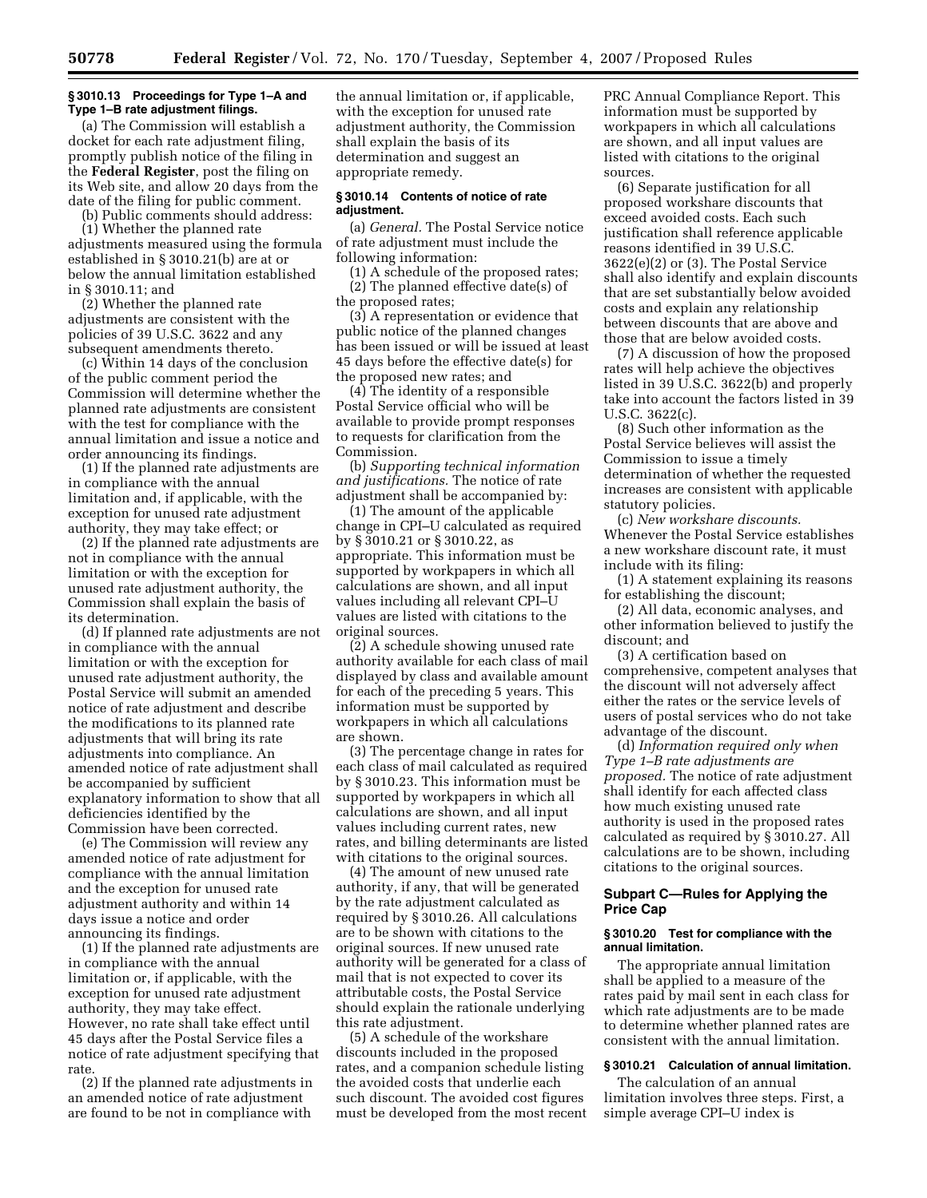#### **§ 3010.13 Proceedings for Type 1–A and Type 1–B rate adjustment filings.**

(a) The Commission will establish a docket for each rate adjustment filing, promptly publish notice of the filing in the **Federal Register**, post the filing on its Web site, and allow 20 days from the date of the filing for public comment.

(b) Public comments should address:

(1) Whether the planned rate adjustments measured using the formula established in § 3010.21(b) are at or below the annual limitation established in § 3010.11; and

(2) Whether the planned rate adjustments are consistent with the policies of 39 U.S.C. 3622 and any subsequent amendments thereto.

(c) Within 14 days of the conclusion of the public comment period the Commission will determine whether the planned rate adjustments are consistent with the test for compliance with the annual limitation and issue a notice and order announcing its findings.

(1) If the planned rate adjustments are in compliance with the annual limitation and, if applicable, with the exception for unused rate adjustment authority, they may take effect; or

(2) If the planned rate adjustments are not in compliance with the annual limitation or with the exception for unused rate adjustment authority, the Commission shall explain the basis of its determination.

(d) If planned rate adjustments are not in compliance with the annual limitation or with the exception for unused rate adjustment authority, the Postal Service will submit an amended notice of rate adjustment and describe the modifications to its planned rate adjustments that will bring its rate adjustments into compliance. An amended notice of rate adjustment shall be accompanied by sufficient explanatory information to show that all deficiencies identified by the Commission have been corrected.

(e) The Commission will review any amended notice of rate adjustment for compliance with the annual limitation and the exception for unused rate adjustment authority and within 14 days issue a notice and order announcing its findings.

(1) If the planned rate adjustments are in compliance with the annual limitation or, if applicable, with the exception for unused rate adjustment authority, they may take effect. However, no rate shall take effect until 45 days after the Postal Service files a notice of rate adjustment specifying that rate.

(2) If the planned rate adjustments in an amended notice of rate adjustment are found to be not in compliance with

the annual limitation or, if applicable, with the exception for unused rate adjustment authority, the Commission shall explain the basis of its determination and suggest an appropriate remedy.

#### **§ 3010.14 Contents of notice of rate adjustment.**

(a) *General.* The Postal Service notice of rate adjustment must include the following information:

(1) A schedule of the proposed rates; (2) The planned effective date(s) of the proposed rates;

(3) A representation or evidence that public notice of the planned changes has been issued or will be issued at least 45 days before the effective date(s) for the proposed new rates; and

(4) The identity of a responsible Postal Service official who will be available to provide prompt responses to requests for clarification from the Commission.

(b) *Supporting technical information and justifications.* The notice of rate adjustment shall be accompanied by:

(1) The amount of the applicable change in CPI–U calculated as required by § 3010.21 or § 3010.22, as appropriate. This information must be supported by workpapers in which all calculations are shown, and all input values including all relevant CPI–U values are listed with citations to the original sources.

(2) A schedule showing unused rate authority available for each class of mail displayed by class and available amount for each of the preceding 5 years. This information must be supported by workpapers in which all calculations are shown.

(3) The percentage change in rates for each class of mail calculated as required by § 3010.23. This information must be supported by workpapers in which all calculations are shown, and all input values including current rates, new rates, and billing determinants are listed with citations to the original sources.

(4) The amount of new unused rate authority, if any, that will be generated by the rate adjustment calculated as required by § 3010.26. All calculations are to be shown with citations to the original sources. If new unused rate authority will be generated for a class of mail that is not expected to cover its attributable costs, the Postal Service should explain the rationale underlying this rate adjustment.

(5) A schedule of the workshare discounts included in the proposed rates, and a companion schedule listing the avoided costs that underlie each such discount. The avoided cost figures must be developed from the most recent PRC Annual Compliance Report. This information must be supported by workpapers in which all calculations are shown, and all input values are listed with citations to the original sources.

(6) Separate justification for all proposed workshare discounts that exceed avoided costs. Each such justification shall reference applicable reasons identified in 39 U.S.C. 3622(e)(2) or (3). The Postal Service shall also identify and explain discounts that are set substantially below avoided costs and explain any relationship between discounts that are above and those that are below avoided costs.

(7) A discussion of how the proposed rates will help achieve the objectives listed in 39 U.S.C. 3622(b) and properly take into account the factors listed in 39 U.S.C. 3622(c).

(8) Such other information as the Postal Service believes will assist the Commission to issue a timely determination of whether the requested increases are consistent with applicable statutory policies.

(c) *New workshare discounts.*  Whenever the Postal Service establishes a new workshare discount rate, it must include with its filing:

(1) A statement explaining its reasons for establishing the discount;

(2) All data, economic analyses, and other information believed to justify the discount; and

(3) A certification based on comprehensive, competent analyses that the discount will not adversely affect either the rates or the service levels of users of postal services who do not take advantage of the discount.

(d) *Information required only when Type 1–B rate adjustments are proposed.* The notice of rate adjustment shall identify for each affected class how much existing unused rate authority is used in the proposed rates calculated as required by § 3010.27. All calculations are to be shown, including citations to the original sources.

# **Subpart C—Rules for Applying the Price Cap**

# **§ 3010.20 Test for compliance with the annual limitation.**

The appropriate annual limitation shall be applied to a measure of the rates paid by mail sent in each class for which rate adjustments are to be made to determine whether planned rates are consistent with the annual limitation.

# **§ 3010.21 Calculation of annual limitation.**

The calculation of an annual limitation involves three steps. First, a simple average CPI–U index is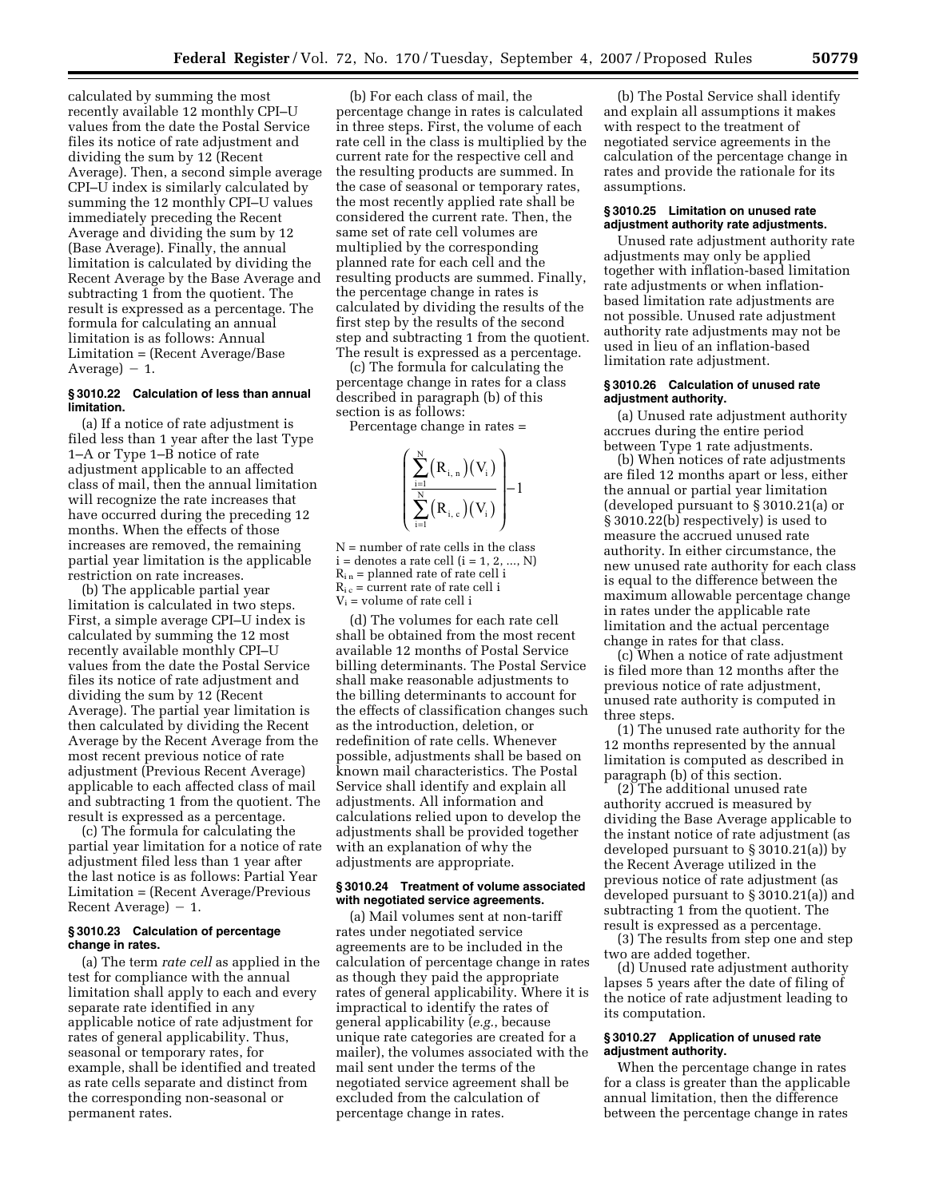calculated by summing the most recently available 12 monthly CPI–U values from the date the Postal Service files its notice of rate adjustment and dividing the sum by 12 (Recent Average). Then, a second simple average CPI–U index is similarly calculated by summing the 12 monthly CPI–U values immediately preceding the Recent Average and dividing the sum by 12 (Base Average). Finally, the annual limitation is calculated by dividing the Recent Average by the Base Average and subtracting 1 from the quotient. The result is expressed as a percentage. The formula for calculating an annual limitation is as follows: Annual Limitation = (Recent Average/Base  $Average) - 1.$ 

## **§ 3010.22 Calculation of less than annual limitation.**

(a) If a notice of rate adjustment is filed less than 1 year after the last Type 1–A or Type 1–B notice of rate adjustment applicable to an affected class of mail, then the annual limitation will recognize the rate increases that have occurred during the preceding 12 months. When the effects of those increases are removed, the remaining partial year limitation is the applicable restriction on rate increases.

(b) The applicable partial year limitation is calculated in two steps. First, a simple average CPI–U index is calculated by summing the 12 most recently available monthly CPI–U values from the date the Postal Service files its notice of rate adjustment and dividing the sum by 12 (Recent Average). The partial year limitation is then calculated by dividing the Recent Average by the Recent Average from the most recent previous notice of rate adjustment (Previous Recent Average) applicable to each affected class of mail and subtracting 1 from the quotient. The result is expressed as a percentage.

(c) The formula for calculating the partial year limitation for a notice of rate adjustment filed less than 1 year after the last notice is as follows: Partial Year Limitation = (Recent Average/Previous Recent Average $) - 1$ .

# **§ 3010.23 Calculation of percentage change in rates.**

(a) The term *rate cell* as applied in the test for compliance with the annual limitation shall apply to each and every separate rate identified in any applicable notice of rate adjustment for rates of general applicability. Thus, seasonal or temporary rates, for example, shall be identified and treated as rate cells separate and distinct from the corresponding non-seasonal or permanent rates.

(b) For each class of mail, the percentage change in rates is calculated in three steps. First, the volume of each rate cell in the class is multiplied by the current rate for the respective cell and the resulting products are summed. In the case of seasonal or temporary rates, the most recently applied rate shall be considered the current rate. Then, the same set of rate cell volumes are multiplied by the corresponding planned rate for each cell and the resulting products are summed. Finally, the percentage change in rates is calculated by dividing the results of the first step by the results of the second step and subtracting 1 from the quotient. The result is expressed as a percentage.

(c) The formula for calculating the percentage change in rates for a class described in paragraph (b) of this section is as follows:

Percentage change in rates =

 $R_{i,n}$  )(V  $R_{i.e.}$  ) ( V  $\sum_{i=1}$  ( $\mathbf{R}_{i,n}$  ) ( $\mathbf{v}_{i}$ N  $\sum_{i=1}$  ( $N_i$ , c)  $\sum_{i=1}$ N , , n c  $(R_{i, n})(V_i)$  $(\rm R_{_{i,\,c}})(\rm V_{_i})$ ſ l I I I I Ì  $\overline{\phantom{a}}$ I I − <sup>=</sup> = ∑ ∑ 1 1 1

N = number of rate cells in the class  $i =$  denotes a rate cell  $(i = 1, 2, ..., N)$  $R_{i n}$  = planned rate of rate cell i  $R_{i c}$  = current rate of rate cell i  $V_i$  = volume of rate cell i

(d) The volumes for each rate cell shall be obtained from the most recent available 12 months of Postal Service billing determinants. The Postal Service shall make reasonable adjustments to the billing determinants to account for the effects of classification changes such as the introduction, deletion, or redefinition of rate cells. Whenever possible, adjustments shall be based on known mail characteristics. The Postal Service shall identify and explain all adjustments. All information and calculations relied upon to develop the adjustments shall be provided together with an explanation of why the adjustments are appropriate.

## **§ 3010.24 Treatment of volume associated with negotiated service agreements.**

(a) Mail volumes sent at non-tariff rates under negotiated service agreements are to be included in the calculation of percentage change in rates as though they paid the appropriate rates of general applicability. Where it is impractical to identify the rates of general applicability (*e.g.*, because unique rate categories are created for a mailer), the volumes associated with the mail sent under the terms of the negotiated service agreement shall be excluded from the calculation of percentage change in rates.

(b) The Postal Service shall identify and explain all assumptions it makes with respect to the treatment of negotiated service agreements in the calculation of the percentage change in rates and provide the rationale for its assumptions.

#### **§ 3010.25 Limitation on unused rate adjustment authority rate adjustments.**

Unused rate adjustment authority rate adjustments may only be applied together with inflation-based limitation rate adjustments or when inflationbased limitation rate adjustments are not possible. Unused rate adjustment authority rate adjustments may not be used in lieu of an inflation-based limitation rate adjustment.

# **§ 3010.26 Calculation of unused rate adjustment authority.**

(a) Unused rate adjustment authority accrues during the entire period between Type 1 rate adjustments.

(b) When notices of rate adjustments are filed 12 months apart or less, either the annual or partial year limitation (developed pursuant to § 3010.21(a) or § 3010.22(b) respectively) is used to measure the accrued unused rate authority. In either circumstance, the new unused rate authority for each class is equal to the difference between the maximum allowable percentage change in rates under the applicable rate limitation and the actual percentage change in rates for that class.

(c) When a notice of rate adjustment is filed more than 12 months after the previous notice of rate adjustment, unused rate authority is computed in three steps.

(1) The unused rate authority for the 12 months represented by the annual limitation is computed as described in paragraph (b) of this section.

(2) The additional unused rate authority accrued is measured by dividing the Base Average applicable to the instant notice of rate adjustment (as developed pursuant to § 3010.21(a)) by the Recent Average utilized in the previous notice of rate adjustment (as developed pursuant to § 3010.21(a)) and subtracting 1 from the quotient. The result is expressed as a percentage.

(3) The results from step one and step two are added together.

(d) Unused rate adjustment authority lapses 5 years after the date of filing of the notice of rate adjustment leading to its computation.

# **§ 3010.27 Application of unused rate adjustment authority.**

When the percentage change in rates for a class is greater than the applicable annual limitation, then the difference between the percentage change in rates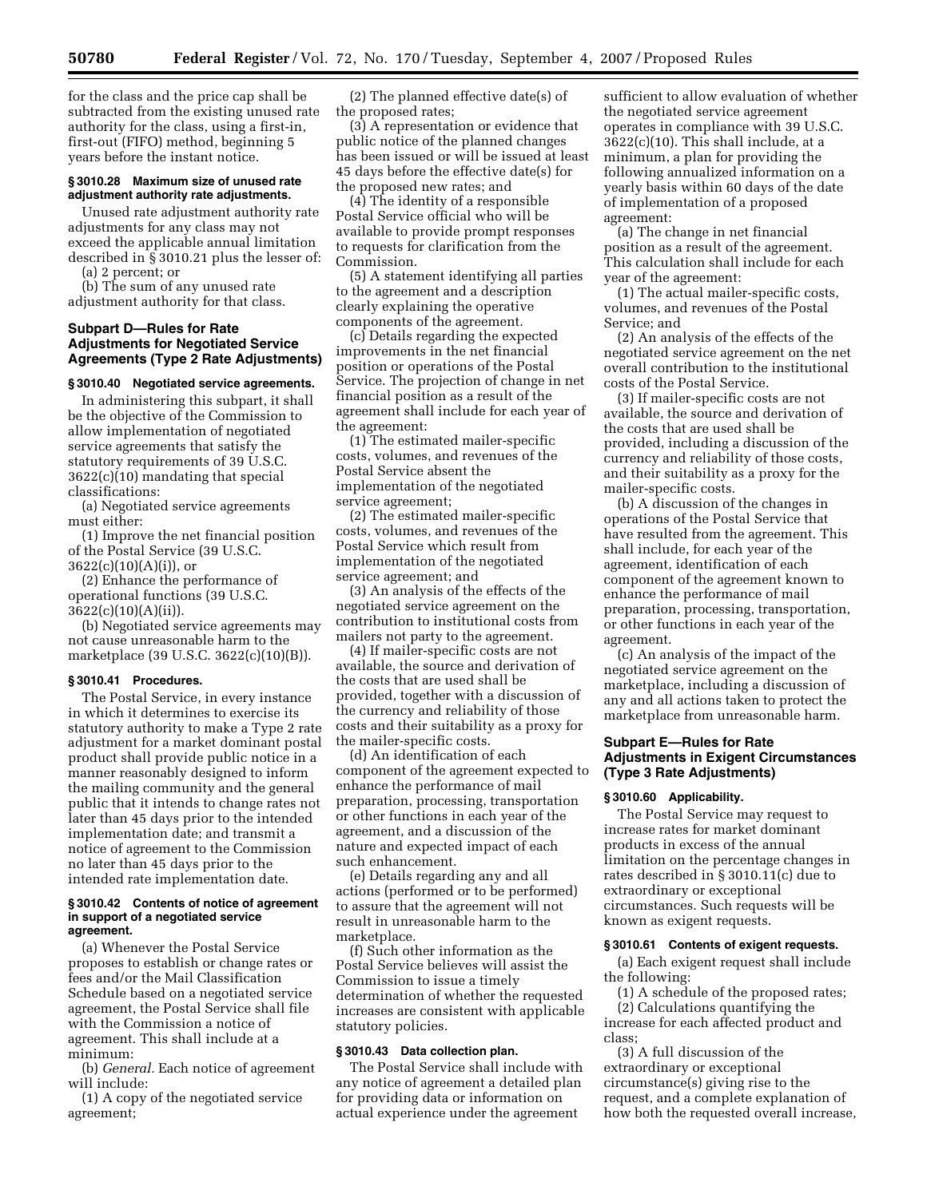for the class and the price cap shall be subtracted from the existing unused rate authority for the class, using a first-in, first-out (FIFO) method, beginning 5 years before the instant notice.

# **§ 3010.28 Maximum size of unused rate adjustment authority rate adjustments.**

Unused rate adjustment authority rate adjustments for any class may not exceed the applicable annual limitation described in § 3010.21 plus the lesser of: (a) 2 percent; or

(b) The sum of any unused rate adjustment authority for that class.

# **Subpart D—Rules for Rate Adjustments for Negotiated Service Agreements (Type 2 Rate Adjustments)**

# **§ 3010.40 Negotiated service agreements.**

In administering this subpart, it shall be the objective of the Commission to allow implementation of negotiated service agreements that satisfy the statutory requirements of 39 U.S.C. 3622(c)(10) mandating that special classifications:

(a) Negotiated service agreements must either:

(1) Improve the net financial position of the Postal Service (39 U.S.C.  $3622(c)(10)(A)(i)$ , or

(2) Enhance the performance of operational functions (39 U.S.C. 3622(c)(10)(A)(ii)).

(b) Negotiated service agreements may not cause unreasonable harm to the marketplace (39 U.S.C. 3622(c)(10)(B)).

#### **§ 3010.41 Procedures.**

The Postal Service, in every instance in which it determines to exercise its statutory authority to make a Type 2 rate adjustment for a market dominant postal product shall provide public notice in a manner reasonably designed to inform the mailing community and the general public that it intends to change rates not later than 45 days prior to the intended implementation date; and transmit a notice of agreement to the Commission no later than 45 days prior to the intended rate implementation date.

#### **§ 3010.42 Contents of notice of agreement in support of a negotiated service agreement.**

(a) Whenever the Postal Service proposes to establish or change rates or fees and/or the Mail Classification Schedule based on a negotiated service agreement, the Postal Service shall file with the Commission a notice of agreement. This shall include at a minimum:

(b) *General.* Each notice of agreement will include:

(1) A copy of the negotiated service agreement;

(2) The planned effective date(s) of the proposed rates;

(3) A representation or evidence that public notice of the planned changes has been issued or will be issued at least 45 days before the effective date(s) for the proposed new rates; and

(4) The identity of a responsible Postal Service official who will be available to provide prompt responses to requests for clarification from the Commission.

(5) A statement identifying all parties to the agreement and a description clearly explaining the operative components of the agreement.

(c) Details regarding the expected improvements in the net financial position or operations of the Postal Service. The projection of change in net financial position as a result of the agreement shall include for each year of the agreement:

(1) The estimated mailer-specific costs, volumes, and revenues of the Postal Service absent the implementation of the negotiated service agreement;

(2) The estimated mailer-specific costs, volumes, and revenues of the Postal Service which result from implementation of the negotiated service agreement; and

(3) An analysis of the effects of the negotiated service agreement on the contribution to institutional costs from mailers not party to the agreement.

(4) If mailer-specific costs are not available, the source and derivation of the costs that are used shall be provided, together with a discussion of the currency and reliability of those costs and their suitability as a proxy for the mailer-specific costs.

(d) An identification of each component of the agreement expected to enhance the performance of mail preparation, processing, transportation or other functions in each year of the agreement, and a discussion of the nature and expected impact of each such enhancement.

(e) Details regarding any and all actions (performed or to be performed) to assure that the agreement will not result in unreasonable harm to the marketplace.

(f) Such other information as the Postal Service believes will assist the Commission to issue a timely determination of whether the requested increases are consistent with applicable statutory policies.

#### **§ 3010.43 Data collection plan.**

The Postal Service shall include with any notice of agreement a detailed plan for providing data or information on actual experience under the agreement

sufficient to allow evaluation of whether the negotiated service agreement operates in compliance with 39 U.S.C. 3622(c)(10). This shall include, at a minimum, a plan for providing the following annualized information on a yearly basis within 60 days of the date of implementation of a proposed agreement:

(a) The change in net financial position as a result of the agreement. This calculation shall include for each year of the agreement:

(1) The actual mailer-specific costs, volumes, and revenues of the Postal Service; and

(2) An analysis of the effects of the negotiated service agreement on the net overall contribution to the institutional costs of the Postal Service.

(3) If mailer-specific costs are not available, the source and derivation of the costs that are used shall be provided, including a discussion of the currency and reliability of those costs, and their suitability as a proxy for the mailer-specific costs.

(b) A discussion of the changes in operations of the Postal Service that have resulted from the agreement. This shall include, for each year of the agreement, identification of each component of the agreement known to enhance the performance of mail preparation, processing, transportation, or other functions in each year of the agreement.

(c) An analysis of the impact of the negotiated service agreement on the marketplace, including a discussion of any and all actions taken to protect the marketplace from unreasonable harm.

# **Subpart E—Rules for Rate Adjustments in Exigent Circumstances (Type 3 Rate Adjustments)**

#### **§ 3010.60 Applicability.**

The Postal Service may request to increase rates for market dominant products in excess of the annual limitation on the percentage changes in rates described in § 3010.11(c) due to extraordinary or exceptional circumstances. Such requests will be known as exigent requests.

#### **§ 3010.61 Contents of exigent requests.**

(a) Each exigent request shall include the following:

(1) A schedule of the proposed rates; (2) Calculations quantifying the increase for each affected product and class;

(3) A full discussion of the extraordinary or exceptional circumstance(s) giving rise to the request, and a complete explanation of how both the requested overall increase,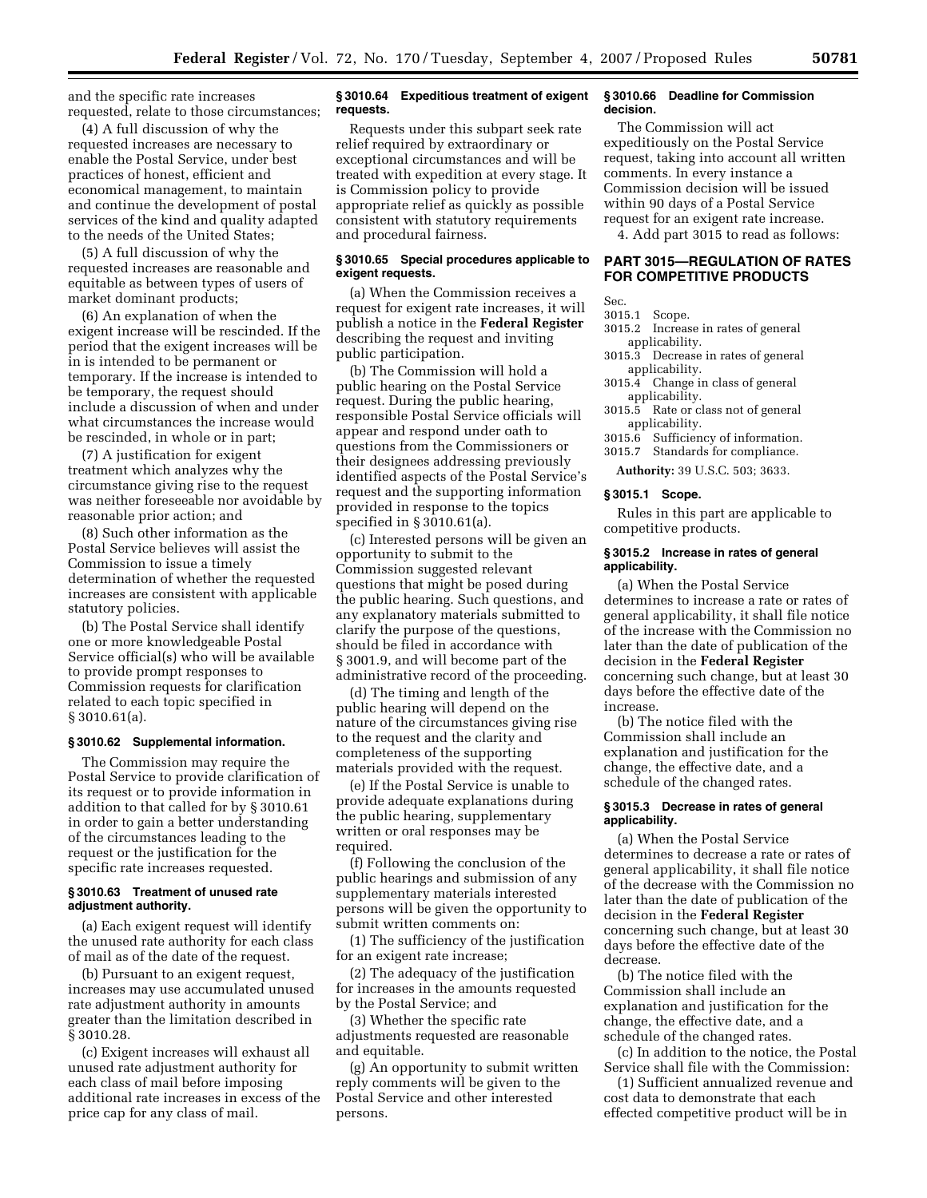and the specific rate increases requested, relate to those circumstances;

(4) A full discussion of why the requested increases are necessary to enable the Postal Service, under best practices of honest, efficient and economical management, to maintain and continue the development of postal services of the kind and quality adapted to the needs of the United States;

(5) A full discussion of why the requested increases are reasonable and equitable as between types of users of market dominant products;

(6) An explanation of when the exigent increase will be rescinded. If the period that the exigent increases will be in is intended to be permanent or temporary. If the increase is intended to be temporary, the request should include a discussion of when and under what circumstances the increase would be rescinded, in whole or in part;

(7) A justification for exigent treatment which analyzes why the circumstance giving rise to the request was neither foreseeable nor avoidable by reasonable prior action; and

(8) Such other information as the Postal Service believes will assist the Commission to issue a timely determination of whether the requested increases are consistent with applicable statutory policies.

(b) The Postal Service shall identify one or more knowledgeable Postal Service official(s) who will be available to provide prompt responses to Commission requests for clarification related to each topic specified in § 3010.61(a).

## **§ 3010.62 Supplemental information.**

The Commission may require the Postal Service to provide clarification of its request or to provide information in addition to that called for by § 3010.61 in order to gain a better understanding of the circumstances leading to the request or the justification for the specific rate increases requested.

### **§ 3010.63 Treatment of unused rate adjustment authority.**

(a) Each exigent request will identify the unused rate authority for each class of mail as of the date of the request.

(b) Pursuant to an exigent request, increases may use accumulated unused rate adjustment authority in amounts greater than the limitation described in § 3010.28.

(c) Exigent increases will exhaust all unused rate adjustment authority for each class of mail before imposing additional rate increases in excess of the price cap for any class of mail.

### **§ 3010.64 Expeditious treatment of exigent requests.**

Requests under this subpart seek rate relief required by extraordinary or exceptional circumstances and will be treated with expedition at every stage. It is Commission policy to provide appropriate relief as quickly as possible consistent with statutory requirements and procedural fairness.

## **§ 3010.65 Special procedures applicable to exigent requests.**

(a) When the Commission receives a request for exigent rate increases, it will publish a notice in the **Federal Register**  describing the request and inviting public participation.

(b) The Commission will hold a public hearing on the Postal Service request. During the public hearing, responsible Postal Service officials will appear and respond under oath to questions from the Commissioners or their designees addressing previously identified aspects of the Postal Service's request and the supporting information provided in response to the topics specified in § 3010.61(a).

(c) Interested persons will be given an opportunity to submit to the Commission suggested relevant questions that might be posed during the public hearing. Such questions, and any explanatory materials submitted to clarify the purpose of the questions, should be filed in accordance with § 3001.9, and will become part of the administrative record of the proceeding.

(d) The timing and length of the public hearing will depend on the nature of the circumstances giving rise to the request and the clarity and completeness of the supporting materials provided with the request.

(e) If the Postal Service is unable to provide adequate explanations during the public hearing, supplementary written or oral responses may be required.

(f) Following the conclusion of the public hearings and submission of any supplementary materials interested persons will be given the opportunity to submit written comments on:

(1) The sufficiency of the justification for an exigent rate increase;

(2) The adequacy of the justification for increases in the amounts requested by the Postal Service; and

(3) Whether the specific rate adjustments requested are reasonable and equitable.

(g) An opportunity to submit written reply comments will be given to the Postal Service and other interested persons.

#### **§ 3010.66 Deadline for Commission decision.**

The Commission will act expeditiously on the Postal Service request, taking into account all written comments. In every instance a Commission decision will be issued within 90 days of a Postal Service request for an exigent rate increase. 4. Add part 3015 to read as follows:

# **PART 3015—REGULATION OF RATES FOR COMPETITIVE PRODUCTS**

Sec.

- 3015.1 Scope.
- 3015.2 Increase in rates of general applicability.
- 3015.3 Decrease in rates of general applicability.
- 3015.4 Change in class of general applicability.
- 3015.5 Rate or class not of general applicability.
- 3015.6 Sufficiency of information. 3015.7 Standards for compliance.
	- **Authority:** 39 U.S.C. 503; 3633.

#### **§ 3015.1 Scope.**

Rules in this part are applicable to competitive products.

## **§ 3015.2 Increase in rates of general applicability.**

(a) When the Postal Service determines to increase a rate or rates of general applicability, it shall file notice of the increase with the Commission no later than the date of publication of the decision in the **Federal Register**  concerning such change, but at least 30 days before the effective date of the increase.

(b) The notice filed with the Commission shall include an explanation and justification for the change, the effective date, and a schedule of the changed rates.

## **§ 3015.3 Decrease in rates of general applicability.**

(a) When the Postal Service determines to decrease a rate or rates of general applicability, it shall file notice of the decrease with the Commission no later than the date of publication of the decision in the **Federal Register**  concerning such change, but at least 30 days before the effective date of the decrease.

(b) The notice filed with the Commission shall include an explanation and justification for the change, the effective date, and a schedule of the changed rates.

(c) In addition to the notice, the Postal Service shall file with the Commission:

(1) Sufficient annualized revenue and cost data to demonstrate that each effected competitive product will be in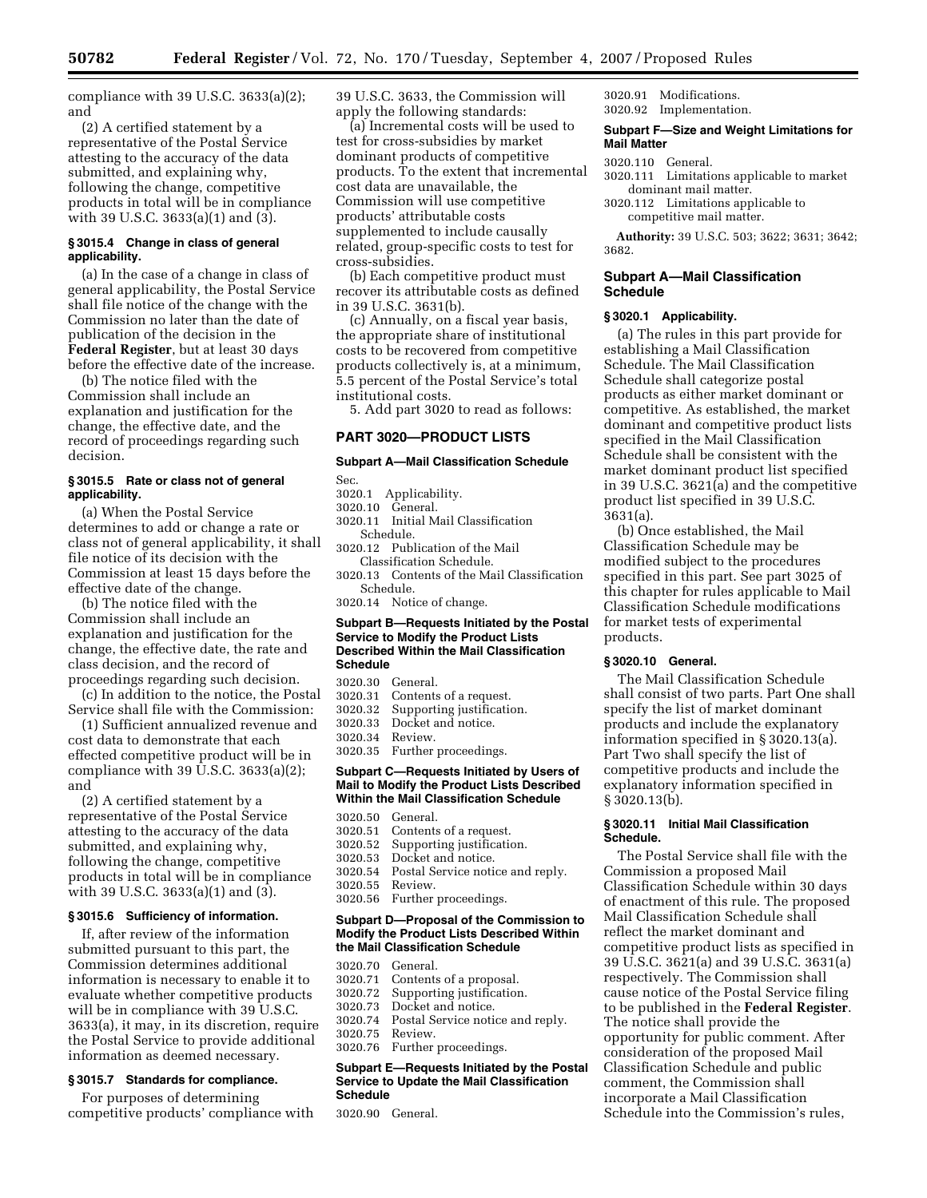compliance with 39 U.S.C. 3633(a)(2); and

(2) A certified statement by a representative of the Postal Service attesting to the accuracy of the data submitted, and explaining why, following the change, competitive products in total will be in compliance with 39 U.S.C. 3633(a)(1) and (3).

## **§ 3015.4 Change in class of general applicability.**

(a) In the case of a change in class of general applicability, the Postal Service shall file notice of the change with the Commission no later than the date of publication of the decision in the **Federal Register**, but at least 30 days before the effective date of the increase.

(b) The notice filed with the Commission shall include an explanation and justification for the change, the effective date, and the record of proceedings regarding such decision.

## **§ 3015.5 Rate or class not of general applicability.**

(a) When the Postal Service determines to add or change a rate or class not of general applicability, it shall file notice of its decision with the Commission at least 15 days before the effective date of the change.

(b) The notice filed with the Commission shall include an explanation and justification for the change, the effective date, the rate and class decision, and the record of proceedings regarding such decision.

(c) In addition to the notice, the Postal Service shall file with the Commission:

(1) Sufficient annualized revenue and cost data to demonstrate that each effected competitive product will be in compliance with 39 U.S.C. 3633(a)(2); and

(2) A certified statement by a representative of the Postal Service attesting to the accuracy of the data submitted, and explaining why, following the change, competitive products in total will be in compliance with 39 U.S.C. 3633(a)(1) and (3).

# **§ 3015.6 Sufficiency of information.**

If, after review of the information submitted pursuant to this part, the Commission determines additional information is necessary to enable it to evaluate whether competitive products will be in compliance with 39 U.S.C. 3633(a), it may, in its discretion, require the Postal Service to provide additional information as deemed necessary.

#### **§ 3015.7 Standards for compliance.**

For purposes of determining competitive products' compliance with 39 U.S.C. 3633, the Commission will apply the following standards:

(a) Incremental costs will be used to test for cross-subsidies by market dominant products of competitive products. To the extent that incremental cost data are unavailable, the Commission will use competitive products' attributable costs supplemented to include causally related, group-specific costs to test for cross-subsidies.

(b) Each competitive product must recover its attributable costs as defined in 39 U.S.C. 3631(b).

(c) Annually, on a fiscal year basis, the appropriate share of institutional costs to be recovered from competitive products collectively is, at a minimum, 5.5 percent of the Postal Service's total institutional costs.

5. Add part 3020 to read as follows:

# **PART 3020—PRODUCT LISTS**

#### **Subpart A—Mail Classification Schedule**

Sec.

- 3020.1 Applicability.
- 3020.10 General.
- 3020.11 Initial Mail Classification Schedule.
- 3020.12 Publication of the Mail Classification Schedule.
- 3020.13 Contents of the Mail Classification Schedule.

3020.14 Notice of change.

### **Subpart B—Requests Initiated by the Postal Service to Modify the Product Lists Described Within the Mail Classification Schedule**

- 3020.30 General.<br>3020.31 Contents
- 3020.31 Contents of a request.<br>3020.32 Supporting justificati
- 3020.32 Supporting justification.
- 3020.33 Docket and notice.<br>3020.34 Review
- 3020.34 Review.
- Further proceedings.

#### **Subpart C—Requests Initiated by Users of Mail to Modify the Product Lists Described Within the Mail Classification Schedule**

- 3020.50 General.
- Contents of a request.
- 3020.52 Supporting justification.
- 3020.53 Docket and notice.
- 3020.54 Postal Service notice and reply.
- 3020.55 Review.
- 3020.56 Further proceedings.

#### **Subpart D—Proposal of the Commission to Modify the Product Lists Described Within the Mail Classification Schedule**

3020.70 General. Contents of a proposal. 3020.72 Supporting justification. Docket and notice. 3020.74 Postal Service notice and reply. 3020.75 Review. 3020.76 Further proceedings.

## **Subpart E—Requests Initiated by the Postal Service to Update the Mail Classification Schedule**

3020.90 General.

3020.91 Modifications. 3020.92 Implementation.

## **Subpart F—Size and Weight Limitations for Mail Matter**

#### 3020.110 General.

- 3020.111 Limitations applicable to market dominant mail matter.
- 3020.112 Limitations applicable to competitive mail matter.

**Authority:** 39 U.S.C. 503; 3622; 3631; 3642; 3682.

# **Subpart A—Mail Classification Schedule**

# **§ 3020.1 Applicability.**

(a) The rules in this part provide for establishing a Mail Classification Schedule. The Mail Classification Schedule shall categorize postal products as either market dominant or competitive. As established, the market dominant and competitive product lists specified in the Mail Classification Schedule shall be consistent with the market dominant product list specified in 39 U.S.C. 3621(a) and the competitive product list specified in 39 U.S.C. 3631(a).

(b) Once established, the Mail Classification Schedule may be modified subject to the procedures specified in this part. See part 3025 of this chapter for rules applicable to Mail Classification Schedule modifications for market tests of experimental products.

#### **§ 3020.10 General.**

The Mail Classification Schedule shall consist of two parts. Part One shall specify the list of market dominant products and include the explanatory information specified in § 3020.13(a). Part Two shall specify the list of competitive products and include the explanatory information specified in § 3020.13(b).

#### **§ 3020.11 Initial Mail Classification Schedule.**

The Postal Service shall file with the Commission a proposed Mail Classification Schedule within 30 days of enactment of this rule. The proposed Mail Classification Schedule shall reflect the market dominant and competitive product lists as specified in 39 U.S.C. 3621(a) and 39 U.S.C. 3631(a) respectively. The Commission shall cause notice of the Postal Service filing to be published in the **Federal Register**. The notice shall provide the opportunity for public comment. After consideration of the proposed Mail Classification Schedule and public comment, the Commission shall incorporate a Mail Classification Schedule into the Commission's rules,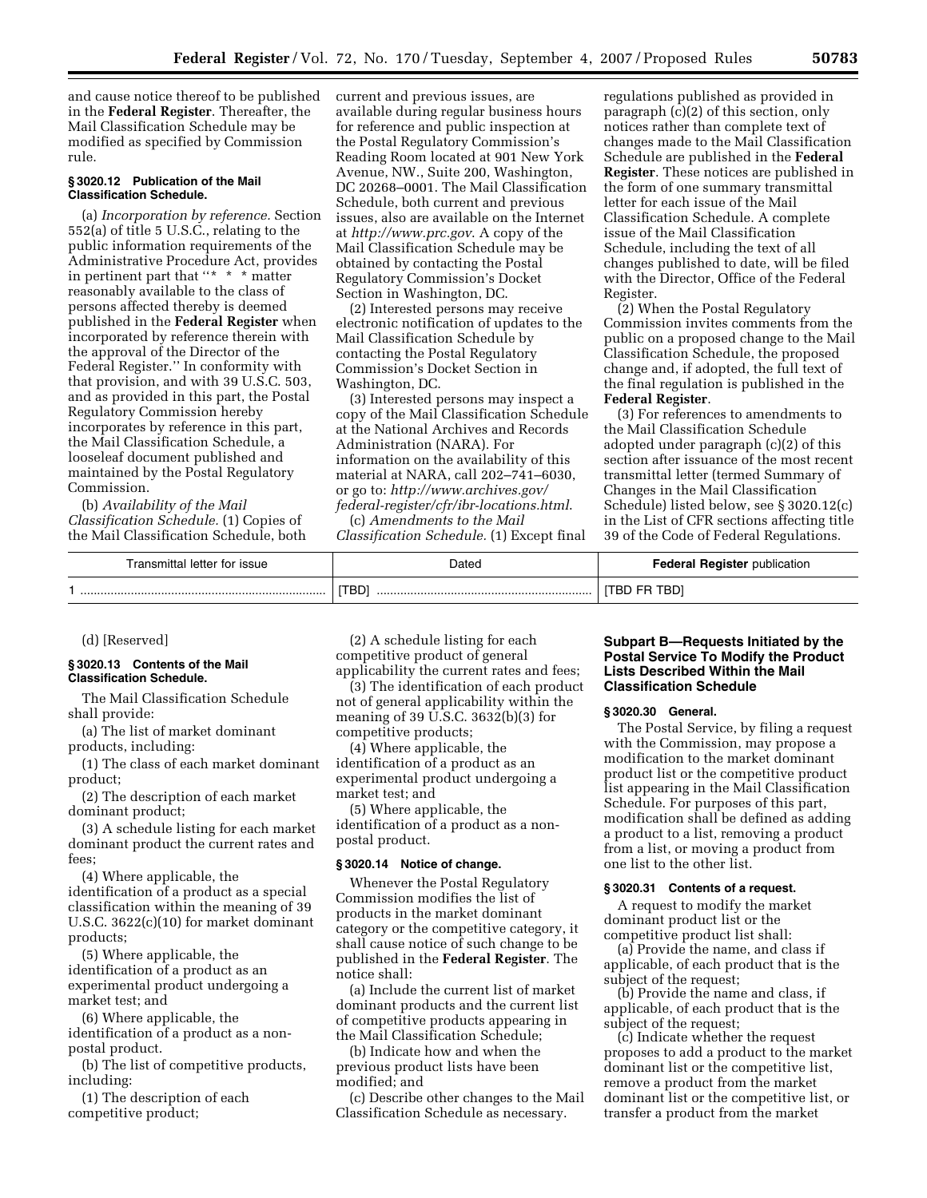and cause notice thereof to be published in the **Federal Register**. Thereafter, the Mail Classification Schedule may be modified as specified by Commission rule.

### **§ 3020.12 Publication of the Mail Classification Schedule.**

(a) *Incorporation by reference.* Section 552(a) of title 5 U.S.C., relating to the public information requirements of the Administrative Procedure Act, provides in pertinent part that ''\* \* \* matter reasonably available to the class of persons affected thereby is deemed published in the **Federal Register** when incorporated by reference therein with the approval of the Director of the Federal Register.'' In conformity with that provision, and with 39 U.S.C. 503, and as provided in this part, the Postal Regulatory Commission hereby incorporates by reference in this part, the Mail Classification Schedule, a looseleaf document published and maintained by the Postal Regulatory Commission.

(b) *Availability of the Mail Classification Schedule.* (1) Copies of the Mail Classification Schedule, both current and previous issues, are available during regular business hours for reference and public inspection at the Postal Regulatory Commission's Reading Room located at 901 New York Avenue, NW., Suite 200, Washington, DC 20268–0001. The Mail Classification Schedule, both current and previous issues, also are available on the Internet at *http://www.prc.gov*. A copy of the Mail Classification Schedule may be obtained by contacting the Postal Regulatory Commission's Docket Section in Washington, DC.

(2) Interested persons may receive electronic notification of updates to the Mail Classification Schedule by contacting the Postal Regulatory Commission's Docket Section in Washington, DC.

(3) Interested persons may inspect a copy of the Mail Classification Schedule at the National Archives and Records Administration (NARA). For information on the availability of this material at NARA, call 202–741–6030, or go to: *http://www.archives.gov/ federal-register/cfr/ibr-locations.html*.

(c) *Amendments to the Mail Classification Schedule.* (1) Except final regulations published as provided in paragraph (c)(2) of this section, only notices rather than complete text of changes made to the Mail Classification Schedule are published in the **Federal Register**. These notices are published in the form of one summary transmittal letter for each issue of the Mail Classification Schedule. A complete issue of the Mail Classification Schedule, including the text of all changes published to date, will be filed with the Director, Office of the Federal Register.

(2) When the Postal Regulatory Commission invites comments from the public on a proposed change to the Mail Classification Schedule, the proposed change and, if adopted, the full text of the final regulation is published in the **Federal Register**.

(3) For references to amendments to the Mail Classification Schedule adopted under paragraph (c)(2) of this section after issuance of the most recent transmittal letter (termed Summary of Changes in the Mail Classification Schedule) listed below, see § 3020.12(c) in the List of CFR sections affecting title 39 of the Code of Federal Regulations.

| Transmittal letter for issue | Dated          | <b>Federal Register publication</b> |
|------------------------------|----------------|-------------------------------------|
| .                            | <b>TBD</b><br> | 'BDI<br>TBL                         |

#### (d) [Reserved]

## **§ 3020.13 Contents of the Mail Classification Schedule.**

The Mail Classification Schedule shall provide:

(a) The list of market dominant products, including:

(1) The class of each market dominant product;

(2) The description of each market dominant product;

(3) A schedule listing for each market dominant product the current rates and fees;

(4) Where applicable, the identification of a product as a special classification within the meaning of 39 U.S.C. 3622(c)(10) for market dominant products;

(5) Where applicable, the identification of a product as an experimental product undergoing a market test; and

(6) Where applicable, the identification of a product as a nonpostal product.

(b) The list of competitive products, including:

(1) The description of each competitive product;

(2) A schedule listing for each competitive product of general applicability the current rates and fees;

(3) The identification of each product not of general applicability within the meaning of 39 U.S.C. 3632(b)(3) for competitive products;

(4) Where applicable, the identification of a product as an experimental product undergoing a market test; and

(5) Where applicable, the identification of a product as a nonpostal product.

#### **§ 3020.14 Notice of change.**

Whenever the Postal Regulatory Commission modifies the list of products in the market dominant category or the competitive category, it shall cause notice of such change to be published in the **Federal Register**. The notice shall:

(a) Include the current list of market dominant products and the current list of competitive products appearing in the Mail Classification Schedule;

(b) Indicate how and when the previous product lists have been modified; and

(c) Describe other changes to the Mail Classification Schedule as necessary.

# **Subpart B—Requests Initiated by the Postal Service To Modify the Product Lists Described Within the Mail Classification Schedule**

## **§ 3020.30 General.**

The Postal Service, by filing a request with the Commission, may propose a modification to the market dominant product list or the competitive product list appearing in the Mail Classification Schedule. For purposes of this part, modification shall be defined as adding a product to a list, removing a product from a list, or moving a product from one list to the other list.

#### **§ 3020.31 Contents of a request.**

A request to modify the market dominant product list or the competitive product list shall:

(a) Provide the name, and class if applicable, of each product that is the subject of the request;

(b) Provide the name and class, if applicable, of each product that is the subject of the request;

(c) Indicate whether the request proposes to add a product to the market dominant list or the competitive list, remove a product from the market dominant list or the competitive list, or transfer a product from the market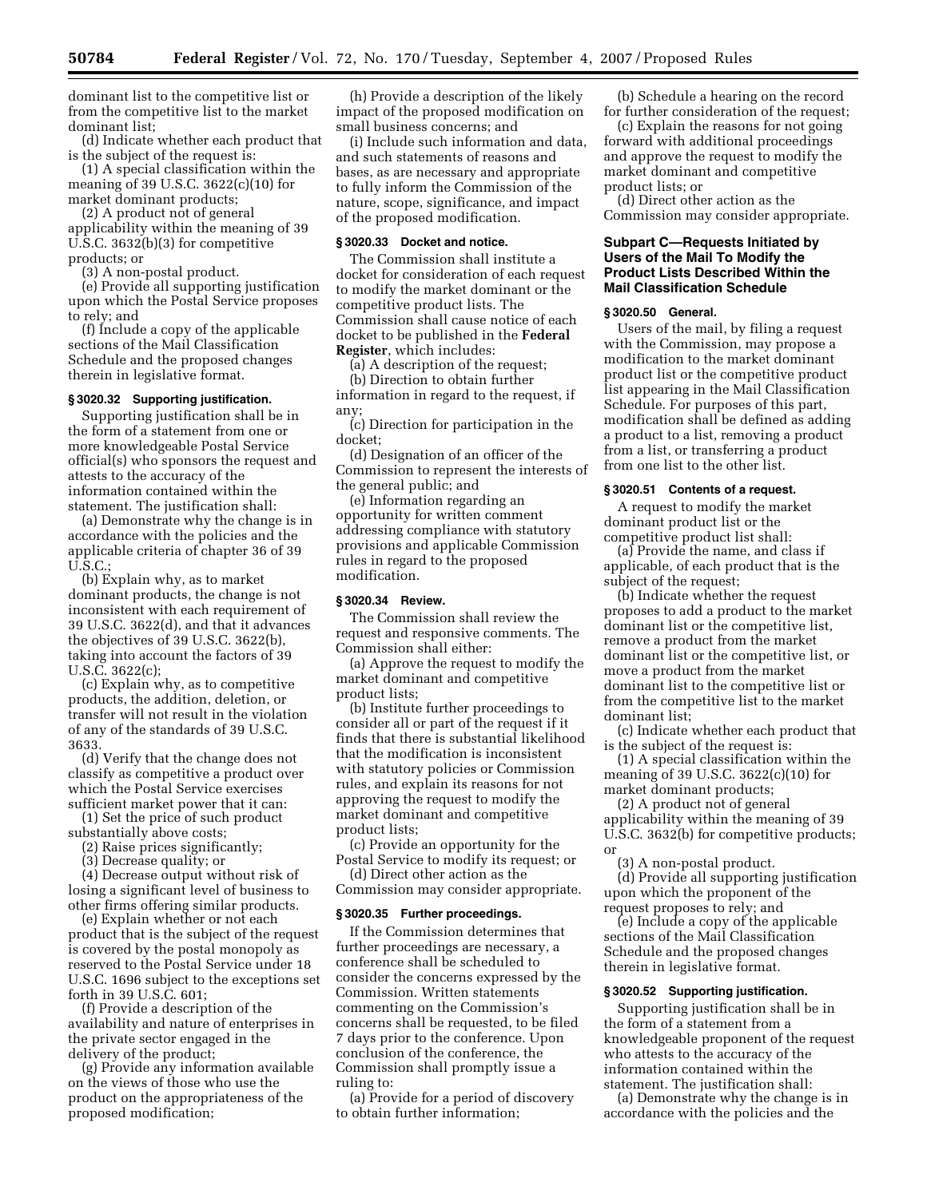dominant list to the competitive list or from the competitive list to the market dominant list;

(d) Indicate whether each product that is the subject of the request is:

(1) A special classification within the meaning of 39 U.S.C. 3622(c)(10) for market dominant products;

(2) A product not of general applicability within the meaning of 39 U.S.C. 3632(b)(3) for competitive products; or

(3) A non-postal product.

(e) Provide all supporting justification upon which the Postal Service proposes to rely; and

(f) Include a copy of the applicable sections of the Mail Classification Schedule and the proposed changes therein in legislative format.

## **§ 3020.32 Supporting justification.**

Supporting justification shall be in the form of a statement from one or more knowledgeable Postal Service official(s) who sponsors the request and attests to the accuracy of the information contained within the statement. The justification shall:

(a) Demonstrate why the change is in accordance with the policies and the applicable criteria of chapter 36 of 39 U.S.C.;

(b) Explain why, as to market dominant products, the change is not inconsistent with each requirement of 39 U.S.C. 3622(d), and that it advances the objectives of 39 U.S.C. 3622(b), taking into account the factors of 39 U.S.C. 3622(c);

(c) Explain why, as to competitive products, the addition, deletion, or transfer will not result in the violation of any of the standards of 39 U.S.C. 3633.

(d) Verify that the change does not classify as competitive a product over which the Postal Service exercises sufficient market power that it can:

(1) Set the price of such product substantially above costs;

(2) Raise prices significantly;

(3) Decrease quality; or

(4) Decrease output without risk of losing a significant level of business to other firms offering similar products.

(e) Explain whether or not each product that is the subject of the request is covered by the postal monopoly as reserved to the Postal Service under 18 U.S.C. 1696 subject to the exceptions set forth in 39 U.S.C. 601;

(f) Provide a description of the availability and nature of enterprises in the private sector engaged in the delivery of the product;

(g) Provide any information available on the views of those who use the product on the appropriateness of the proposed modification;

(h) Provide a description of the likely impact of the proposed modification on small business concerns; and

(i) Include such information and data, and such statements of reasons and bases, as are necessary and appropriate to fully inform the Commission of the nature, scope, significance, and impact of the proposed modification.

#### **§ 3020.33 Docket and notice.**

The Commission shall institute a docket for consideration of each request to modify the market dominant or the competitive product lists. The Commission shall cause notice of each docket to be published in the **Federal Register**, which includes:

(a) A description of the request;

(b) Direction to obtain further information in regard to the request, if any;

(c) Direction for participation in the docket;

(d) Designation of an officer of the Commission to represent the interests of the general public; and

(e) Information regarding an opportunity for written comment addressing compliance with statutory provisions and applicable Commission rules in regard to the proposed modification.

# **§ 3020.34 Review.**

The Commission shall review the request and responsive comments. The Commission shall either:

(a) Approve the request to modify the market dominant and competitive product lists;

(b) Institute further proceedings to consider all or part of the request if it finds that there is substantial likelihood that the modification is inconsistent with statutory policies or Commission rules, and explain its reasons for not approving the request to modify the market dominant and competitive product lists;

(c) Provide an opportunity for the Postal Service to modify its request; or

(d) Direct other action as the Commission may consider appropriate.

## **§ 3020.35 Further proceedings.**

If the Commission determines that further proceedings are necessary, a conference shall be scheduled to consider the concerns expressed by the Commission. Written statements commenting on the Commission's concerns shall be requested, to be filed 7 days prior to the conference. Upon conclusion of the conference, the Commission shall promptly issue a ruling to:

(a) Provide for a period of discovery to obtain further information;

(b) Schedule a hearing on the record for further consideration of the request;

(c) Explain the reasons for not going forward with additional proceedings and approve the request to modify the market dominant and competitive product lists; or

(d) Direct other action as the Commission may consider appropriate.

# **Subpart C—Requests Initiated by Users of the Mail To Modify the Product Lists Described Within the Mail Classification Schedule**

## **§ 3020.50 General.**

Users of the mail, by filing a request with the Commission, may propose a modification to the market dominant product list or the competitive product list appearing in the Mail Classification Schedule. For purposes of this part, modification shall be defined as adding a product to a list, removing a product from a list, or transferring a product from one list to the other list.

## **§ 3020.51 Contents of a request.**

A request to modify the market dominant product list or the competitive product list shall:

(a) Provide the name, and class if applicable, of each product that is the subject of the request;

(b) Indicate whether the request proposes to add a product to the market dominant list or the competitive list, remove a product from the market dominant list or the competitive list, or move a product from the market dominant list to the competitive list or from the competitive list to the market dominant list;

(c) Indicate whether each product that is the subject of the request is:

(1) A special classification within the meaning of 39 U.S.C. 3622(c)(10) for market dominant products;

(2) A product not of general applicability within the meaning of 39 U.S.C. 3632(b) for competitive products; or

(3) A non-postal product.

(d) Provide all supporting justification upon which the proponent of the request proposes to rely; and

(e) Include a copy of the applicable sections of the Mail Classification Schedule and the proposed changes therein in legislative format.

#### **§ 3020.52 Supporting justification.**

Supporting justification shall be in the form of a statement from a knowledgeable proponent of the request who attests to the accuracy of the information contained within the statement. The justification shall:

(a) Demonstrate why the change is in accordance with the policies and the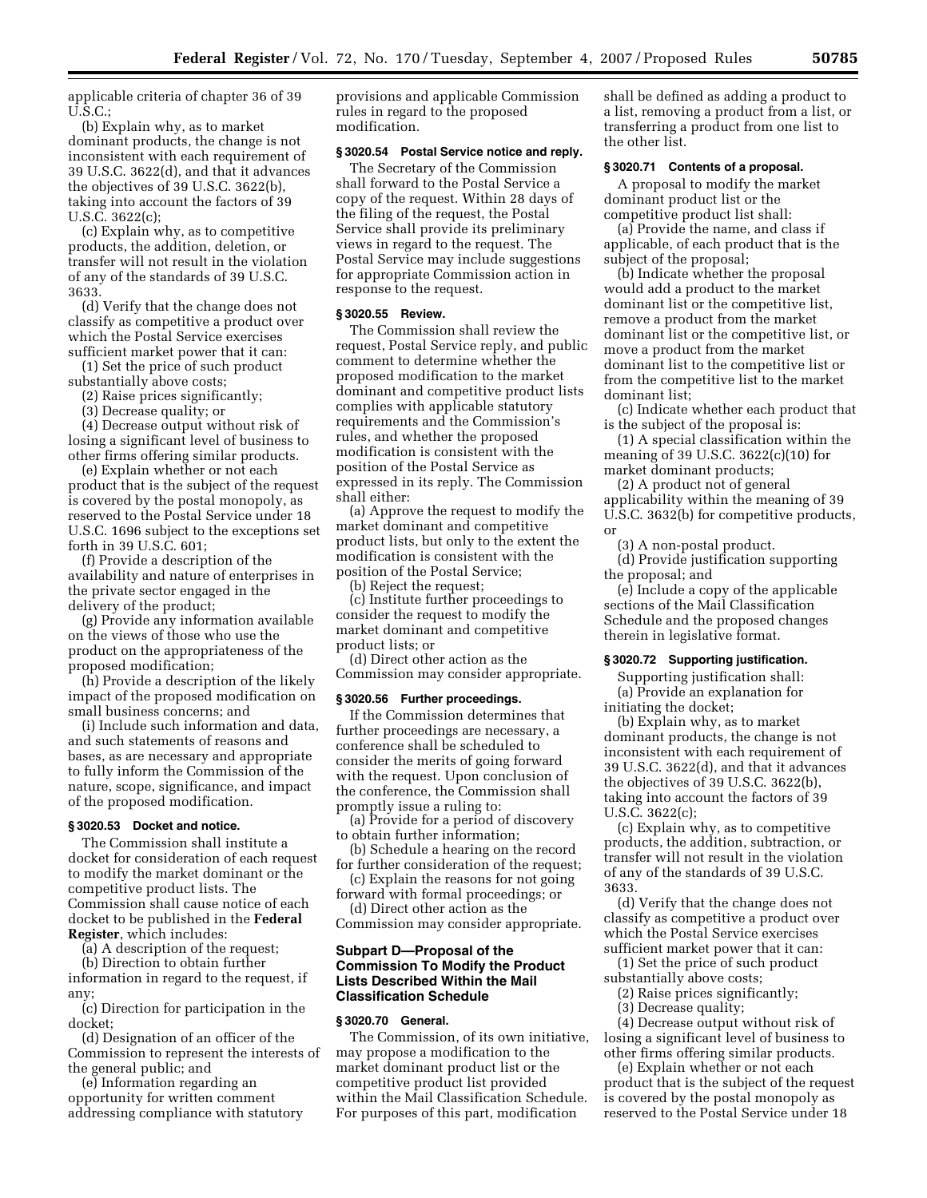applicable criteria of chapter 36 of 39 U.S.C.;

(b) Explain why, as to market dominant products, the change is not inconsistent with each requirement of 39 U.S.C. 3622(d), and that it advances the objectives of 39 U.S.C. 3622(b), taking into account the factors of 39 U.S.C. 3622(c);

(c) Explain why, as to competitive products, the addition, deletion, or transfer will not result in the violation of any of the standards of 39 U.S.C. 3633.

(d) Verify that the change does not classify as competitive a product over which the Postal Service exercises sufficient market power that it can:

(1) Set the price of such product substantially above costs;

(2) Raise prices significantly;

(3) Decrease quality; or

(4) Decrease output without risk of losing a significant level of business to other firms offering similar products.

(e) Explain whether or not each product that is the subject of the request is covered by the postal monopoly, as reserved to the Postal Service under 18 U.S.C. 1696 subject to the exceptions set forth in 39 U.S.C. 601;

(f) Provide a description of the availability and nature of enterprises in the private sector engaged in the delivery of the product;

(g) Provide any information available on the views of those who use the product on the appropriateness of the proposed modification;

(h) Provide a description of the likely impact of the proposed modification on small business concerns; and

(i) Include such information and data, and such statements of reasons and bases, as are necessary and appropriate to fully inform the Commission of the nature, scope, significance, and impact of the proposed modification.

## **§ 3020.53 Docket and notice.**

The Commission shall institute a docket for consideration of each request to modify the market dominant or the competitive product lists. The Commission shall cause notice of each docket to be published in the **Federal Register**, which includes:

(a) A description of the request;

(b) Direction to obtain further

information in regard to the request, if any;

(c) Direction for participation in the docket;

(d) Designation of an officer of the Commission to represent the interests of the general public; and

(e) Information regarding an opportunity for written comment addressing compliance with statutory provisions and applicable Commission rules in regard to the proposed modification.

## **§ 3020.54 Postal Service notice and reply.**

The Secretary of the Commission shall forward to the Postal Service a copy of the request. Within 28 days of the filing of the request, the Postal Service shall provide its preliminary views in regard to the request. The Postal Service may include suggestions for appropriate Commission action in response to the request.

## **§ 3020.55 Review.**

The Commission shall review the request, Postal Service reply, and public comment to determine whether the proposed modification to the market dominant and competitive product lists complies with applicable statutory requirements and the Commission's rules, and whether the proposed modification is consistent with the position of the Postal Service as expressed in its reply. The Commission shall either:

(a) Approve the request to modify the market dominant and competitive product lists, but only to the extent the modification is consistent with the position of the Postal Service;

(b) Reject the request;

(c) Institute further proceedings to consider the request to modify the market dominant and competitive product lists; or

(d) Direct other action as the Commission may consider appropriate.

## **§ 3020.56 Further proceedings.**

If the Commission determines that further proceedings are necessary, a conference shall be scheduled to consider the merits of going forward with the request. Upon conclusion of the conference, the Commission shall promptly issue a ruling to:

(a) Provide for a period of discovery to obtain further information;

(b) Schedule a hearing on the record for further consideration of the request;

(c) Explain the reasons for not going forward with formal proceedings; or

(d) Direct other action as the Commission may consider appropriate.

# **Subpart D—Proposal of the Commission To Modify the Product Lists Described Within the Mail Classification Schedule**

# **§ 3020.70 General.**

The Commission, of its own initiative, may propose a modification to the market dominant product list or the competitive product list provided within the Mail Classification Schedule. For purposes of this part, modification

shall be defined as adding a product to a list, removing a product from a list, or transferring a product from one list to the other list.

## **§ 3020.71 Contents of a proposal.**

A proposal to modify the market dominant product list or the competitive product list shall:

(a) Provide the name, and class if applicable, of each product that is the subject of the proposal;

(b) Indicate whether the proposal would add a product to the market dominant list or the competitive list, remove a product from the market dominant list or the competitive list, or move a product from the market dominant list to the competitive list or from the competitive list to the market dominant list;

(c) Indicate whether each product that is the subject of the proposal is:

(1) A special classification within the meaning of 39 U.S.C. 3622(c)(10) for market dominant products;

(2) A product not of general applicability within the meaning of 39 U.S.C. 3632(b) for competitive products, or

(3) A non-postal product.

(d) Provide justification supporting the proposal; and

(e) Include a copy of the applicable sections of the Mail Classification Schedule and the proposed changes therein in legislative format.

# **§ 3020.72 Supporting justification.**

Supporting justification shall: (a) Provide an explanation for

initiating the docket;

(b) Explain why, as to market dominant products, the change is not inconsistent with each requirement of 39 U.S.C. 3622(d), and that it advances the objectives of 39 U.S.C. 3622(b), taking into account the factors of 39 U.S.C. 3622(c);

(c) Explain why, as to competitive products, the addition, subtraction, or transfer will not result in the violation of any of the standards of 39 U.S.C. 3633.

(d) Verify that the change does not classify as competitive a product over which the Postal Service exercises sufficient market power that it can:

(1) Set the price of such product substantially above costs;

(2) Raise prices significantly;

(3) Decrease quality;

(4) Decrease output without risk of losing a significant level of business to other firms offering similar products.

(e) Explain whether or not each product that is the subject of the request is covered by the postal monopoly as reserved to the Postal Service under 18